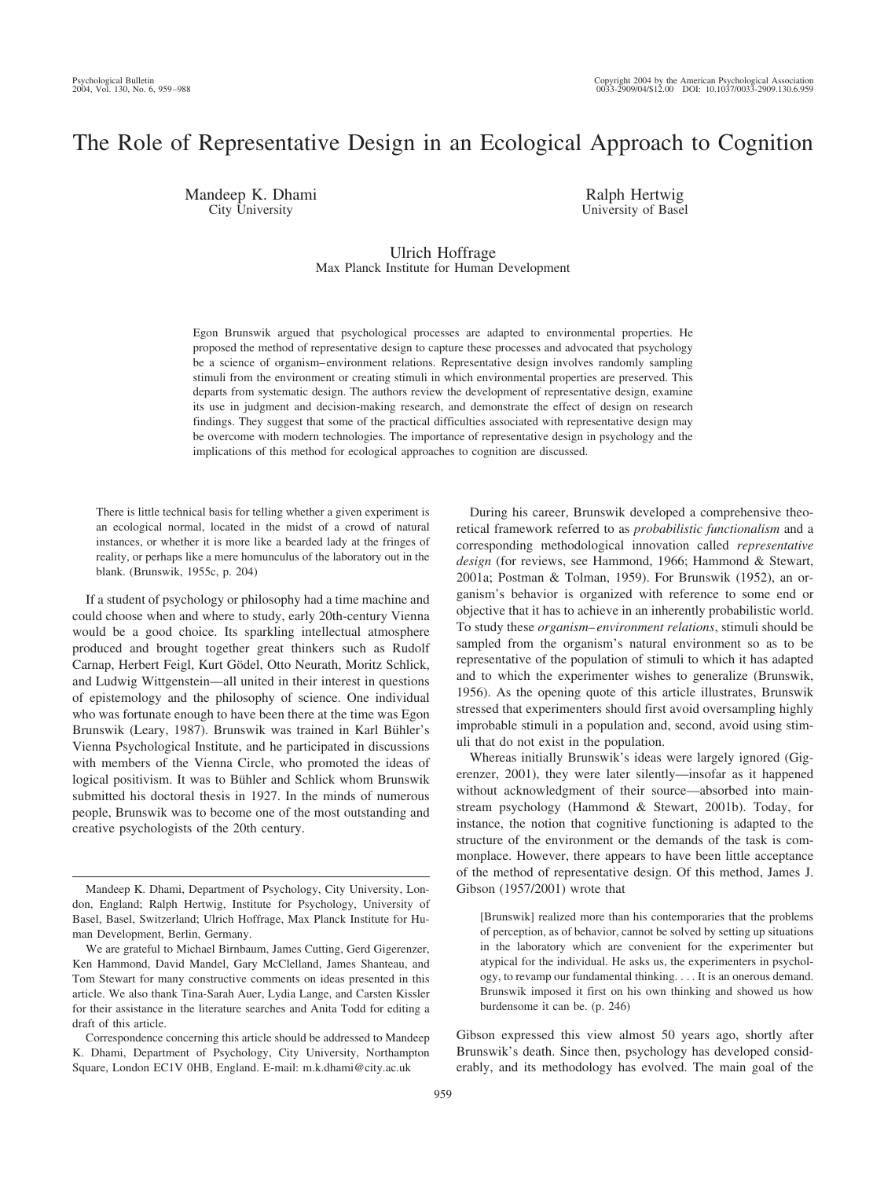# The Role of Representative Design in an Ecological Approach to Cognition

Mandeep K. Dhami City University

Ralph Hertwig University of Basel

Ulrich Hoffrage Max Planck Institute for Human Development

Egon Brunswik argued that psychological processes are adapted to environmental properties. He proposed the method of representative design to capture these processes and advocated that psychology be a science of organism– environment relations. Representative design involves randomly sampling stimuli from the environment or creating stimuli in which environmental properties are preserved. This departs from systematic design. The authors review the development of representative design, examine its use in judgment and decision-making research, and demonstrate the effect of design on research findings. They suggest that some of the practical difficulties associated with representative design may be overcome with modern technologies. The importance of representative design in psychology and the implications of this method for ecological approaches to cognition are discussed.

There is little technical basis for telling whether a given experiment is an ecological normal, located in the midst of a crowd of natural instances, or whether it is more like a bearded lady at the fringes of reality, or perhaps like a mere homunculus of the laboratory out in the blank. (Brunswik, 1955c, p. 204)

If a student of psychology or philosophy had a time machine and could choose when and where to study, early 20th-century Vienna would be a good choice. Its sparkling intellectual atmosphere produced and brought together great thinkers such as Rudolf Carnap, Herbert Feigl, Kurt Gödel, Otto Neurath, Moritz Schlick, and Ludwig Wittgenstein—all united in their interest in questions of epistemology and the philosophy of science. One individual who was fortunate enough to have been there at the time was Egon Brunswik (Leary, 1987). Brunswik was trained in Karl Bühler's Vienna Psychological Institute, and he participated in discussions with members of the Vienna Circle, who promoted the ideas of logical positivism. It was to Bühler and Schlick whom Brunswik submitted his doctoral thesis in 1927. In the minds of numerous people, Brunswik was to become one of the most outstanding and creative psychologists of the 20th century.

During his career, Brunswik developed a comprehensive theoretical framework referred to as *probabilistic functionalism* and a corresponding methodological innovation called *representative design* (for reviews, see Hammond, 1966; Hammond & Stewart, 2001a; Postman & Tolman, 1959). For Brunswik (1952), an organism's behavior is organized with reference to some end or objective that it has to achieve in an inherently probabilistic world. To study these *organism– environment relations*, stimuli should be sampled from the organism's natural environment so as to be representative of the population of stimuli to which it has adapted and to which the experimenter wishes to generalize (Brunswik, 1956). As the opening quote of this article illustrates, Brunswik stressed that experimenters should first avoid oversampling highly improbable stimuli in a population and, second, avoid using stimuli that do not exist in the population.

Whereas initially Brunswik's ideas were largely ignored (Gigerenzer, 2001), they were later silently—insofar as it happened without acknowledgment of their source—absorbed into mainstream psychology (Hammond & Stewart, 2001b). Today, for instance, the notion that cognitive functioning is adapted to the structure of the environment or the demands of the task is commonplace. However, there appears to have been little acceptance of the method of representative design. Of this method, James J. Gibson (1957/2001) wrote that

[Brunswik] realized more than his contemporaries that the problems of perception, as of behavior, cannot be solved by setting up situations in the laboratory which are convenient for the experimenter but atypical for the individual. He asks us, the experimenters in psychology, to revamp our fundamental thinking. . . . It is an onerous demand. Brunswik imposed it first on his own thinking and showed us how burdensome it can be. (p. 246)

Gibson expressed this view almost 50 years ago, shortly after Brunswik's death. Since then, psychology has developed considerably, and its methodology has evolved. The main goal of the

Mandeep K. Dhami, Department of Psychology, City University, London, England; Ralph Hertwig, Institute for Psychology, University of Basel, Basel, Switzerland; Ulrich Hoffrage, Max Planck Institute for Human Development, Berlin, Germany.

We are grateful to Michael Birnbaum, James Cutting, Gerd Gigerenzer, Ken Hammond, David Mandel, Gary McClelland, James Shanteau, and Tom Stewart for many constructive comments on ideas presented in this article. We also thank Tina-Sarah Auer, Lydia Lange, and Carsten Kissler for their assistance in the literature searches and Anita Todd for editing a draft of this article.

Correspondence concerning this article should be addressed to Mandeep K. Dhami, Department of Psychology, City University, Northampton Square, London EC1V 0HB, England. E-mail: m.k.dhami@city.ac.uk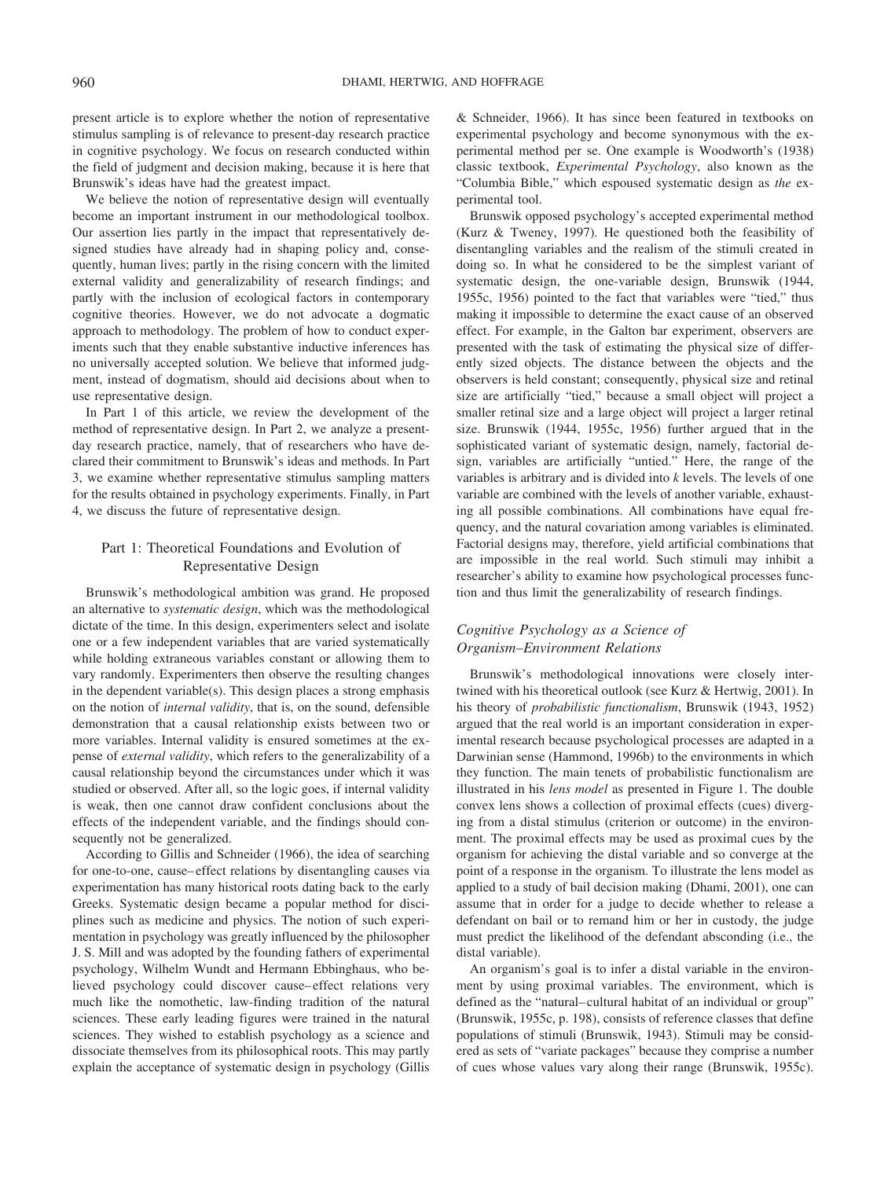present article is to explore whether the notion of representative stimulus sampling is of relevance to present-day research practice in cognitive psychology. We focus on research conducted within the field of judgment and decision making, because it is here that Brunswik's ideas have had the greatest impact.

We believe the notion of representative design will eventually become an important instrument in our methodological toolbox. Our assertion lies partly in the impact that representatively designed studies have already had in shaping policy and, consequently, human lives; partly in the rising concern with the limited external validity and generalizability of research findings; and partly with the inclusion of ecological factors in contemporary cognitive theories. However, we do not advocate a dogmatic approach to methodology. The problem of how to conduct experiments such that they enable substantive inductive inferences has no universally accepted solution. We believe that informed judgment, instead of dogmatism, should aid decisions about when to use representative design.

In Part 1 of this article, we review the development of the method of representative design. In Part 2, we analyze a presentday research practice, namely, that of researchers who have declared their commitment to Brunswik's ideas and methods. In Part 3, we examine whether representative stimulus sampling matters for the results obtained in psychology experiments. Finally, in Part 4, we discuss the future of representative design.

# Part 1: Theoretical Foundations and Evolution of Representative Design

Brunswik's methodological ambition was grand. He proposed an alternative to *systematic design*, which was the methodological dictate of the time. In this design, experimenters select and isolate one or a few independent variables that are varied systematically while holding extraneous variables constant or allowing them to vary randomly. Experimenters then observe the resulting changes in the dependent variable(s). This design places a strong emphasis on the notion of *internal validity*, that is, on the sound, defensible demonstration that a causal relationship exists between two or more variables. Internal validity is ensured sometimes at the expense of *external validity*, which refers to the generalizability of a causal relationship beyond the circumstances under which it was studied or observed. After all, so the logic goes, if internal validity is weak, then one cannot draw confident conclusions about the effects of the independent variable, and the findings should consequently not be generalized.

According to Gillis and Schneider (1966), the idea of searching for one-to-one, cause– effect relations by disentangling causes via experimentation has many historical roots dating back to the early Greeks. Systematic design became a popular method for disciplines such as medicine and physics. The notion of such experimentation in psychology was greatly influenced by the philosopher J. S. Mill and was adopted by the founding fathers of experimental psychology, Wilhelm Wundt and Hermann Ebbinghaus, who believed psychology could discover cause– effect relations very much like the nomothetic, law-finding tradition of the natural sciences. These early leading figures were trained in the natural sciences. They wished to establish psychology as a science and dissociate themselves from its philosophical roots. This may partly explain the acceptance of systematic design in psychology (Gillis & Schneider, 1966). It has since been featured in textbooks on experimental psychology and become synonymous with the experimental method per se. One example is Woodworth's (1938) classic textbook, *Experimental Psychology*, also known as the "Columbia Bible," which espoused systematic design as *the* experimental tool.

Brunswik opposed psychology's accepted experimental method (Kurz & Tweney, 1997). He questioned both the feasibility of disentangling variables and the realism of the stimuli created in doing so. In what he considered to be the simplest variant of systematic design, the one-variable design, Brunswik (1944, 1955c, 1956) pointed to the fact that variables were "tied," thus making it impossible to determine the exact cause of an observed effect. For example, in the Galton bar experiment, observers are presented with the task of estimating the physical size of differently sized objects. The distance between the objects and the observers is held constant; consequently, physical size and retinal size are artificially "tied," because a small object will project a smaller retinal size and a large object will project a larger retinal size. Brunswik (1944, 1955c, 1956) further argued that in the sophisticated variant of systematic design, namely, factorial design, variables are artificially "untied." Here, the range of the variables is arbitrary and is divided into *k* levels. The levels of one variable are combined with the levels of another variable, exhausting all possible combinations. All combinations have equal frequency, and the natural covariation among variables is eliminated. Factorial designs may, therefore, yield artificial combinations that are impossible in the real world. Such stimuli may inhibit a researcher's ability to examine how psychological processes function and thus limit the generalizability of research findings.

### *Cognitive Psychology as a Science of Organism–Environment Relations*

Brunswik's methodological innovations were closely intertwined with his theoretical outlook (see Kurz & Hertwig, 2001). In his theory of *probabilistic functionalism*, Brunswik (1943, 1952) argued that the real world is an important consideration in experimental research because psychological processes are adapted in a Darwinian sense (Hammond, 1996b) to the environments in which they function. The main tenets of probabilistic functionalism are illustrated in his *lens model* as presented in Figure 1. The double convex lens shows a collection of proximal effects (cues) diverging from a distal stimulus (criterion or outcome) in the environment. The proximal effects may be used as proximal cues by the organism for achieving the distal variable and so converge at the point of a response in the organism. To illustrate the lens model as applied to a study of bail decision making (Dhami, 2001), one can assume that in order for a judge to decide whether to release a defendant on bail or to remand him or her in custody, the judge must predict the likelihood of the defendant absconding (i.e., the distal variable).

An organism's goal is to infer a distal variable in the environment by using proximal variables. The environment, which is defined as the "natural– cultural habitat of an individual or group" (Brunswik, 1955c, p. 198), consists of reference classes that define populations of stimuli (Brunswik, 1943). Stimuli may be considered as sets of "variate packages" because they comprise a number of cues whose values vary along their range (Brunswik, 1955c).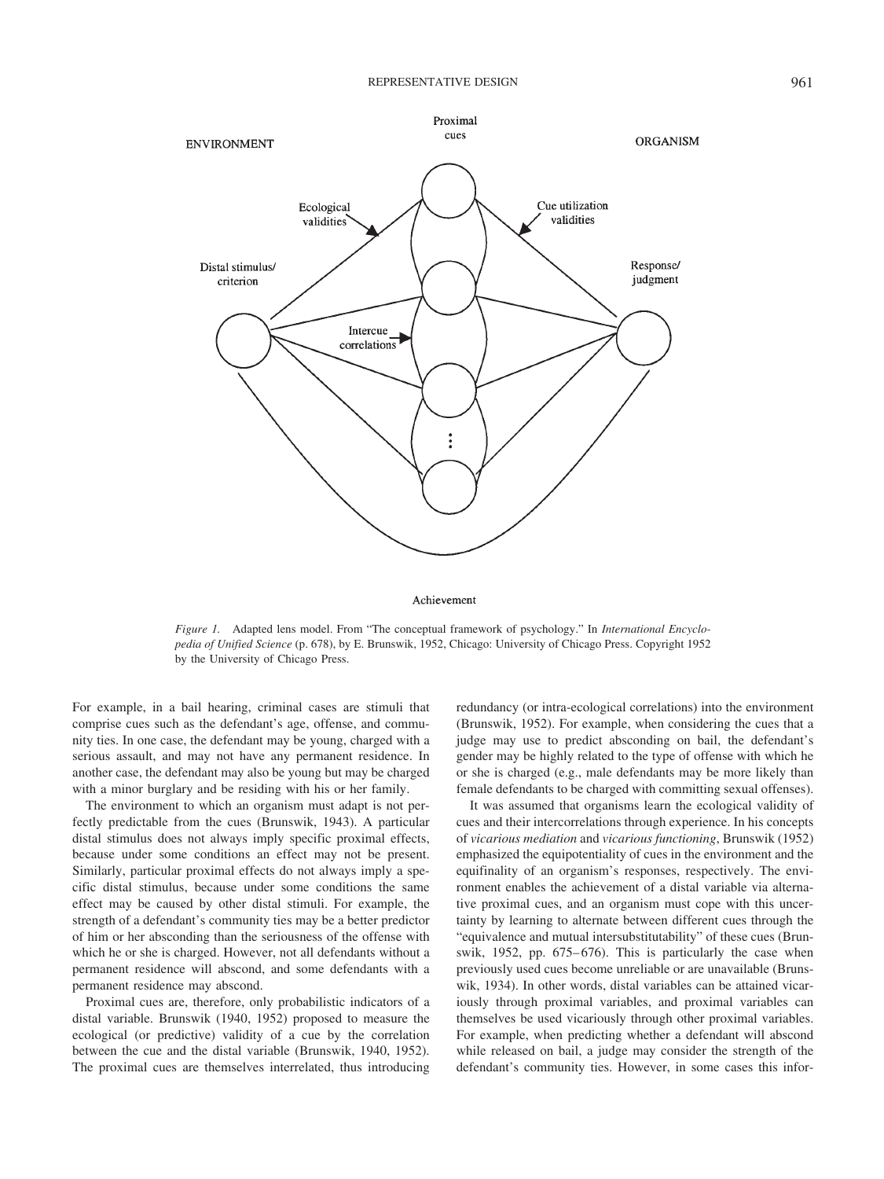

#### Achievement

*Figure 1.* Adapted lens model. From "The conceptual framework of psychology." In *International Encyclopedia of Unified Science* (p. 678), by E. Brunswik, 1952, Chicago: University of Chicago Press. Copyright 1952 by the University of Chicago Press.

For example, in a bail hearing, criminal cases are stimuli that comprise cues such as the defendant's age, offense, and community ties. In one case, the defendant may be young, charged with a serious assault, and may not have any permanent residence. In another case, the defendant may also be young but may be charged with a minor burglary and be residing with his or her family.

The environment to which an organism must adapt is not perfectly predictable from the cues (Brunswik, 1943). A particular distal stimulus does not always imply specific proximal effects, because under some conditions an effect may not be present. Similarly, particular proximal effects do not always imply a specific distal stimulus, because under some conditions the same effect may be caused by other distal stimuli. For example, the strength of a defendant's community ties may be a better predictor of him or her absconding than the seriousness of the offense with which he or she is charged. However, not all defendants without a permanent residence will abscond, and some defendants with a permanent residence may abscond.

Proximal cues are, therefore, only probabilistic indicators of a distal variable. Brunswik (1940, 1952) proposed to measure the ecological (or predictive) validity of a cue by the correlation between the cue and the distal variable (Brunswik, 1940, 1952). The proximal cues are themselves interrelated, thus introducing redundancy (or intra-ecological correlations) into the environment (Brunswik, 1952). For example, when considering the cues that a judge may use to predict absconding on bail, the defendant's gender may be highly related to the type of offense with which he or she is charged (e.g., male defendants may be more likely than female defendants to be charged with committing sexual offenses).

It was assumed that organisms learn the ecological validity of cues and their intercorrelations through experience. In his concepts of *vicarious mediation* and *vicarious functioning*, Brunswik (1952) emphasized the equipotentiality of cues in the environment and the equifinality of an organism's responses, respectively. The environment enables the achievement of a distal variable via alternative proximal cues, and an organism must cope with this uncertainty by learning to alternate between different cues through the "equivalence and mutual intersubstitutability" of these cues (Brunswik, 1952, pp. 675–676). This is particularly the case when previously used cues become unreliable or are unavailable (Brunswik, 1934). In other words, distal variables can be attained vicariously through proximal variables, and proximal variables can themselves be used vicariously through other proximal variables. For example, when predicting whether a defendant will abscond while released on bail, a judge may consider the strength of the defendant's community ties. However, in some cases this infor-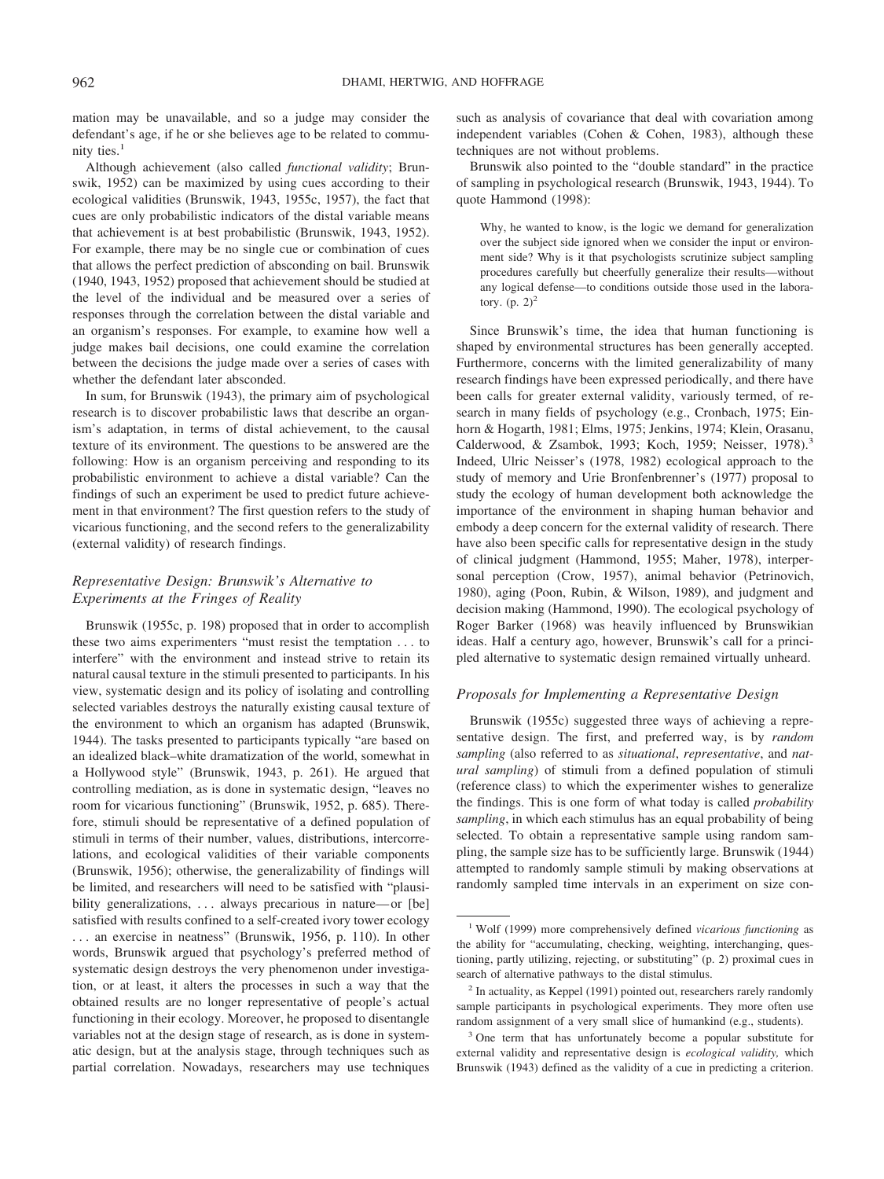mation may be unavailable, and so a judge may consider the defendant's age, if he or she believes age to be related to community ties. $<sup>1</sup>$ </sup>

Although achievement (also called *functional validity*; Brunswik, 1952) can be maximized by using cues according to their ecological validities (Brunswik, 1943, 1955c, 1957), the fact that cues are only probabilistic indicators of the distal variable means that achievement is at best probabilistic (Brunswik, 1943, 1952). For example, there may be no single cue or combination of cues that allows the perfect prediction of absconding on bail. Brunswik (1940, 1943, 1952) proposed that achievement should be studied at the level of the individual and be measured over a series of responses through the correlation between the distal variable and an organism's responses. For example, to examine how well a judge makes bail decisions, one could examine the correlation between the decisions the judge made over a series of cases with whether the defendant later absconded.

In sum, for Brunswik (1943), the primary aim of psychological research is to discover probabilistic laws that describe an organism's adaptation, in terms of distal achievement, to the causal texture of its environment. The questions to be answered are the following: How is an organism perceiving and responding to its probabilistic environment to achieve a distal variable? Can the findings of such an experiment be used to predict future achievement in that environment? The first question refers to the study of vicarious functioning, and the second refers to the generalizability (external validity) of research findings.

### *Representative Design: Brunswik's Alternative to Experiments at the Fringes of Reality*

Brunswik (1955c, p. 198) proposed that in order to accomplish these two aims experimenters "must resist the temptation . . . to interfere" with the environment and instead strive to retain its natural causal texture in the stimuli presented to participants. In his view, systematic design and its policy of isolating and controlling selected variables destroys the naturally existing causal texture of the environment to which an organism has adapted (Brunswik, 1944). The tasks presented to participants typically "are based on an idealized black–white dramatization of the world, somewhat in a Hollywood style" (Brunswik, 1943, p. 261). He argued that controlling mediation, as is done in systematic design, "leaves no room for vicarious functioning" (Brunswik, 1952, p. 685). Therefore, stimuli should be representative of a defined population of stimuli in terms of their number, values, distributions, intercorrelations, and ecological validities of their variable components (Brunswik, 1956); otherwise, the generalizability of findings will be limited, and researchers will need to be satisfied with "plausibility generalizations, ... always precarious in nature—or [be] satisfied with results confined to a self-created ivory tower ecology . . . an exercise in neatness" (Brunswik, 1956, p. 110). In other words, Brunswik argued that psychology's preferred method of systematic design destroys the very phenomenon under investigation, or at least, it alters the processes in such a way that the obtained results are no longer representative of people's actual functioning in their ecology. Moreover, he proposed to disentangle variables not at the design stage of research, as is done in systematic design, but at the analysis stage, through techniques such as partial correlation. Nowadays, researchers may use techniques

such as analysis of covariance that deal with covariation among independent variables (Cohen & Cohen, 1983), although these techniques are not without problems.

Brunswik also pointed to the "double standard" in the practice of sampling in psychological research (Brunswik, 1943, 1944). To quote Hammond (1998):

Why, he wanted to know, is the logic we demand for generalization over the subject side ignored when we consider the input or environment side? Why is it that psychologists scrutinize subject sampling procedures carefully but cheerfully generalize their results—without any logical defense—to conditions outside those used in the laboratory.  $(p. 2)^2$ 

Since Brunswik's time, the idea that human functioning is shaped by environmental structures has been generally accepted. Furthermore, concerns with the limited generalizability of many research findings have been expressed periodically, and there have been calls for greater external validity, variously termed, of research in many fields of psychology (e.g., Cronbach, 1975; Einhorn & Hogarth, 1981; Elms, 1975; Jenkins, 1974; Klein, Orasanu, Calderwood, & Zsambok, 1993; Koch, 1959; Neisser, 1978).<sup>3</sup> Indeed, Ulric Neisser's (1978, 1982) ecological approach to the study of memory and Urie Bronfenbrenner's (1977) proposal to study the ecology of human development both acknowledge the importance of the environment in shaping human behavior and embody a deep concern for the external validity of research. There have also been specific calls for representative design in the study of clinical judgment (Hammond, 1955; Maher, 1978), interpersonal perception (Crow, 1957), animal behavior (Petrinovich, 1980), aging (Poon, Rubin, & Wilson, 1989), and judgment and decision making (Hammond, 1990). The ecological psychology of Roger Barker (1968) was heavily influenced by Brunswikian ideas. Half a century ago, however, Brunswik's call for a principled alternative to systematic design remained virtually unheard.

### *Proposals for Implementing a Representative Design*

Brunswik (1955c) suggested three ways of achieving a representative design. The first, and preferred way, is by *random sampling* (also referred to as *situational*, *representative*, and *natural sampling*) of stimuli from a defined population of stimuli (reference class) to which the experimenter wishes to generalize the findings. This is one form of what today is called *probability sampling*, in which each stimulus has an equal probability of being selected. To obtain a representative sample using random sampling, the sample size has to be sufficiently large. Brunswik (1944) attempted to randomly sample stimuli by making observations at randomly sampled time intervals in an experiment on size con-

<sup>1</sup> Wolf (1999) more comprehensively defined *vicarious functioning* as the ability for "accumulating, checking, weighting, interchanging, questioning, partly utilizing, rejecting, or substituting" (p. 2) proximal cues in search of alternative pathways to the distal stimulus.

 $2 \text{ In actuality, as Kepler (1991) pointed out, researchers rarely randomly}$ sample participants in psychological experiments. They more often use random assignment of a very small slice of humankind (e.g., students).

<sup>&</sup>lt;sup>3</sup> One term that has unfortunately become a popular substitute for external validity and representative design is *ecological validity,* which Brunswik (1943) defined as the validity of a cue in predicting a criterion.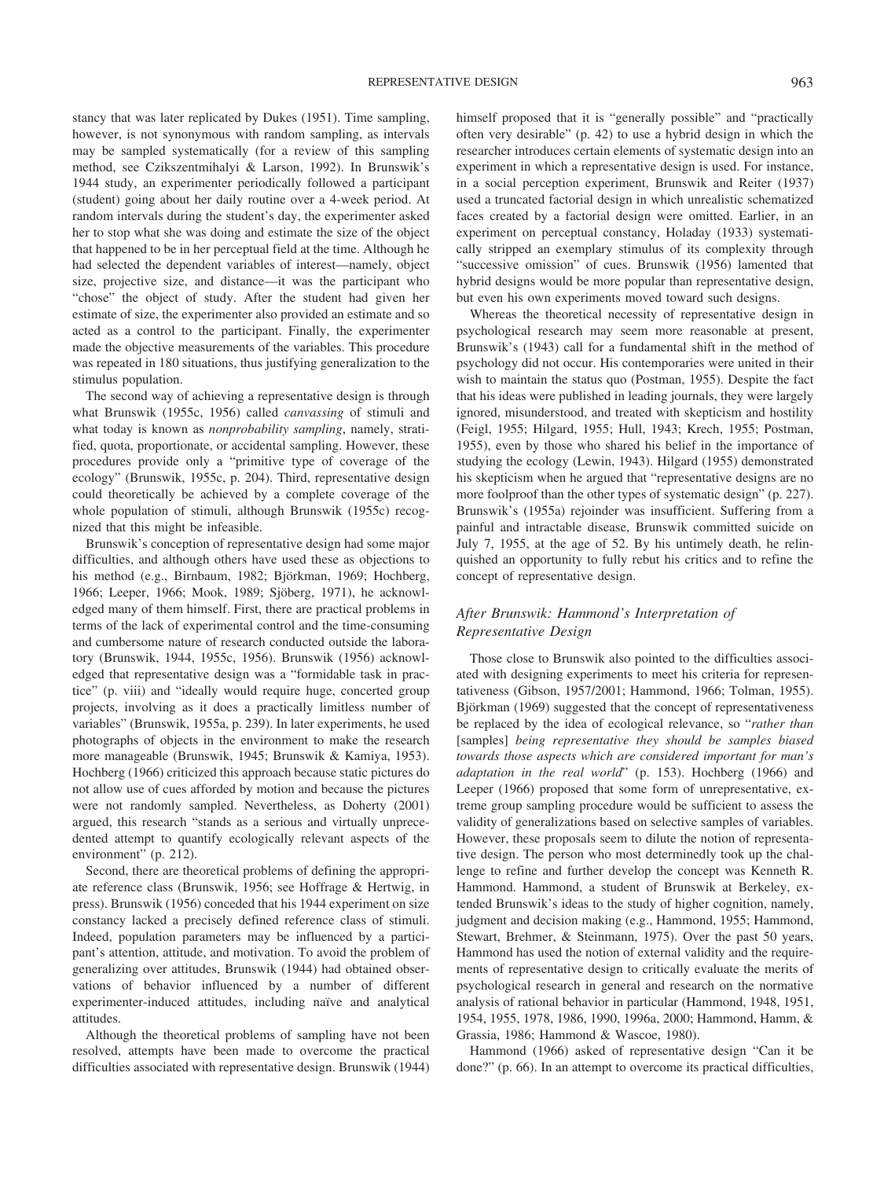stancy that was later replicated by Dukes (1951). Time sampling, however, is not synonymous with random sampling, as intervals may be sampled systematically (for a review of this sampling method, see Czikszentmihalyi & Larson, 1992). In Brunswik's 1944 study, an experimenter periodically followed a participant (student) going about her daily routine over a 4-week period. At random intervals during the student's day, the experimenter asked her to stop what she was doing and estimate the size of the object that happened to be in her perceptual field at the time. Although he had selected the dependent variables of interest—namely, object size, projective size, and distance—it was the participant who "chose" the object of study. After the student had given her estimate of size, the experimenter also provided an estimate and so acted as a control to the participant. Finally, the experimenter made the objective measurements of the variables. This procedure was repeated in 180 situations, thus justifying generalization to the stimulus population.

The second way of achieving a representative design is through what Brunswik (1955c, 1956) called *canvassing* of stimuli and what today is known as *nonprobability sampling*, namely, stratified, quota, proportionate, or accidental sampling. However, these procedures provide only a "primitive type of coverage of the ecology" (Brunswik, 1955c, p. 204). Third, representative design could theoretically be achieved by a complete coverage of the whole population of stimuli, although Brunswik (1955c) recognized that this might be infeasible.

Brunswik's conception of representative design had some major difficulties, and although others have used these as objections to his method (e.g., Birnbaum, 1982; Björkman, 1969; Hochberg, 1966; Leeper, 1966; Mook, 1989; Sjöberg, 1971), he acknowledged many of them himself. First, there are practical problems in terms of the lack of experimental control and the time-consuming and cumbersome nature of research conducted outside the laboratory (Brunswik, 1944, 1955c, 1956). Brunswik (1956) acknowledged that representative design was a "formidable task in practice" (p. viii) and "ideally would require huge, concerted group projects, involving as it does a practically limitless number of variables" (Brunswik, 1955a, p. 239). In later experiments, he used photographs of objects in the environment to make the research more manageable (Brunswik, 1945; Brunswik & Kamiya, 1953). Hochberg (1966) criticized this approach because static pictures do not allow use of cues afforded by motion and because the pictures were not randomly sampled. Nevertheless, as Doherty (2001) argued, this research "stands as a serious and virtually unprecedented attempt to quantify ecologically relevant aspects of the environment" (p. 212).

Second, there are theoretical problems of defining the appropriate reference class (Brunswik, 1956; see Hoffrage & Hertwig, in press). Brunswik (1956) conceded that his 1944 experiment on size constancy lacked a precisely defined reference class of stimuli. Indeed, population parameters may be influenced by a participant's attention, attitude, and motivation. To avoid the problem of generalizing over attitudes, Brunswik (1944) had obtained observations of behavior influenced by a number of different experimenter-induced attitudes, including naïve and analytical attitudes.

Although the theoretical problems of sampling have not been resolved, attempts have been made to overcome the practical difficulties associated with representative design. Brunswik (1944) himself proposed that it is "generally possible" and "practically often very desirable" (p. 42) to use a hybrid design in which the researcher introduces certain elements of systematic design into an experiment in which a representative design is used. For instance, in a social perception experiment, Brunswik and Reiter (1937) used a truncated factorial design in which unrealistic schematized faces created by a factorial design were omitted. Earlier, in an experiment on perceptual constancy, Holaday (1933) systematically stripped an exemplary stimulus of its complexity through "successive omission" of cues. Brunswik (1956) lamented that hybrid designs would be more popular than representative design, but even his own experiments moved toward such designs.

Whereas the theoretical necessity of representative design in psychological research may seem more reasonable at present, Brunswik's (1943) call for a fundamental shift in the method of psychology did not occur. His contemporaries were united in their wish to maintain the status quo (Postman, 1955). Despite the fact that his ideas were published in leading journals, they were largely ignored, misunderstood, and treated with skepticism and hostility (Feigl, 1955; Hilgard, 1955; Hull, 1943; Krech, 1955; Postman, 1955), even by those who shared his belief in the importance of studying the ecology (Lewin, 1943). Hilgard (1955) demonstrated his skepticism when he argued that "representative designs are no more foolproof than the other types of systematic design" (p. 227). Brunswik's (1955a) rejoinder was insufficient. Suffering from a painful and intractable disease, Brunswik committed suicide on July 7, 1955, at the age of 52. By his untimely death, he relinquished an opportunity to fully rebut his critics and to refine the concept of representative design.

## *After Brunswik: Hammond's Interpretation of Representative Design*

Those close to Brunswik also pointed to the difficulties associated with designing experiments to meet his criteria for representativeness (Gibson, 1957/2001; Hammond, 1966; Tolman, 1955). Björkman (1969) suggested that the concept of representativeness be replaced by the idea of ecological relevance, so "*rather than* [samples] *being representative they should be samples biased towards those aspects which are considered important for man's adaptation in the real world*" (p. 153). Hochberg (1966) and Leeper (1966) proposed that some form of unrepresentative, extreme group sampling procedure would be sufficient to assess the validity of generalizations based on selective samples of variables. However, these proposals seem to dilute the notion of representative design. The person who most determinedly took up the challenge to refine and further develop the concept was Kenneth R. Hammond. Hammond, a student of Brunswik at Berkeley, extended Brunswik's ideas to the study of higher cognition, namely, judgment and decision making (e.g., Hammond, 1955; Hammond, Stewart, Brehmer, & Steinmann, 1975). Over the past 50 years, Hammond has used the notion of external validity and the requirements of representative design to critically evaluate the merits of psychological research in general and research on the normative analysis of rational behavior in particular (Hammond, 1948, 1951, 1954, 1955, 1978, 1986, 1990, 1996a, 2000; Hammond, Hamm, & Grassia, 1986; Hammond & Wascoe, 1980).

Hammond (1966) asked of representative design "Can it be done?" (p. 66). In an attempt to overcome its practical difficulties,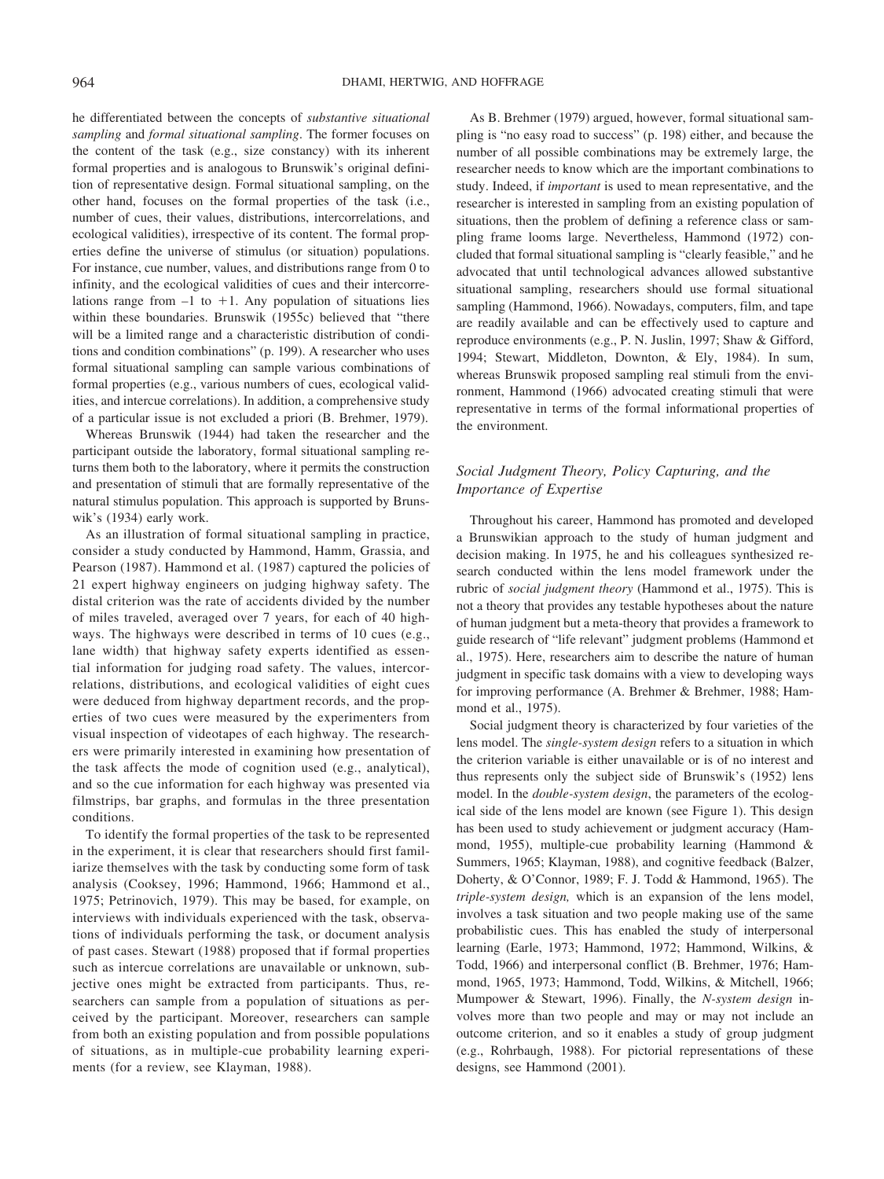he differentiated between the concepts of *substantive situational sampling* and *formal situational sampling*. The former focuses on the content of the task (e.g., size constancy) with its inherent formal properties and is analogous to Brunswik's original definition of representative design. Formal situational sampling, on the other hand, focuses on the formal properties of the task (i.e., number of cues, their values, distributions, intercorrelations, and ecological validities), irrespective of its content. The formal properties define the universe of stimulus (or situation) populations. For instance, cue number, values, and distributions range from 0 to infinity, and the ecological validities of cues and their intercorrelations range from  $-1$  to  $+1$ . Any population of situations lies within these boundaries. Brunswik (1955c) believed that "there will be a limited range and a characteristic distribution of conditions and condition combinations" (p. 199). A researcher who uses formal situational sampling can sample various combinations of formal properties (e.g., various numbers of cues, ecological validities, and intercue correlations). In addition, a comprehensive study of a particular issue is not excluded a priori (B. Brehmer, 1979).

Whereas Brunswik (1944) had taken the researcher and the participant outside the laboratory, formal situational sampling returns them both to the laboratory, where it permits the construction and presentation of stimuli that are formally representative of the natural stimulus population. This approach is supported by Brunswik's (1934) early work.

As an illustration of formal situational sampling in practice, consider a study conducted by Hammond, Hamm, Grassia, and Pearson (1987). Hammond et al. (1987) captured the policies of 21 expert highway engineers on judging highway safety. The distal criterion was the rate of accidents divided by the number of miles traveled, averaged over 7 years, for each of 40 highways. The highways were described in terms of 10 cues (e.g., lane width) that highway safety experts identified as essential information for judging road safety. The values, intercorrelations, distributions, and ecological validities of eight cues were deduced from highway department records, and the properties of two cues were measured by the experimenters from visual inspection of videotapes of each highway. The researchers were primarily interested in examining how presentation of the task affects the mode of cognition used (e.g., analytical), and so the cue information for each highway was presented via filmstrips, bar graphs, and formulas in the three presentation conditions.

To identify the formal properties of the task to be represented in the experiment, it is clear that researchers should first familiarize themselves with the task by conducting some form of task analysis (Cooksey, 1996; Hammond, 1966; Hammond et al., 1975; Petrinovich, 1979). This may be based, for example, on interviews with individuals experienced with the task, observations of individuals performing the task, or document analysis of past cases. Stewart (1988) proposed that if formal properties such as intercue correlations are unavailable or unknown, subjective ones might be extracted from participants. Thus, researchers can sample from a population of situations as perceived by the participant. Moreover, researchers can sample from both an existing population and from possible populations of situations, as in multiple-cue probability learning experiments (for a review, see Klayman, 1988).

As B. Brehmer (1979) argued, however, formal situational sampling is "no easy road to success" (p. 198) either, and because the number of all possible combinations may be extremely large, the researcher needs to know which are the important combinations to study. Indeed, if *important* is used to mean representative, and the researcher is interested in sampling from an existing population of situations, then the problem of defining a reference class or sampling frame looms large. Nevertheless, Hammond (1972) concluded that formal situational sampling is "clearly feasible," and he advocated that until technological advances allowed substantive situational sampling, researchers should use formal situational sampling (Hammond, 1966). Nowadays, computers, film, and tape are readily available and can be effectively used to capture and reproduce environments (e.g., P. N. Juslin, 1997; Shaw & Gifford, 1994; Stewart, Middleton, Downton, & Ely, 1984). In sum, whereas Brunswik proposed sampling real stimuli from the environment, Hammond (1966) advocated creating stimuli that were representative in terms of the formal informational properties of the environment.

## *Social Judgment Theory, Policy Capturing, and the Importance of Expertise*

Throughout his career, Hammond has promoted and developed a Brunswikian approach to the study of human judgment and decision making. In 1975, he and his colleagues synthesized research conducted within the lens model framework under the rubric of *social judgment theory* (Hammond et al., 1975). This is not a theory that provides any testable hypotheses about the nature of human judgment but a meta-theory that provides a framework to guide research of "life relevant" judgment problems (Hammond et al., 1975). Here, researchers aim to describe the nature of human judgment in specific task domains with a view to developing ways for improving performance (A. Brehmer & Brehmer, 1988; Hammond et al., 1975).

Social judgment theory is characterized by four varieties of the lens model. The *single-system design* refers to a situation in which the criterion variable is either unavailable or is of no interest and thus represents only the subject side of Brunswik's (1952) lens model. In the *double-system design*, the parameters of the ecological side of the lens model are known (see Figure 1). This design has been used to study achievement or judgment accuracy (Hammond, 1955), multiple-cue probability learning (Hammond & Summers, 1965; Klayman, 1988), and cognitive feedback (Balzer, Doherty, & O'Connor, 1989; F. J. Todd & Hammond, 1965). The *triple-system design,* which is an expansion of the lens model, involves a task situation and two people making use of the same probabilistic cues. This has enabled the study of interpersonal learning (Earle, 1973; Hammond, 1972; Hammond, Wilkins, & Todd, 1966) and interpersonal conflict (B. Brehmer, 1976; Hammond, 1965, 1973; Hammond, Todd, Wilkins, & Mitchell, 1966; Mumpower & Stewart, 1996). Finally, the *N-system design* involves more than two people and may or may not include an outcome criterion, and so it enables a study of group judgment (e.g., Rohrbaugh, 1988). For pictorial representations of these designs, see Hammond (2001).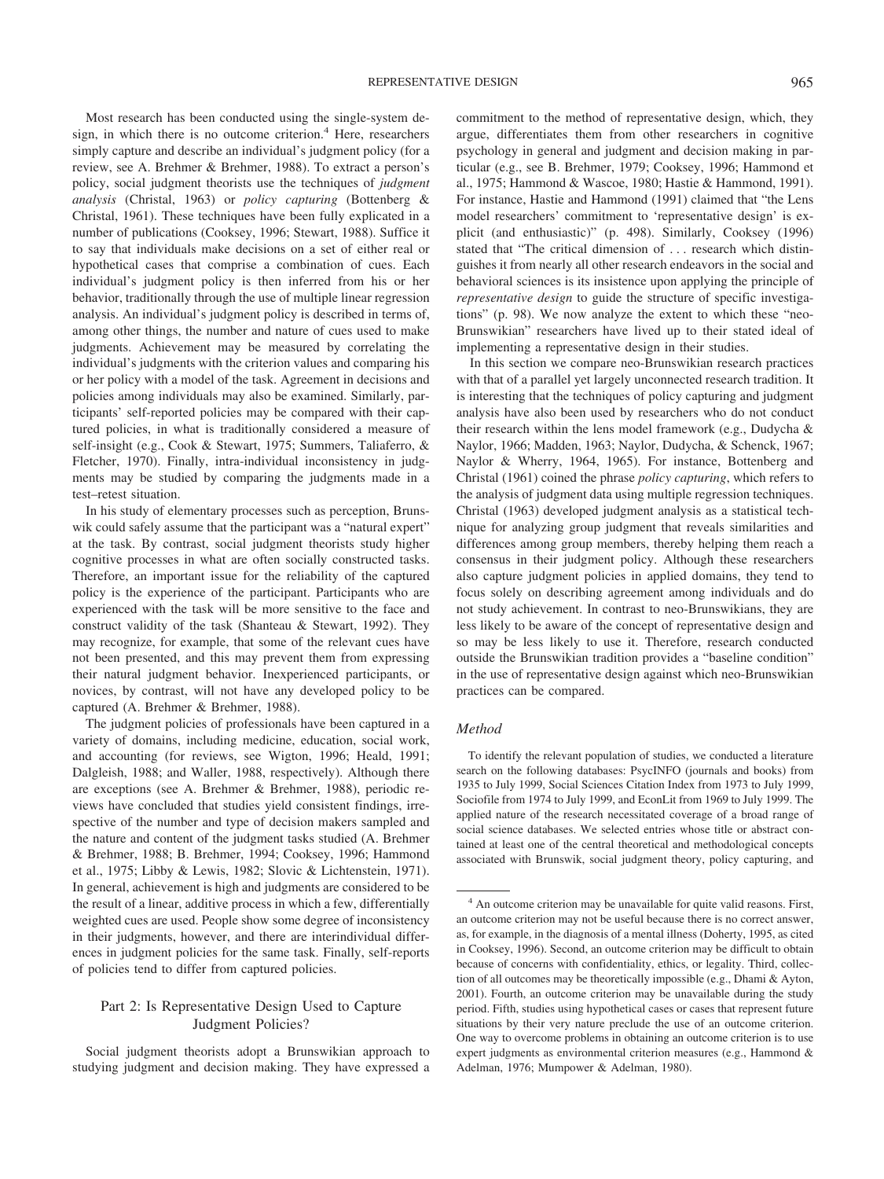Most research has been conducted using the single-system design, in which there is no outcome criterion.<sup>4</sup> Here, researchers simply capture and describe an individual's judgment policy (for a review, see A. Brehmer & Brehmer, 1988). To extract a person's policy, social judgment theorists use the techniques of *judgment analysis* (Christal, 1963) or *policy capturing* (Bottenberg & Christal, 1961). These techniques have been fully explicated in a number of publications (Cooksey, 1996; Stewart, 1988). Suffice it to say that individuals make decisions on a set of either real or hypothetical cases that comprise a combination of cues. Each individual's judgment policy is then inferred from his or her behavior, traditionally through the use of multiple linear regression analysis. An individual's judgment policy is described in terms of, among other things, the number and nature of cues used to make judgments. Achievement may be measured by correlating the individual's judgments with the criterion values and comparing his or her policy with a model of the task. Agreement in decisions and policies among individuals may also be examined. Similarly, participants' self-reported policies may be compared with their captured policies, in what is traditionally considered a measure of self-insight (e.g., Cook & Stewart, 1975; Summers, Taliaferro, & Fletcher, 1970). Finally, intra-individual inconsistency in judgments may be studied by comparing the judgments made in a test–retest situation.

In his study of elementary processes such as perception, Brunswik could safely assume that the participant was a "natural expert" at the task. By contrast, social judgment theorists study higher cognitive processes in what are often socially constructed tasks. Therefore, an important issue for the reliability of the captured policy is the experience of the participant. Participants who are experienced with the task will be more sensitive to the face and construct validity of the task (Shanteau & Stewart, 1992). They may recognize, for example, that some of the relevant cues have not been presented, and this may prevent them from expressing their natural judgment behavior. Inexperienced participants, or novices, by contrast, will not have any developed policy to be captured (A. Brehmer & Brehmer, 1988).

The judgment policies of professionals have been captured in a variety of domains, including medicine, education, social work, and accounting (for reviews, see Wigton, 1996; Heald, 1991; Dalgleish, 1988; and Waller, 1988, respectively). Although there are exceptions (see A. Brehmer & Brehmer, 1988), periodic reviews have concluded that studies yield consistent findings, irrespective of the number and type of decision makers sampled and the nature and content of the judgment tasks studied (A. Brehmer & Brehmer, 1988; B. Brehmer, 1994; Cooksey, 1996; Hammond et al., 1975; Libby & Lewis, 1982; Slovic & Lichtenstein, 1971). In general, achievement is high and judgments are considered to be the result of a linear, additive process in which a few, differentially weighted cues are used. People show some degree of inconsistency in their judgments, however, and there are interindividual differences in judgment policies for the same task. Finally, self-reports of policies tend to differ from captured policies.

### Part 2: Is Representative Design Used to Capture Judgment Policies?

Social judgment theorists adopt a Brunswikian approach to studying judgment and decision making. They have expressed a commitment to the method of representative design, which, they argue, differentiates them from other researchers in cognitive psychology in general and judgment and decision making in particular (e.g., see B. Brehmer, 1979; Cooksey, 1996; Hammond et al., 1975; Hammond & Wascoe, 1980; Hastie & Hammond, 1991). For instance, Hastie and Hammond (1991) claimed that "the Lens model researchers' commitment to 'representative design' is explicit (and enthusiastic)" (p. 498). Similarly, Cooksey (1996) stated that "The critical dimension of . . . research which distinguishes it from nearly all other research endeavors in the social and behavioral sciences is its insistence upon applying the principle of *representative design* to guide the structure of specific investigations" (p. 98). We now analyze the extent to which these "neo-Brunswikian" researchers have lived up to their stated ideal of implementing a representative design in their studies.

In this section we compare neo-Brunswikian research practices with that of a parallel yet largely unconnected research tradition. It is interesting that the techniques of policy capturing and judgment analysis have also been used by researchers who do not conduct their research within the lens model framework (e.g., Dudycha & Naylor, 1966; Madden, 1963; Naylor, Dudycha, & Schenck, 1967; Naylor & Wherry, 1964, 1965). For instance, Bottenberg and Christal (1961) coined the phrase *policy capturing*, which refers to the analysis of judgment data using multiple regression techniques. Christal (1963) developed judgment analysis as a statistical technique for analyzing group judgment that reveals similarities and differences among group members, thereby helping them reach a consensus in their judgment policy. Although these researchers also capture judgment policies in applied domains, they tend to focus solely on describing agreement among individuals and do not study achievement. In contrast to neo-Brunswikians, they are less likely to be aware of the concept of representative design and so may be less likely to use it. Therefore, research conducted outside the Brunswikian tradition provides a "baseline condition" in the use of representative design against which neo-Brunswikian practices can be compared.

#### *Method*

To identify the relevant population of studies, we conducted a literature search on the following databases: PsycINFO (journals and books) from 1935 to July 1999, Social Sciences Citation Index from 1973 to July 1999, Sociofile from 1974 to July 1999, and EconLit from 1969 to July 1999. The applied nature of the research necessitated coverage of a broad range of social science databases. We selected entries whose title or abstract contained at least one of the central theoretical and methodological concepts associated with Brunswik, social judgment theory, policy capturing, and

<sup>4</sup> An outcome criterion may be unavailable for quite valid reasons. First, an outcome criterion may not be useful because there is no correct answer, as, for example, in the diagnosis of a mental illness (Doherty, 1995, as cited in Cooksey, 1996). Second, an outcome criterion may be difficult to obtain because of concerns with confidentiality, ethics, or legality. Third, collection of all outcomes may be theoretically impossible (e.g., Dhami & Ayton, 2001). Fourth, an outcome criterion may be unavailable during the study period. Fifth, studies using hypothetical cases or cases that represent future situations by their very nature preclude the use of an outcome criterion. One way to overcome problems in obtaining an outcome criterion is to use expert judgments as environmental criterion measures (e.g., Hammond & Adelman, 1976; Mumpower & Adelman, 1980).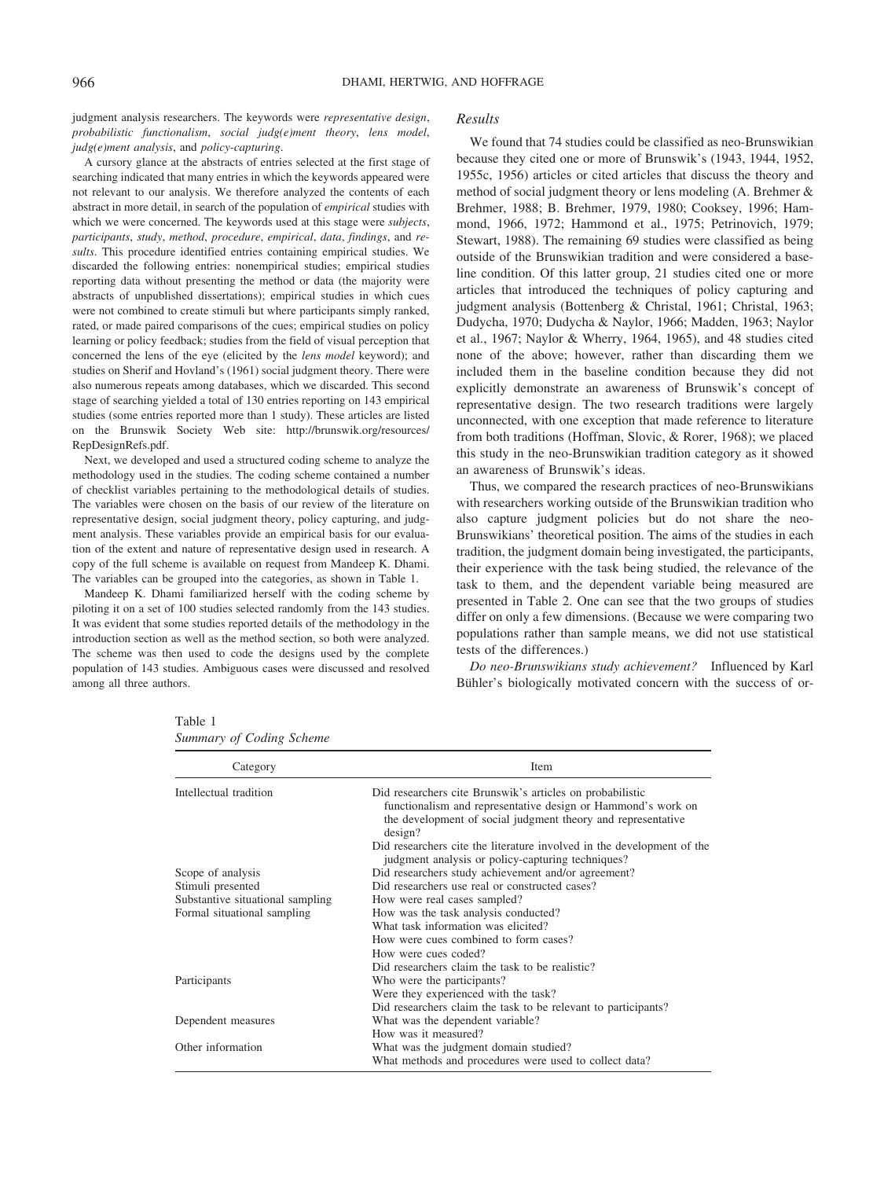judgment analysis researchers. The keywords were *representative design*, *probabilistic functionalism*, *social judg(e)ment theory*, *lens model*, *judg(e)ment analysis*, and *policy-capturing*.

A cursory glance at the abstracts of entries selected at the first stage of searching indicated that many entries in which the keywords appeared were not relevant to our analysis. We therefore analyzed the contents of each abstract in more detail, in search of the population of *empirical* studies with which we were concerned. The keywords used at this stage were *subjects*, *participants*, *study*, *method*, *procedure*, *empirical*, *data*, *findings*, and *results*. This procedure identified entries containing empirical studies. We discarded the following entries: nonempirical studies; empirical studies reporting data without presenting the method or data (the majority were abstracts of unpublished dissertations); empirical studies in which cues were not combined to create stimuli but where participants simply ranked, rated, or made paired comparisons of the cues; empirical studies on policy learning or policy feedback; studies from the field of visual perception that concerned the lens of the eye (elicited by the *lens model* keyword); and studies on Sherif and Hovland's (1961) social judgment theory. There were also numerous repeats among databases, which we discarded. This second stage of searching yielded a total of 130 entries reporting on 143 empirical studies (some entries reported more than 1 study). These articles are listed on the Brunswik Society Web site: http://brunswik.org/resources/ RepDesignRefs.pdf.

Next, we developed and used a structured coding scheme to analyze the methodology used in the studies. The coding scheme contained a number of checklist variables pertaining to the methodological details of studies. The variables were chosen on the basis of our review of the literature on representative design, social judgment theory, policy capturing, and judgment analysis. These variables provide an empirical basis for our evaluation of the extent and nature of representative design used in research. A copy of the full scheme is available on request from Mandeep K. Dhami. The variables can be grouped into the categories, as shown in Table 1.

Mandeep K. Dhami familiarized herself with the coding scheme by piloting it on a set of 100 studies selected randomly from the 143 studies. It was evident that some studies reported details of the methodology in the introduction section as well as the method section, so both were analyzed. The scheme was then used to code the designs used by the complete population of 143 studies. Ambiguous cases were discussed and resolved among all three authors.

#### *Results*

We found that 74 studies could be classified as neo-Brunswikian because they cited one or more of Brunswik's (1943, 1944, 1952, 1955c, 1956) articles or cited articles that discuss the theory and method of social judgment theory or lens modeling (A. Brehmer & Brehmer, 1988; B. Brehmer, 1979, 1980; Cooksey, 1996; Hammond, 1966, 1972; Hammond et al., 1975; Petrinovich, 1979; Stewart, 1988). The remaining 69 studies were classified as being outside of the Brunswikian tradition and were considered a baseline condition. Of this latter group, 21 studies cited one or more articles that introduced the techniques of policy capturing and judgment analysis (Bottenberg & Christal, 1961; Christal, 1963; Dudycha, 1970; Dudycha & Naylor, 1966; Madden, 1963; Naylor et al., 1967; Naylor & Wherry, 1964, 1965), and 48 studies cited none of the above; however, rather than discarding them we included them in the baseline condition because they did not explicitly demonstrate an awareness of Brunswik's concept of representative design. The two research traditions were largely unconnected, with one exception that made reference to literature from both traditions (Hoffman, Slovic, & Rorer, 1968); we placed this study in the neo-Brunswikian tradition category as it showed an awareness of Brunswik's ideas.

Thus, we compared the research practices of neo-Brunswikians with researchers working outside of the Brunswikian tradition who also capture judgment policies but do not share the neo-Brunswikians' theoretical position. The aims of the studies in each tradition, the judgment domain being investigated, the participants, their experience with the task being studied, the relevance of the task to them, and the dependent variable being measured are presented in Table 2. One can see that the two groups of studies differ on only a few dimensions. (Because we were comparing two populations rather than sample means, we did not use statistical tests of the differences.)

*Do neo-Brunswikians study achievement?* Influenced by Karl Bühler's biologically motivated concern with the success of or-

| Category                         | Item                                                                                                                                                                                                 |
|----------------------------------|------------------------------------------------------------------------------------------------------------------------------------------------------------------------------------------------------|
| Intellectual tradition           | Did researchers cite Brunswik's articles on probabilistic<br>functionalism and representative design or Hammond's work on<br>the development of social judgment theory and representative<br>design? |
|                                  | Did researchers cite the literature involved in the development of the<br>judgment analysis or policy-capturing techniques?                                                                          |
| Scope of analysis                | Did researchers study achievement and/or agreement?                                                                                                                                                  |
| Stimuli presented                | Did researchers use real or constructed cases?                                                                                                                                                       |
| Substantive situational sampling | How were real cases sampled?                                                                                                                                                                         |
| Formal situational sampling      | How was the task analysis conducted?                                                                                                                                                                 |
|                                  | What task information was elicited?                                                                                                                                                                  |
|                                  | How were cues combined to form cases?                                                                                                                                                                |
|                                  | How were cues coded?                                                                                                                                                                                 |
|                                  | Did researchers claim the task to be realistic?                                                                                                                                                      |
| Participants                     | Who were the participants?                                                                                                                                                                           |
|                                  | Were they experienced with the task?                                                                                                                                                                 |
|                                  | Did researchers claim the task to be relevant to participants?                                                                                                                                       |
| Dependent measures               | What was the dependent variable?                                                                                                                                                                     |
|                                  | How was it measured?                                                                                                                                                                                 |
| Other information                | What was the judgment domain studied?                                                                                                                                                                |
|                                  | What methods and procedures were used to collect data?                                                                                                                                               |

Table 1 *Summary of Coding Scheme*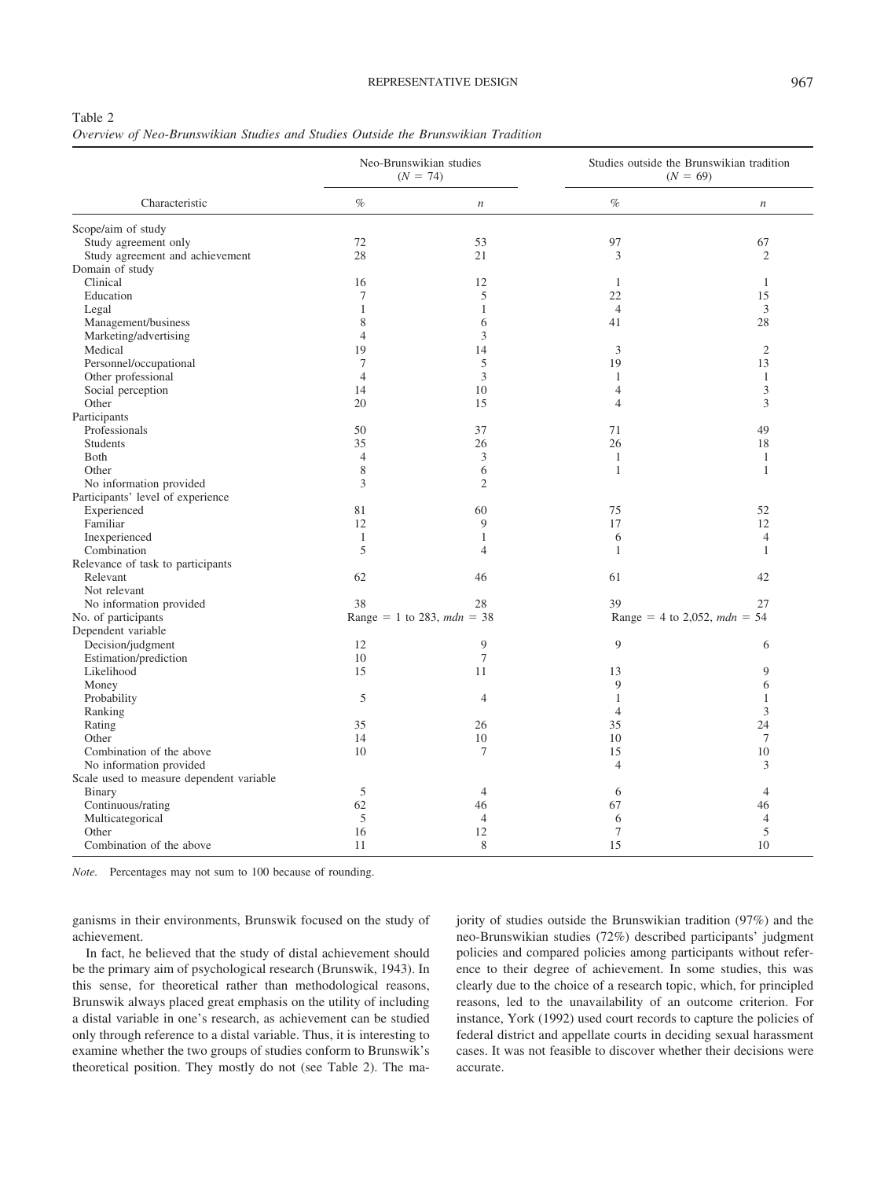#### REPRESENTATIVE DESIGN 967

#### Table 2

| Overview of Neo-Brunswikian Studies and Studies Outside the Brunswikian Tradition |  |  |  |  |
|-----------------------------------------------------------------------------------|--|--|--|--|
|-----------------------------------------------------------------------------------|--|--|--|--|

|                                          | Neo-Brunswikian studies<br>$(N = 74)$ |                            | Studies outside the Brunswikian tradition<br>$(N = 69)$ |                              |
|------------------------------------------|---------------------------------------|----------------------------|---------------------------------------------------------|------------------------------|
| Characteristic                           | $\%$                                  | $\boldsymbol{n}$           | $\%$                                                    | $\boldsymbol{n}$             |
| Scope/aim of study                       |                                       |                            |                                                         |                              |
| Study agreement only                     | 72                                    | 53                         | 97                                                      | 67                           |
| Study agreement and achievement          | 28                                    | 21                         | 3                                                       | $\overline{c}$               |
| Domain of study                          |                                       |                            |                                                         |                              |
| Clinical                                 | 16                                    | 12                         | 1                                                       | $\overline{1}$               |
| Education                                | 7                                     | 5                          | 22                                                      | 15                           |
| Legal                                    | 1                                     | $\mathbf{1}$               | $\overline{4}$                                          | 3                            |
| Management/business                      | 8                                     | 6                          | 41                                                      | 28                           |
| Marketing/advertising                    | $\overline{4}$                        | 3                          |                                                         |                              |
| Medical                                  | 19                                    | 14                         | 3                                                       | $\overline{c}$               |
| Personnel/occupational                   | 7                                     | 5                          | 19                                                      | 13                           |
| Other professional                       | $\overline{4}$                        | 3                          | 1                                                       | $\mathbf{1}$                 |
| Social perception                        | 14                                    | 10                         | $\overline{4}$                                          | 3                            |
| Other                                    | 20                                    | 15                         | 4                                                       | 3                            |
| Participants                             |                                       |                            |                                                         |                              |
| Professionals                            | 50                                    | 37                         | 71                                                      | 49                           |
| <b>Students</b>                          | 35                                    | 26                         | 26                                                      | 18                           |
| <b>B</b> oth                             | $\overline{4}$                        | 3                          | $\mathbf{1}$                                            | $\mathbf{1}$                 |
| Other                                    | $\,$ 8 $\,$                           | 6                          | $\mathbf{1}$                                            | $\mathbf{1}$                 |
| No information provided                  | 3                                     | $\overline{2}$             |                                                         |                              |
| Participants' level of experience        |                                       |                            |                                                         |                              |
| Experienced                              | 81                                    | 60                         | 75                                                      | 52                           |
| Familiar                                 | 12                                    | 9                          | 17                                                      | 12                           |
| Inexperienced                            | $\mathbf{1}$                          | $\mathbf{1}$               | 6                                                       | $\overline{4}$               |
| Combination                              | 5                                     | $\overline{4}$             | 1                                                       | 1                            |
| Relevance of task to participants        |                                       |                            |                                                         |                              |
| Relevant                                 | 62                                    | 46                         | 61                                                      | 42                           |
| Not relevant                             |                                       |                            |                                                         |                              |
| No information provided                  | 38                                    | 28                         | 39                                                      | 27                           |
| No. of participants                      |                                       | Range = 1 to 283, mdn = 38 |                                                         | Range = 4 to 2,052, mdn = 54 |
| Dependent variable                       |                                       |                            |                                                         |                              |
| Decision/judgment                        | 12                                    | 9                          | 9                                                       | 6                            |
| Estimation/prediction                    | 10                                    | 7                          |                                                         |                              |
| Likelihood                               | 15                                    | 11                         | 13                                                      | 9                            |
| Money                                    |                                       |                            | 9                                                       | 6                            |
| Probability                              | 5                                     | $\overline{4}$             | $\mathbf{1}$                                            | $\mathbf{1}$                 |
| Ranking                                  |                                       |                            | $\overline{4}$                                          | 3                            |
| Rating                                   | 35                                    | 26                         | 35                                                      | 24                           |
| Other                                    | 14                                    | 10                         | 10                                                      | $7\phantom{.0}$              |
| Combination of the above                 | 10                                    | 7                          | 15                                                      | 10                           |
| No information provided                  |                                       |                            | $\overline{4}$                                          | 3                            |
| Scale used to measure dependent variable |                                       |                            |                                                         |                              |
| <b>Binary</b>                            | 5                                     | $\overline{4}$             | 6                                                       | $\overline{4}$               |
| Continuous/rating                        | 62                                    | 46                         | 67                                                      | 46                           |
| Multicategorical                         | 5                                     | $\overline{4}$             | 6                                                       | $\overline{4}$               |
| Other                                    | 16                                    | 12                         | 7                                                       | 5                            |
| Combination of the above                 | 11                                    | 8                          | 15                                                      | 10                           |
|                                          |                                       |                            |                                                         |                              |

*Note.* Percentages may not sum to 100 because of rounding.

ganisms in their environments, Brunswik focused on the study of achievement.

In fact, he believed that the study of distal achievement should be the primary aim of psychological research (Brunswik, 1943). In this sense, for theoretical rather than methodological reasons, Brunswik always placed great emphasis on the utility of including a distal variable in one's research, as achievement can be studied only through reference to a distal variable. Thus, it is interesting to examine whether the two groups of studies conform to Brunswik's theoretical position. They mostly do not (see Table 2). The majority of studies outside the Brunswikian tradition (97%) and the neo-Brunswikian studies (72%) described participants' judgment policies and compared policies among participants without reference to their degree of achievement. In some studies, this was clearly due to the choice of a research topic, which, for principled reasons, led to the unavailability of an outcome criterion. For instance, York (1992) used court records to capture the policies of federal district and appellate courts in deciding sexual harassment cases. It was not feasible to discover whether their decisions were accurate.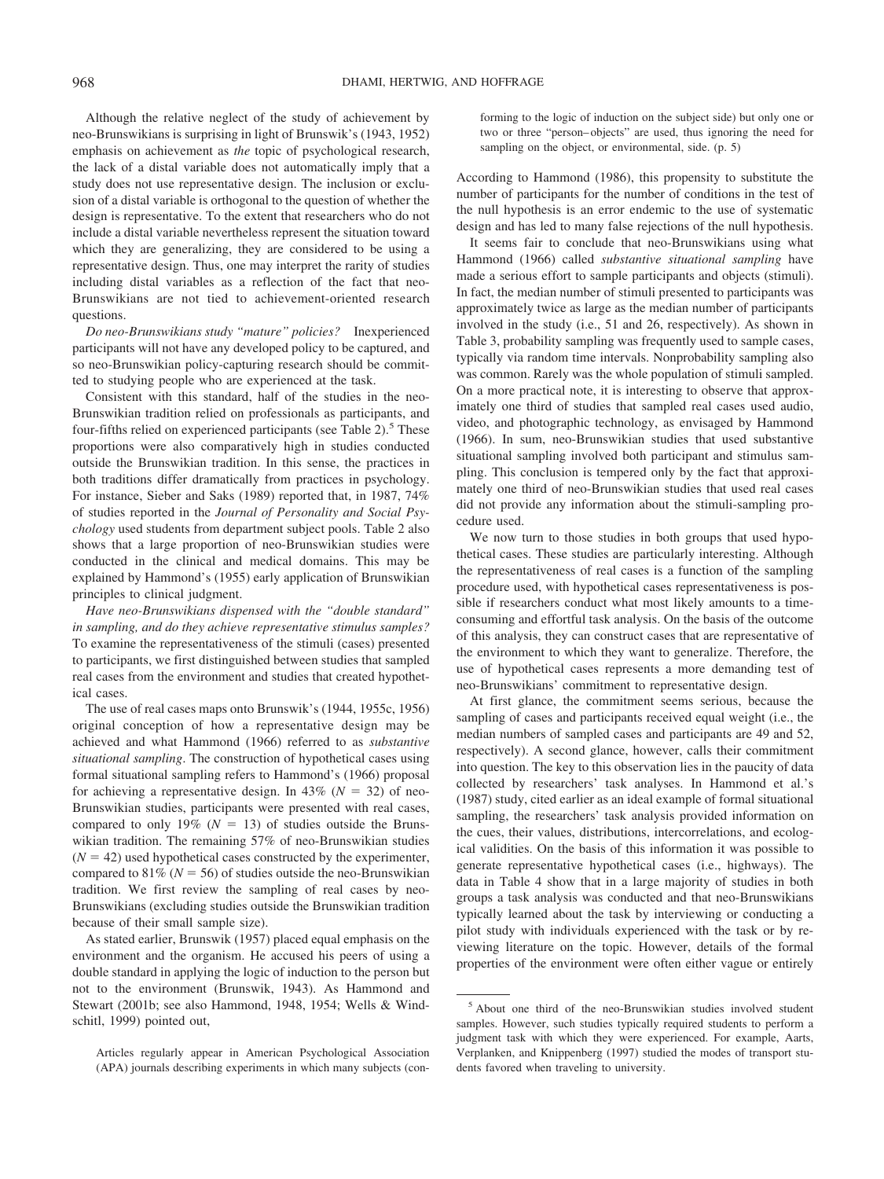Although the relative neglect of the study of achievement by neo-Brunswikians is surprising in light of Brunswik's (1943, 1952) emphasis on achievement as *the* topic of psychological research, the lack of a distal variable does not automatically imply that a study does not use representative design. The inclusion or exclusion of a distal variable is orthogonal to the question of whether the design is representative. To the extent that researchers who do not include a distal variable nevertheless represent the situation toward which they are generalizing, they are considered to be using a representative design. Thus, one may interpret the rarity of studies including distal variables as a reflection of the fact that neo-Brunswikians are not tied to achievement-oriented research questions.

*Do neo-Brunswikians study "mature" policies?* Inexperienced participants will not have any developed policy to be captured, and so neo-Brunswikian policy-capturing research should be committed to studying people who are experienced at the task.

Consistent with this standard, half of the studies in the neo-Brunswikian tradition relied on professionals as participants, and four-fifths relied on experienced participants (see Table 2).<sup>5</sup> These proportions were also comparatively high in studies conducted outside the Brunswikian tradition. In this sense, the practices in both traditions differ dramatically from practices in psychology. For instance, Sieber and Saks (1989) reported that, in 1987, 74% of studies reported in the *Journal of Personality and Social Psychology* used students from department subject pools. Table 2 also shows that a large proportion of neo-Brunswikian studies were conducted in the clinical and medical domains. This may be explained by Hammond's (1955) early application of Brunswikian principles to clinical judgment.

*Have neo-Brunswikians dispensed with the "double standard" in sampling, and do they achieve representative stimulus samples?* To examine the representativeness of the stimuli (cases) presented to participants, we first distinguished between studies that sampled real cases from the environment and studies that created hypothetical cases.

The use of real cases maps onto Brunswik's (1944, 1955c, 1956) original conception of how a representative design may be achieved and what Hammond (1966) referred to as *substantive situational sampling*. The construction of hypothetical cases using formal situational sampling refers to Hammond's (1966) proposal for achieving a representative design. In  $43\%$  ( $N = 32$ ) of neo-Brunswikian studies, participants were presented with real cases, compared to only 19% ( $N = 13$ ) of studies outside the Brunswikian tradition. The remaining 57% of neo-Brunswikian studies  $(N = 42)$  used hypothetical cases constructed by the experimenter, compared to  $81\%$  ( $N = 56$ ) of studies outside the neo-Brunswikian tradition. We first review the sampling of real cases by neo-Brunswikians (excluding studies outside the Brunswikian tradition because of their small sample size).

As stated earlier, Brunswik (1957) placed equal emphasis on the environment and the organism. He accused his peers of using a double standard in applying the logic of induction to the person but not to the environment (Brunswik, 1943). As Hammond and Stewart (2001b; see also Hammond, 1948, 1954; Wells & Windschitl, 1999) pointed out,

Articles regularly appear in American Psychological Association (APA) journals describing experiments in which many subjects (conforming to the logic of induction on the subject side) but only one or two or three "person– objects" are used, thus ignoring the need for sampling on the object, or environmental, side. (p. 5)

According to Hammond (1986), this propensity to substitute the number of participants for the number of conditions in the test of the null hypothesis is an error endemic to the use of systematic design and has led to many false rejections of the null hypothesis.

It seems fair to conclude that neo-Brunswikians using what Hammond (1966) called *substantive situational sampling* have made a serious effort to sample participants and objects (stimuli). In fact, the median number of stimuli presented to participants was approximately twice as large as the median number of participants involved in the study (i.e., 51 and 26, respectively). As shown in Table 3, probability sampling was frequently used to sample cases, typically via random time intervals. Nonprobability sampling also was common. Rarely was the whole population of stimuli sampled. On a more practical note, it is interesting to observe that approximately one third of studies that sampled real cases used audio, video, and photographic technology, as envisaged by Hammond (1966). In sum, neo-Brunswikian studies that used substantive situational sampling involved both participant and stimulus sampling. This conclusion is tempered only by the fact that approximately one third of neo-Brunswikian studies that used real cases did not provide any information about the stimuli-sampling procedure used.

We now turn to those studies in both groups that used hypothetical cases. These studies are particularly interesting. Although the representativeness of real cases is a function of the sampling procedure used, with hypothetical cases representativeness is possible if researchers conduct what most likely amounts to a timeconsuming and effortful task analysis. On the basis of the outcome of this analysis, they can construct cases that are representative of the environment to which they want to generalize. Therefore, the use of hypothetical cases represents a more demanding test of neo-Brunswikians' commitment to representative design.

At first glance, the commitment seems serious, because the sampling of cases and participants received equal weight (i.e., the median numbers of sampled cases and participants are 49 and 52, respectively). A second glance, however, calls their commitment into question. The key to this observation lies in the paucity of data collected by researchers' task analyses. In Hammond et al.'s (1987) study, cited earlier as an ideal example of formal situational sampling, the researchers' task analysis provided information on the cues, their values, distributions, intercorrelations, and ecological validities. On the basis of this information it was possible to generate representative hypothetical cases (i.e., highways). The data in Table 4 show that in a large majority of studies in both groups a task analysis was conducted and that neo-Brunswikians typically learned about the task by interviewing or conducting a pilot study with individuals experienced with the task or by reviewing literature on the topic. However, details of the formal properties of the environment were often either vague or entirely

<sup>5</sup> About one third of the neo-Brunswikian studies involved student samples. However, such studies typically required students to perform a judgment task with which they were experienced. For example, Aarts, Verplanken, and Knippenberg (1997) studied the modes of transport students favored when traveling to university.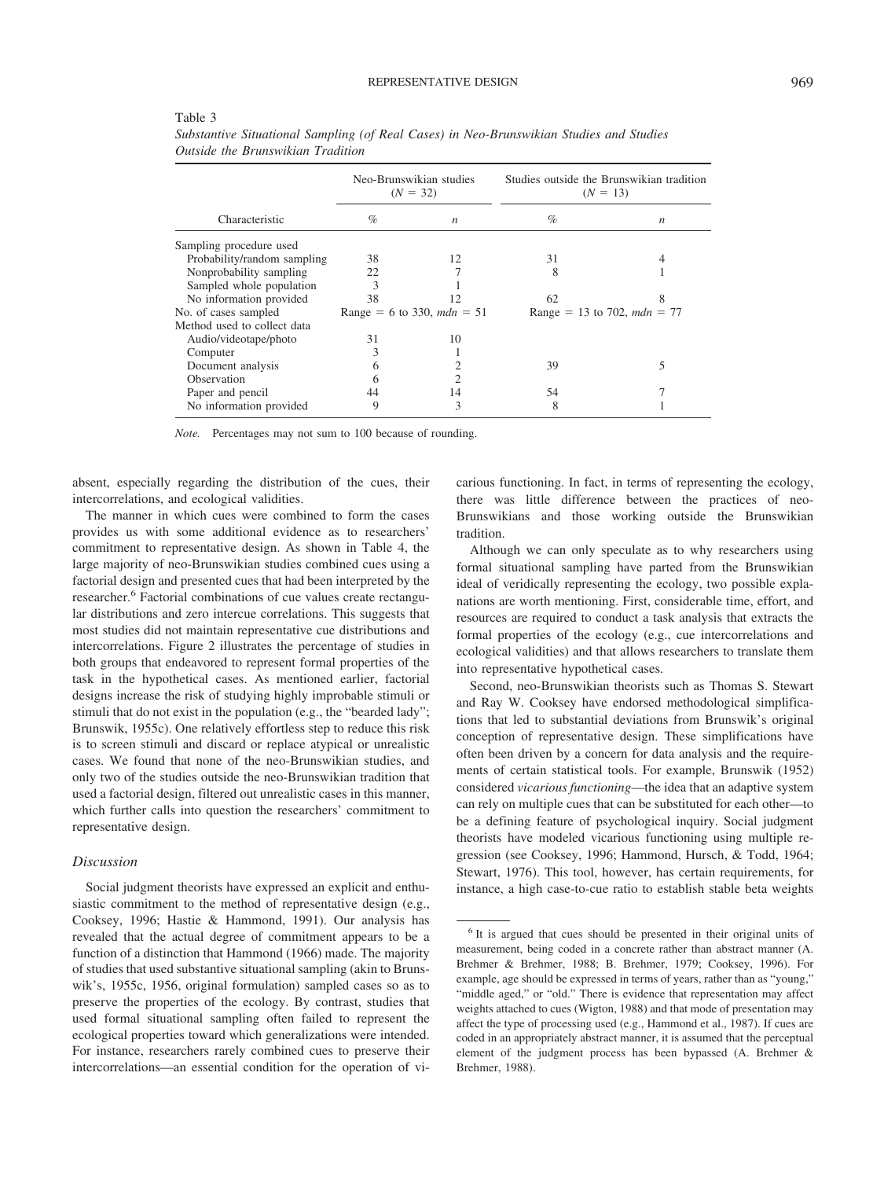|--|--|--|--|--|

|                             | Neo-Brunswikian studies<br>$(N = 32)$ |                              | Studies outside the Brunswikian tradition<br>$(N = 13)$ |   |
|-----------------------------|---------------------------------------|------------------------------|---------------------------------------------------------|---|
| Characteristic              | $\%$                                  | $\boldsymbol{n}$             | $\%$                                                    | n |
| Sampling procedure used     |                                       |                              |                                                         |   |
| Probability/random sampling | 38                                    | 12                           | 31                                                      |   |
| Nonprobability sampling     | 22                                    |                              | 8                                                       |   |
| Sampled whole population    | 3                                     |                              |                                                         |   |
| No information provided     | 38                                    | 12                           | 62                                                      | 8 |
| No. of cases sampled        |                                       | Range = 6 to 330, $mdn = 51$ | Range = 13 to 702, $mdn = 77$                           |   |
| Method used to collect data |                                       |                              |                                                         |   |
| Audio/videotape/photo       | 31                                    | 10                           |                                                         |   |
| Computer                    | 3                                     |                              |                                                         |   |
| Document analysis           | 6                                     |                              | 39                                                      |   |
| <b>Observation</b>          | h                                     |                              |                                                         |   |
| Paper and pencil            | 44                                    | 14                           | 54                                                      |   |
| No information provided     | 9                                     | 3                            | 8                                                       |   |
|                             |                                       |                              |                                                         |   |

*Substantive Situational Sampling (of Real Cases) in Neo-Brunswikian Studies and Studies Outside the Brunswikian Tradition*

*Note.* Percentages may not sum to 100 because of rounding.

absent, especially regarding the distribution of the cues, their intercorrelations, and ecological validities.

The manner in which cues were combined to form the cases provides us with some additional evidence as to researchers' commitment to representative design. As shown in Table 4, the large majority of neo-Brunswikian studies combined cues using a factorial design and presented cues that had been interpreted by the researcher.<sup>6</sup> Factorial combinations of cue values create rectangular distributions and zero intercue correlations. This suggests that most studies did not maintain representative cue distributions and intercorrelations. Figure 2 illustrates the percentage of studies in both groups that endeavored to represent formal properties of the task in the hypothetical cases. As mentioned earlier, factorial designs increase the risk of studying highly improbable stimuli or stimuli that do not exist in the population (e.g., the "bearded lady"; Brunswik, 1955c). One relatively effortless step to reduce this risk is to screen stimuli and discard or replace atypical or unrealistic cases. We found that none of the neo-Brunswikian studies, and only two of the studies outside the neo-Brunswikian tradition that used a factorial design, filtered out unrealistic cases in this manner, which further calls into question the researchers' commitment to representative design.

### *Discussion*

Social judgment theorists have expressed an explicit and enthusiastic commitment to the method of representative design (e.g., Cooksey, 1996; Hastie & Hammond, 1991). Our analysis has revealed that the actual degree of commitment appears to be a function of a distinction that Hammond (1966) made. The majority of studies that used substantive situational sampling (akin to Brunswik's, 1955c, 1956, original formulation) sampled cases so as to preserve the properties of the ecology. By contrast, studies that used formal situational sampling often failed to represent the ecological properties toward which generalizations were intended. For instance, researchers rarely combined cues to preserve their intercorrelations—an essential condition for the operation of vicarious functioning. In fact, in terms of representing the ecology, there was little difference between the practices of neo-Brunswikians and those working outside the Brunswikian tradition.

Although we can only speculate as to why researchers using formal situational sampling have parted from the Brunswikian ideal of veridically representing the ecology, two possible explanations are worth mentioning. First, considerable time, effort, and resources are required to conduct a task analysis that extracts the formal properties of the ecology (e.g., cue intercorrelations and ecological validities) and that allows researchers to translate them into representative hypothetical cases.

Second, neo-Brunswikian theorists such as Thomas S. Stewart and Ray W. Cooksey have endorsed methodological simplifications that led to substantial deviations from Brunswik's original conception of representative design. These simplifications have often been driven by a concern for data analysis and the requirements of certain statistical tools. For example, Brunswik (1952) considered *vicarious functioning*—the idea that an adaptive system can rely on multiple cues that can be substituted for each other—to be a defining feature of psychological inquiry. Social judgment theorists have modeled vicarious functioning using multiple regression (see Cooksey, 1996; Hammond, Hursch, & Todd, 1964; Stewart, 1976). This tool, however, has certain requirements, for instance, a high case-to-cue ratio to establish stable beta weights

<sup>6</sup> It is argued that cues should be presented in their original units of measurement, being coded in a concrete rather than abstract manner (A. Brehmer & Brehmer, 1988; B. Brehmer, 1979; Cooksey, 1996). For example, age should be expressed in terms of years, rather than as "young," "middle aged," or "old." There is evidence that representation may affect weights attached to cues (Wigton, 1988) and that mode of presentation may affect the type of processing used (e.g., Hammond et al., 1987). If cues are coded in an appropriately abstract manner, it is assumed that the perceptual element of the judgment process has been bypassed (A. Brehmer & Brehmer, 1988).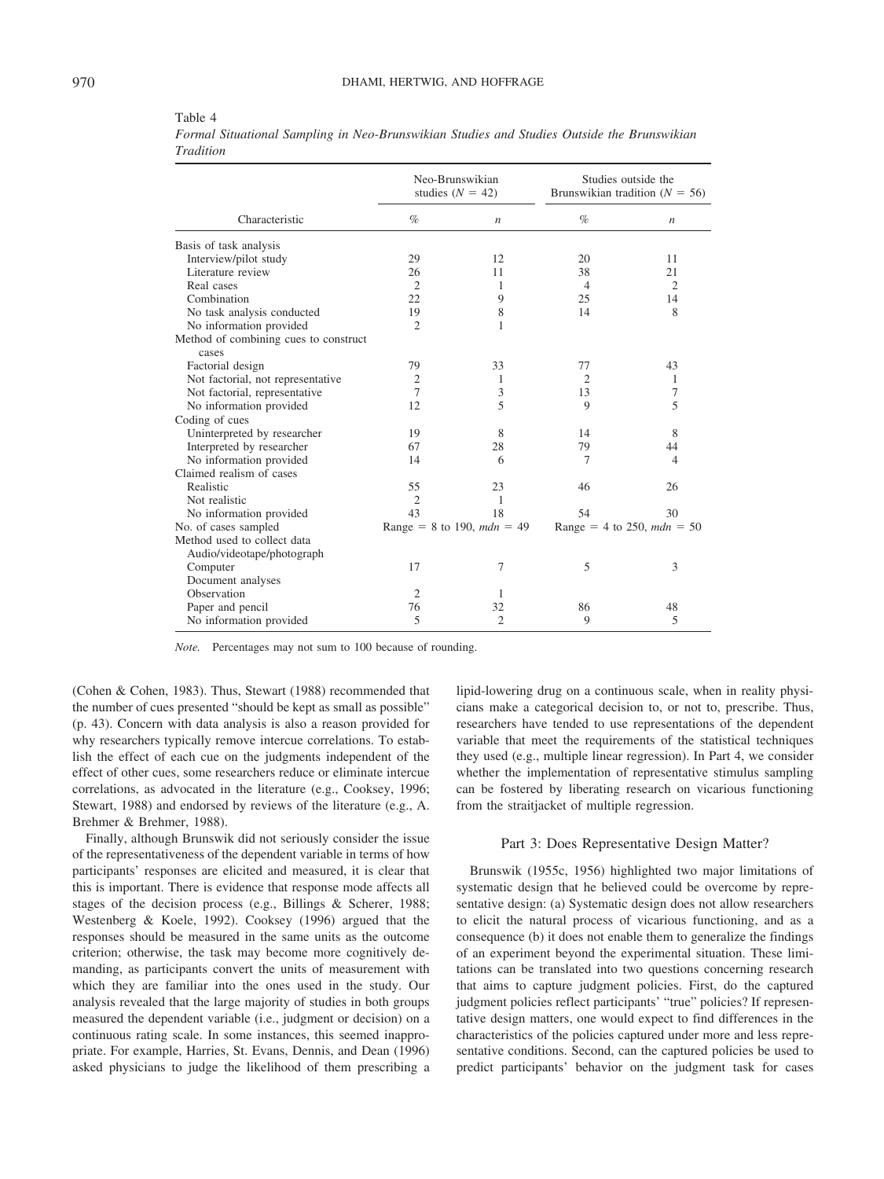|                                                | Neo-Brunswikian<br>studies $(N = 42)$ |                              | Studies outside the<br>Brunswikian tradition ( $N = 56$ ) |                              |
|------------------------------------------------|---------------------------------------|------------------------------|-----------------------------------------------------------|------------------------------|
| Characteristic                                 | $\%$                                  | $\boldsymbol{n}$             | $\%$                                                      | $\boldsymbol{n}$             |
| Basis of task analysis                         |                                       |                              |                                                           |                              |
| Interview/pilot study                          | 29                                    | 12                           | 20                                                        | 11                           |
| Literature review                              | 26                                    | 11                           | 38                                                        | 21                           |
| Real cases                                     | $\overline{2}$                        | 1                            | $\overline{4}$                                            | $\overline{2}$               |
| Combination                                    | 22                                    | 9                            | 25                                                        | 14                           |
| No task analysis conducted                     | 19                                    | 8                            | 14                                                        | 8                            |
| No information provided                        | $\overline{2}$                        | 1                            |                                                           |                              |
| Method of combining cues to construct<br>cases |                                       |                              |                                                           |                              |
| Factorial design                               | 79                                    | 33                           | 77                                                        | 43                           |
| Not factorial, not representative              | $\mathfrak{2}$                        | 1                            | 2                                                         | 1                            |
| Not factorial, representative                  | 7                                     | 3                            | 13                                                        | 7                            |
| No information provided                        | 12                                    | 5                            | $\mathbf Q$                                               | 5                            |
| Coding of cues                                 |                                       |                              |                                                           |                              |
| Uninterpreted by researcher                    | 19                                    | 8                            | 14                                                        | 8                            |
| Interpreted by researcher                      | 67                                    | 28                           | 79                                                        | 44                           |
| No information provided                        | 14                                    | 6                            | 7                                                         | $\overline{4}$               |
| Claimed realism of cases                       |                                       |                              |                                                           |                              |
| Realistic                                      | 55                                    | 23                           | 46                                                        | 26                           |
| Not realistic                                  | $\mathfrak{2}$                        | 1                            |                                                           |                              |
| No information provided                        | 43                                    | 18                           | 54                                                        | 30                           |
| No. of cases sampled                           |                                       | Range = 8 to 190, $mdn = 49$ |                                                           | Range = 4 to 250, $mdn = 50$ |
| Method used to collect data                    |                                       |                              |                                                           |                              |
| Audio/videotape/photograph                     |                                       |                              |                                                           |                              |
| Computer                                       | 17                                    | 7                            | 5                                                         | 3                            |
| Document analyses                              |                                       |                              |                                                           |                              |
| Observation                                    | $\overline{2}$                        | 1                            |                                                           |                              |
| Paper and pencil                               | 76                                    | 32                           | 86                                                        | 48                           |
| No information provided                        | 5                                     | $\overline{c}$               | 9                                                         | 5                            |

Table 4

*Formal Situational Sampling in Neo-Brunswikian Studies and Studies Outside the Brunswikian Tradition*

*Note.* Percentages may not sum to 100 because of rounding.

(Cohen & Cohen, 1983). Thus, Stewart (1988) recommended that the number of cues presented "should be kept as small as possible" (p. 43). Concern with data analysis is also a reason provided for why researchers typically remove intercue correlations. To establish the effect of each cue on the judgments independent of the effect of other cues, some researchers reduce or eliminate intercue correlations, as advocated in the literature (e.g., Cooksey, 1996; Stewart, 1988) and endorsed by reviews of the literature (e.g., A. Brehmer & Brehmer, 1988).

Finally, although Brunswik did not seriously consider the issue of the representativeness of the dependent variable in terms of how participants' responses are elicited and measured, it is clear that this is important. There is evidence that response mode affects all stages of the decision process (e.g., Billings & Scherer, 1988; Westenberg & Koele, 1992). Cooksey (1996) argued that the responses should be measured in the same units as the outcome criterion; otherwise, the task may become more cognitively demanding, as participants convert the units of measurement with which they are familiar into the ones used in the study. Our analysis revealed that the large majority of studies in both groups measured the dependent variable (i.e., judgment or decision) on a continuous rating scale. In some instances, this seemed inappropriate. For example, Harries, St. Evans, Dennis, and Dean (1996) asked physicians to judge the likelihood of them prescribing a

lipid-lowering drug on a continuous scale, when in reality physicians make a categorical decision to, or not to, prescribe. Thus, researchers have tended to use representations of the dependent variable that meet the requirements of the statistical techniques they used (e.g., multiple linear regression). In Part 4, we consider whether the implementation of representative stimulus sampling can be fostered by liberating research on vicarious functioning from the straitjacket of multiple regression.

#### Part 3: Does Representative Design Matter?

Brunswik (1955c, 1956) highlighted two major limitations of systematic design that he believed could be overcome by representative design: (a) Systematic design does not allow researchers to elicit the natural process of vicarious functioning, and as a consequence (b) it does not enable them to generalize the findings of an experiment beyond the experimental situation. These limitations can be translated into two questions concerning research that aims to capture judgment policies. First, do the captured judgment policies reflect participants' "true" policies? If representative design matters, one would expect to find differences in the characteristics of the policies captured under more and less representative conditions. Second, can the captured policies be used to predict participants' behavior on the judgment task for cases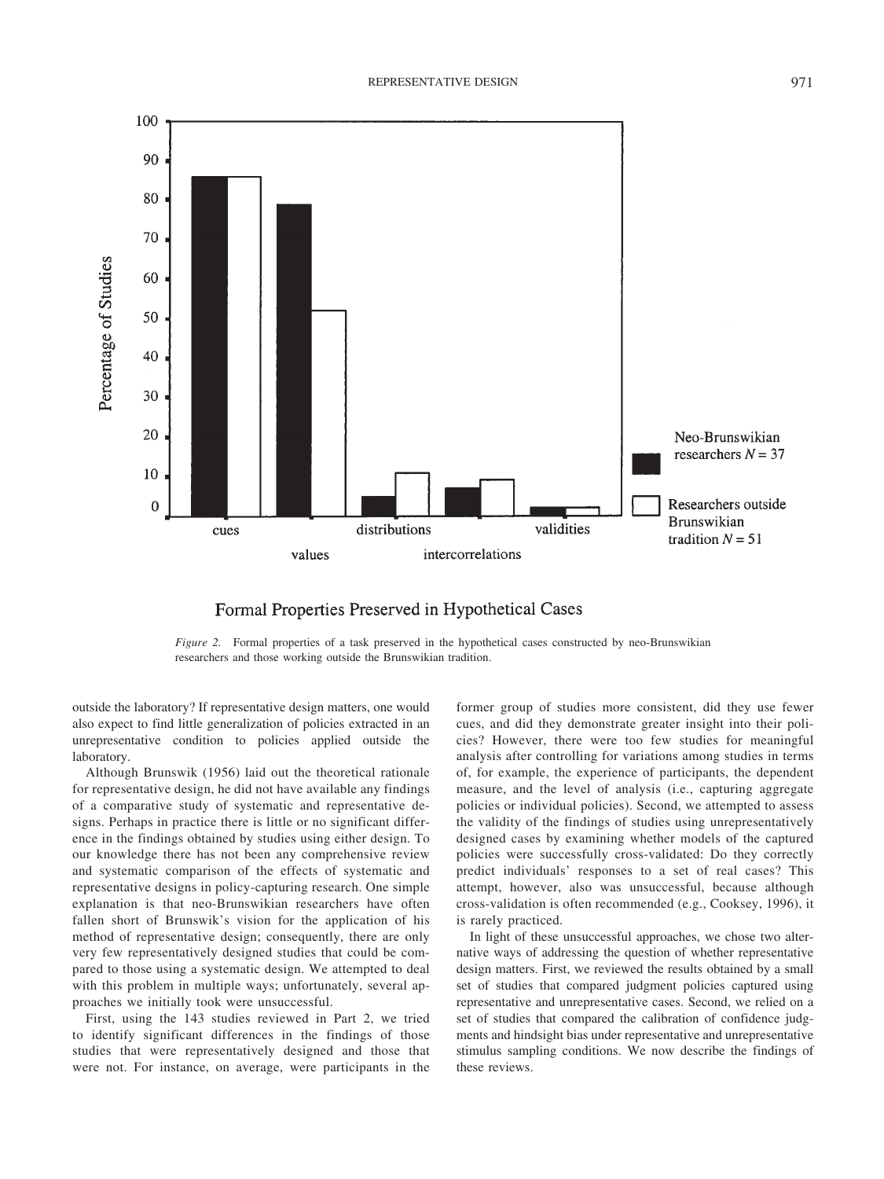

# Formal Properties Preserved in Hypothetical Cases

*Figure 2.* Formal properties of a task preserved in the hypothetical cases constructed by neo-Brunswikian researchers and those working outside the Brunswikian tradition.

outside the laboratory? If representative design matters, one would also expect to find little generalization of policies extracted in an unrepresentative condition to policies applied outside the laboratory.

Although Brunswik (1956) laid out the theoretical rationale for representative design, he did not have available any findings of a comparative study of systematic and representative designs. Perhaps in practice there is little or no significant difference in the findings obtained by studies using either design. To our knowledge there has not been any comprehensive review and systematic comparison of the effects of systematic and representative designs in policy-capturing research. One simple explanation is that neo-Brunswikian researchers have often fallen short of Brunswik's vision for the application of his method of representative design; consequently, there are only very few representatively designed studies that could be compared to those using a systematic design. We attempted to deal with this problem in multiple ways; unfortunately, several approaches we initially took were unsuccessful.

First, using the 143 studies reviewed in Part 2, we tried to identify significant differences in the findings of those studies that were representatively designed and those that were not. For instance, on average, were participants in the former group of studies more consistent, did they use fewer cues, and did they demonstrate greater insight into their policies? However, there were too few studies for meaningful analysis after controlling for variations among studies in terms of, for example, the experience of participants, the dependent measure, and the level of analysis (i.e., capturing aggregate policies or individual policies). Second, we attempted to assess the validity of the findings of studies using unrepresentatively designed cases by examining whether models of the captured policies were successfully cross-validated: Do they correctly predict individuals' responses to a set of real cases? This attempt, however, also was unsuccessful, because although cross-validation is often recommended (e.g., Cooksey, 1996), it is rarely practiced.

In light of these unsuccessful approaches, we chose two alternative ways of addressing the question of whether representative design matters. First, we reviewed the results obtained by a small set of studies that compared judgment policies captured using representative and unrepresentative cases. Second, we relied on a set of studies that compared the calibration of confidence judgments and hindsight bias under representative and unrepresentative stimulus sampling conditions. We now describe the findings of these reviews.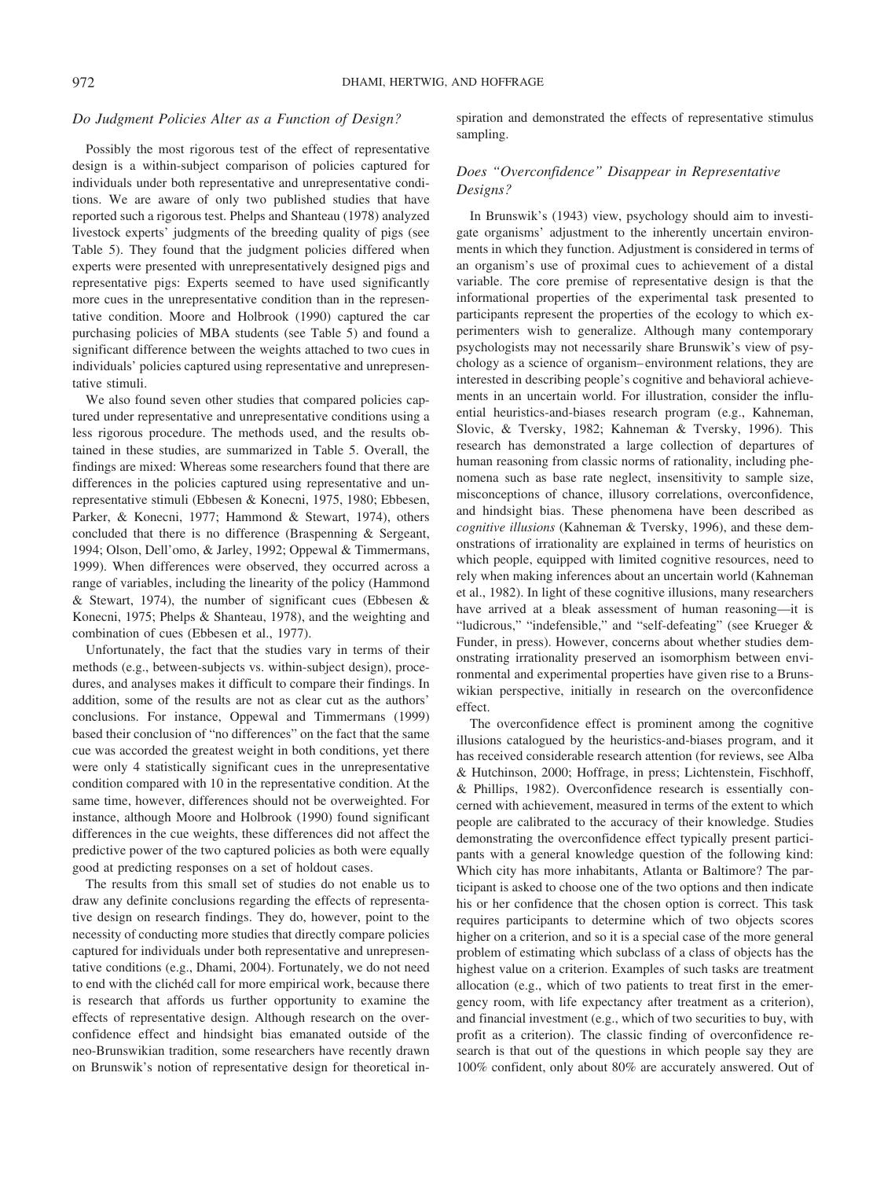### *Do Judgment Policies Alter as a Function of Design?*

Possibly the most rigorous test of the effect of representative design is a within-subject comparison of policies captured for individuals under both representative and unrepresentative conditions. We are aware of only two published studies that have reported such a rigorous test. Phelps and Shanteau (1978) analyzed livestock experts' judgments of the breeding quality of pigs (see Table 5). They found that the judgment policies differed when experts were presented with unrepresentatively designed pigs and representative pigs: Experts seemed to have used significantly more cues in the unrepresentative condition than in the representative condition. Moore and Holbrook (1990) captured the car purchasing policies of MBA students (see Table 5) and found a significant difference between the weights attached to two cues in individuals' policies captured using representative and unrepresentative stimuli.

We also found seven other studies that compared policies captured under representative and unrepresentative conditions using a less rigorous procedure. The methods used, and the results obtained in these studies, are summarized in Table 5. Overall, the findings are mixed: Whereas some researchers found that there are differences in the policies captured using representative and unrepresentative stimuli (Ebbesen & Konecni, 1975, 1980; Ebbesen, Parker, & Konecni, 1977; Hammond & Stewart, 1974), others concluded that there is no difference (Braspenning & Sergeant, 1994; Olson, Dell'omo, & Jarley, 1992; Oppewal & Timmermans, 1999). When differences were observed, they occurred across a range of variables, including the linearity of the policy (Hammond & Stewart, 1974), the number of significant cues (Ebbesen & Konecni, 1975; Phelps & Shanteau, 1978), and the weighting and combination of cues (Ebbesen et al., 1977).

Unfortunately, the fact that the studies vary in terms of their methods (e.g., between-subjects vs. within-subject design), procedures, and analyses makes it difficult to compare their findings. In addition, some of the results are not as clear cut as the authors' conclusions. For instance, Oppewal and Timmermans (1999) based their conclusion of "no differences" on the fact that the same cue was accorded the greatest weight in both conditions, yet there were only 4 statistically significant cues in the unrepresentative condition compared with 10 in the representative condition. At the same time, however, differences should not be overweighted. For instance, although Moore and Holbrook (1990) found significant differences in the cue weights, these differences did not affect the predictive power of the two captured policies as both were equally good at predicting responses on a set of holdout cases.

The results from this small set of studies do not enable us to draw any definite conclusions regarding the effects of representative design on research findings. They do, however, point to the necessity of conducting more studies that directly compare policies captured for individuals under both representative and unrepresentative conditions (e.g., Dhami, 2004). Fortunately, we do not need to end with the clichéd call for more empirical work, because there is research that affords us further opportunity to examine the effects of representative design. Although research on the overconfidence effect and hindsight bias emanated outside of the neo-Brunswikian tradition, some researchers have recently drawn on Brunswik's notion of representative design for theoretical inspiration and demonstrated the effects of representative stimulus sampling.

# *Does "Overconfidence" Disappear in Representative Designs?*

In Brunswik's (1943) view, psychology should aim to investigate organisms' adjustment to the inherently uncertain environments in which they function. Adjustment is considered in terms of an organism's use of proximal cues to achievement of a distal variable. The core premise of representative design is that the informational properties of the experimental task presented to participants represent the properties of the ecology to which experimenters wish to generalize. Although many contemporary psychologists may not necessarily share Brunswik's view of psychology as a science of organism– environment relations, they are interested in describing people's cognitive and behavioral achievements in an uncertain world. For illustration, consider the influential heuristics-and-biases research program (e.g., Kahneman, Slovic, & Tversky, 1982; Kahneman & Tversky, 1996). This research has demonstrated a large collection of departures of human reasoning from classic norms of rationality, including phenomena such as base rate neglect, insensitivity to sample size, misconceptions of chance, illusory correlations, overconfidence, and hindsight bias. These phenomena have been described as *cognitive illusions* (Kahneman & Tversky, 1996), and these demonstrations of irrationality are explained in terms of heuristics on which people, equipped with limited cognitive resources, need to rely when making inferences about an uncertain world (Kahneman et al., 1982). In light of these cognitive illusions, many researchers have arrived at a bleak assessment of human reasoning—it is "ludicrous," "indefensible," and "self-defeating" (see Krueger & Funder, in press). However, concerns about whether studies demonstrating irrationality preserved an isomorphism between environmental and experimental properties have given rise to a Brunswikian perspective, initially in research on the overconfidence effect.

The overconfidence effect is prominent among the cognitive illusions catalogued by the heuristics-and-biases program, and it has received considerable research attention (for reviews, see Alba & Hutchinson, 2000; Hoffrage, in press; Lichtenstein, Fischhoff, & Phillips, 1982). Overconfidence research is essentially concerned with achievement, measured in terms of the extent to which people are calibrated to the accuracy of their knowledge. Studies demonstrating the overconfidence effect typically present participants with a general knowledge question of the following kind: Which city has more inhabitants, Atlanta or Baltimore? The participant is asked to choose one of the two options and then indicate his or her confidence that the chosen option is correct. This task requires participants to determine which of two objects scores higher on a criterion, and so it is a special case of the more general problem of estimating which subclass of a class of objects has the highest value on a criterion. Examples of such tasks are treatment allocation (e.g., which of two patients to treat first in the emergency room, with life expectancy after treatment as a criterion), and financial investment (e.g., which of two securities to buy, with profit as a criterion). The classic finding of overconfidence research is that out of the questions in which people say they are 100% confident, only about 80% are accurately answered. Out of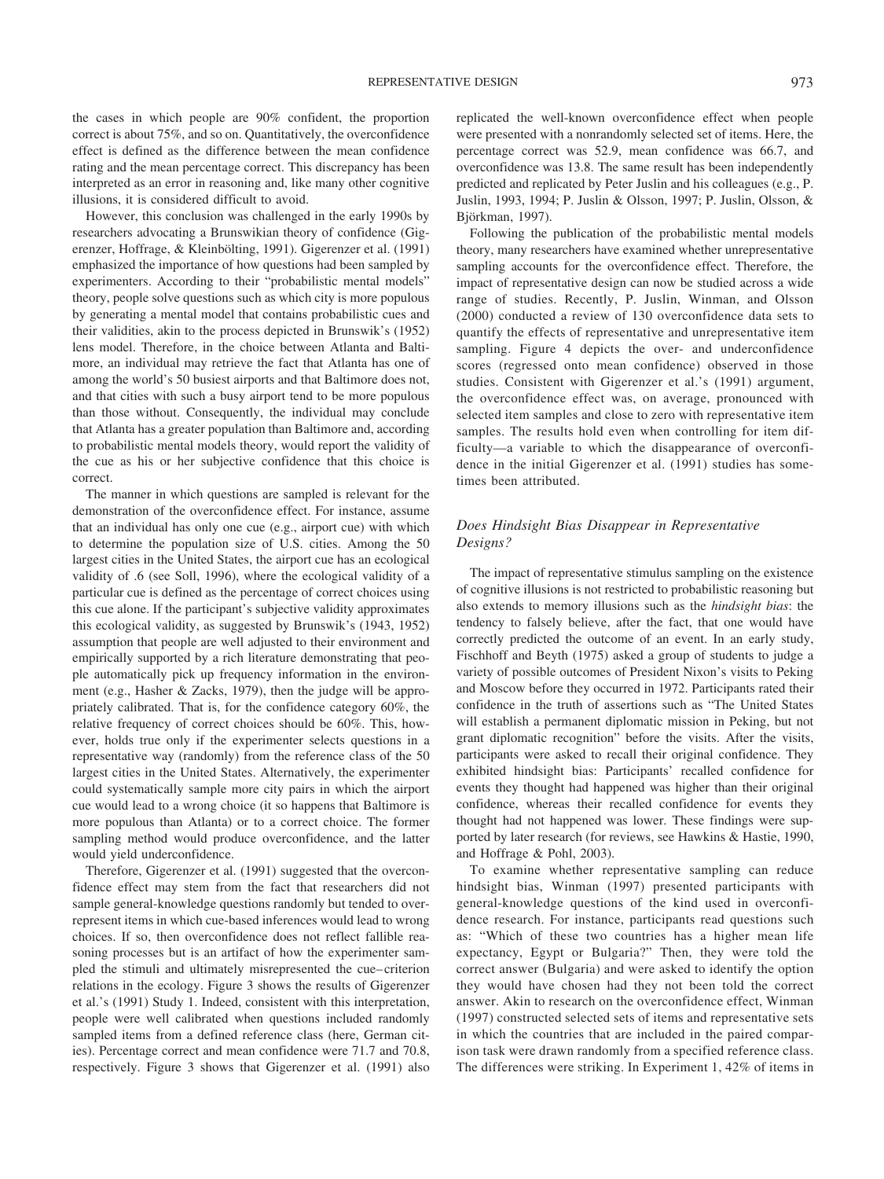the cases in which people are 90% confident, the proportion correct is about 75%, and so on. Quantitatively, the overconfidence effect is defined as the difference between the mean confidence rating and the mean percentage correct. This discrepancy has been interpreted as an error in reasoning and, like many other cognitive illusions, it is considered difficult to avoid.

However, this conclusion was challenged in the early 1990s by researchers advocating a Brunswikian theory of confidence (Gigerenzer, Hoffrage, & Kleinbölting, 1991). Gigerenzer et al. (1991) emphasized the importance of how questions had been sampled by experimenters. According to their "probabilistic mental models" theory, people solve questions such as which city is more populous by generating a mental model that contains probabilistic cues and their validities, akin to the process depicted in Brunswik's (1952) lens model. Therefore, in the choice between Atlanta and Baltimore, an individual may retrieve the fact that Atlanta has one of among the world's 50 busiest airports and that Baltimore does not, and that cities with such a busy airport tend to be more populous than those without. Consequently, the individual may conclude that Atlanta has a greater population than Baltimore and, according to probabilistic mental models theory, would report the validity of the cue as his or her subjective confidence that this choice is correct.

The manner in which questions are sampled is relevant for the demonstration of the overconfidence effect. For instance, assume that an individual has only one cue (e.g., airport cue) with which to determine the population size of U.S. cities. Among the 50 largest cities in the United States, the airport cue has an ecological validity of .6 (see Soll, 1996), where the ecological validity of a particular cue is defined as the percentage of correct choices using this cue alone. If the participant's subjective validity approximates this ecological validity, as suggested by Brunswik's (1943, 1952) assumption that people are well adjusted to their environment and empirically supported by a rich literature demonstrating that people automatically pick up frequency information in the environment (e.g., Hasher & Zacks, 1979), then the judge will be appropriately calibrated. That is, for the confidence category 60%, the relative frequency of correct choices should be 60%. This, however, holds true only if the experimenter selects questions in a representative way (randomly) from the reference class of the 50 largest cities in the United States. Alternatively, the experimenter could systematically sample more city pairs in which the airport cue would lead to a wrong choice (it so happens that Baltimore is more populous than Atlanta) or to a correct choice. The former sampling method would produce overconfidence, and the latter would yield underconfidence.

Therefore, Gigerenzer et al. (1991) suggested that the overconfidence effect may stem from the fact that researchers did not sample general-knowledge questions randomly but tended to overrepresent items in which cue-based inferences would lead to wrong choices. If so, then overconfidence does not reflect fallible reasoning processes but is an artifact of how the experimenter sampled the stimuli and ultimately misrepresented the cue– criterion relations in the ecology. Figure 3 shows the results of Gigerenzer et al.'s (1991) Study 1. Indeed, consistent with this interpretation, people were well calibrated when questions included randomly sampled items from a defined reference class (here, German cities). Percentage correct and mean confidence were 71.7 and 70.8, respectively. Figure 3 shows that Gigerenzer et al. (1991) also

replicated the well-known overconfidence effect when people were presented with a nonrandomly selected set of items. Here, the percentage correct was 52.9, mean confidence was 66.7, and overconfidence was 13.8. The same result has been independently predicted and replicated by Peter Juslin and his colleagues (e.g., P. Juslin, 1993, 1994; P. Juslin & Olsson, 1997; P. Juslin, Olsson, & Björkman, 1997).

Following the publication of the probabilistic mental models theory, many researchers have examined whether unrepresentative sampling accounts for the overconfidence effect. Therefore, the impact of representative design can now be studied across a wide range of studies. Recently, P. Juslin, Winman, and Olsson (2000) conducted a review of 130 overconfidence data sets to quantify the effects of representative and unrepresentative item sampling. Figure 4 depicts the over- and underconfidence scores (regressed onto mean confidence) observed in those studies. Consistent with Gigerenzer et al.'s (1991) argument, the overconfidence effect was, on average, pronounced with selected item samples and close to zero with representative item samples. The results hold even when controlling for item difficulty—a variable to which the disappearance of overconfidence in the initial Gigerenzer et al. (1991) studies has sometimes been attributed.

### *Does Hindsight Bias Disappear in Representative Designs?*

The impact of representative stimulus sampling on the existence of cognitive illusions is not restricted to probabilistic reasoning but also extends to memory illusions such as the *hindsight bias*: the tendency to falsely believe, after the fact, that one would have correctly predicted the outcome of an event. In an early study, Fischhoff and Beyth (1975) asked a group of students to judge a variety of possible outcomes of President Nixon's visits to Peking and Moscow before they occurred in 1972. Participants rated their confidence in the truth of assertions such as "The United States will establish a permanent diplomatic mission in Peking, but not grant diplomatic recognition" before the visits. After the visits, participants were asked to recall their original confidence. They exhibited hindsight bias: Participants' recalled confidence for events they thought had happened was higher than their original confidence, whereas their recalled confidence for events they thought had not happened was lower. These findings were supported by later research (for reviews, see Hawkins & Hastie, 1990, and Hoffrage & Pohl, 2003).

To examine whether representative sampling can reduce hindsight bias, Winman (1997) presented participants with general-knowledge questions of the kind used in overconfidence research. For instance, participants read questions such as: "Which of these two countries has a higher mean life expectancy, Egypt or Bulgaria?" Then, they were told the correct answer (Bulgaria) and were asked to identify the option they would have chosen had they not been told the correct answer. Akin to research on the overconfidence effect, Winman (1997) constructed selected sets of items and representative sets in which the countries that are included in the paired comparison task were drawn randomly from a specified reference class. The differences were striking. In Experiment 1, 42% of items in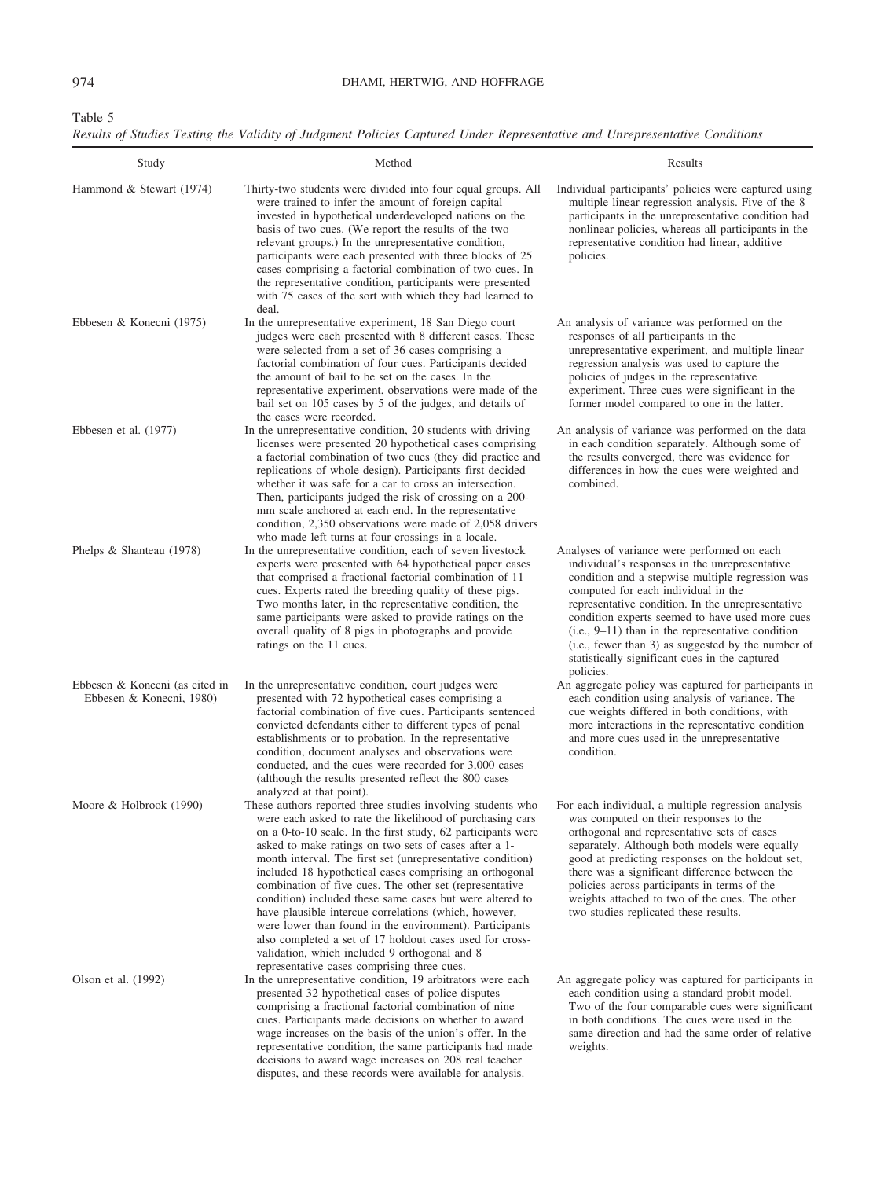Table 5

*Results of Studies Testing the Validity of Judgment Policies Captured Under Representative and Unrepresentative Conditions*

| Study                                                      | Method                                                                                                                                                                                                                                                                                                                                                                                                                                                                                                                                                                                                                                                                                                                                                         | Results                                                                                                                                                                                                                                                                                                                                                                                                                                                                    |
|------------------------------------------------------------|----------------------------------------------------------------------------------------------------------------------------------------------------------------------------------------------------------------------------------------------------------------------------------------------------------------------------------------------------------------------------------------------------------------------------------------------------------------------------------------------------------------------------------------------------------------------------------------------------------------------------------------------------------------------------------------------------------------------------------------------------------------|----------------------------------------------------------------------------------------------------------------------------------------------------------------------------------------------------------------------------------------------------------------------------------------------------------------------------------------------------------------------------------------------------------------------------------------------------------------------------|
| Hammond & Stewart (1974)                                   | Thirty-two students were divided into four equal groups. All<br>were trained to infer the amount of foreign capital<br>invested in hypothetical underdeveloped nations on the<br>basis of two cues. (We report the results of the two<br>relevant groups.) In the unrepresentative condition,<br>participants were each presented with three blocks of 25<br>cases comprising a factorial combination of two cues. In<br>the representative condition, participants were presented<br>with 75 cases of the sort with which they had learned to<br>deal.                                                                                                                                                                                                        | Individual participants' policies were captured using<br>multiple linear regression analysis. Five of the 8<br>participants in the unrepresentative condition had<br>nonlinear policies, whereas all participants in the<br>representative condition had linear, additive<br>policies.                                                                                                                                                                                     |
| Ebbesen & Konecni (1975)                                   | In the unrepresentative experiment, 18 San Diego court<br>judges were each presented with 8 different cases. These<br>were selected from a set of 36 cases comprising a<br>factorial combination of four cues. Participants decided<br>the amount of bail to be set on the cases. In the<br>representative experiment, observations were made of the<br>bail set on 105 cases by 5 of the judges, and details of<br>the cases were recorded.                                                                                                                                                                                                                                                                                                                   | An analysis of variance was performed on the<br>responses of all participants in the<br>unrepresentative experiment, and multiple linear<br>regression analysis was used to capture the<br>policies of judges in the representative<br>experiment. Three cues were significant in the<br>former model compared to one in the latter.                                                                                                                                       |
| Ebbesen et al. $(1977)$                                    | In the unrepresentative condition, 20 students with driving<br>licenses were presented 20 hypothetical cases comprising<br>a factorial combination of two cues (they did practice and<br>replications of whole design). Participants first decided<br>whether it was safe for a car to cross an intersection.<br>Then, participants judged the risk of crossing on a 200-<br>mm scale anchored at each end. In the representative<br>condition, 2,350 observations were made of 2,058 drivers<br>who made left turns at four crossings in a locale.                                                                                                                                                                                                            | An analysis of variance was performed on the data<br>in each condition separately. Although some of<br>the results converged, there was evidence for<br>differences in how the cues were weighted and<br>combined.                                                                                                                                                                                                                                                         |
| Phelps & Shanteau (1978)                                   | In the unrepresentative condition, each of seven livestock<br>experts were presented with 64 hypothetical paper cases<br>that comprised a fractional factorial combination of 11<br>cues. Experts rated the breeding quality of these pigs.<br>Two months later, in the representative condition, the<br>same participants were asked to provide ratings on the<br>overall quality of 8 pigs in photographs and provide<br>ratings on the 11 cues.                                                                                                                                                                                                                                                                                                             | Analyses of variance were performed on each<br>individual's responses in the unrepresentative<br>condition and a stepwise multiple regression was<br>computed for each individual in the<br>representative condition. In the unrepresentative<br>condition experts seemed to have used more cues<br>(i.e., 9-11) than in the representative condition<br>(i.e., fewer than 3) as suggested by the number of<br>statistically significant cues in the captured<br>policies. |
| Ebbesen & Konecni (as cited in<br>Ebbesen & Konecni, 1980) | In the unrepresentative condition, court judges were<br>presented with 72 hypothetical cases comprising a<br>factorial combination of five cues. Participants sentenced<br>convicted defendants either to different types of penal<br>establishments or to probation. In the representative<br>condition, document analyses and observations were<br>conducted, and the cues were recorded for 3,000 cases<br>(although the results presented reflect the 800 cases                                                                                                                                                                                                                                                                                            | An aggregate policy was captured for participants in<br>each condition using analysis of variance. The<br>cue weights differed in both conditions, with<br>more interactions in the representative condition<br>and more cues used in the unrepresentative<br>condition.                                                                                                                                                                                                   |
| Moore & Holbrook (1990)                                    | analyzed at that point).<br>These authors reported three studies involving students who<br>were each asked to rate the likelihood of purchasing cars<br>on a 0-to-10 scale. In the first study, 62 participants were<br>asked to make ratings on two sets of cases after a 1-<br>month interval. The first set (unrepresentative condition)<br>included 18 hypothetical cases comprising an orthogonal<br>combination of five cues. The other set (representative<br>condition) included these same cases but were altered to<br>have plausible intercue correlations (which, however,<br>were lower than found in the environment). Participants<br>also completed a set of 17 holdout cases used for cross-<br>validation, which included 9 orthogonal and 8 | For each individual, a multiple regression analysis<br>was computed on their responses to the<br>orthogonal and representative sets of cases<br>separately. Although both models were equally<br>good at predicting responses on the holdout set,<br>there was a significant difference between the<br>policies across participants in terms of the<br>weights attached to two of the cues. The other<br>two studies replicated these results.                             |
| Olson et al. (1992)                                        | representative cases comprising three cues.<br>In the unrepresentative condition, 19 arbitrators were each<br>presented 32 hypothetical cases of police disputes<br>comprising a fractional factorial combination of nine<br>cues. Participants made decisions on whether to award<br>wage increases on the basis of the union's offer. In the<br>representative condition, the same participants had made<br>decisions to award wage increases on 208 real teacher<br>disputes, and these records were available for analysis.                                                                                                                                                                                                                                | An aggregate policy was captured for participants in<br>each condition using a standard probit model.<br>Two of the four comparable cues were significant<br>in both conditions. The cues were used in the<br>same direction and had the same order of relative<br>weights.                                                                                                                                                                                                |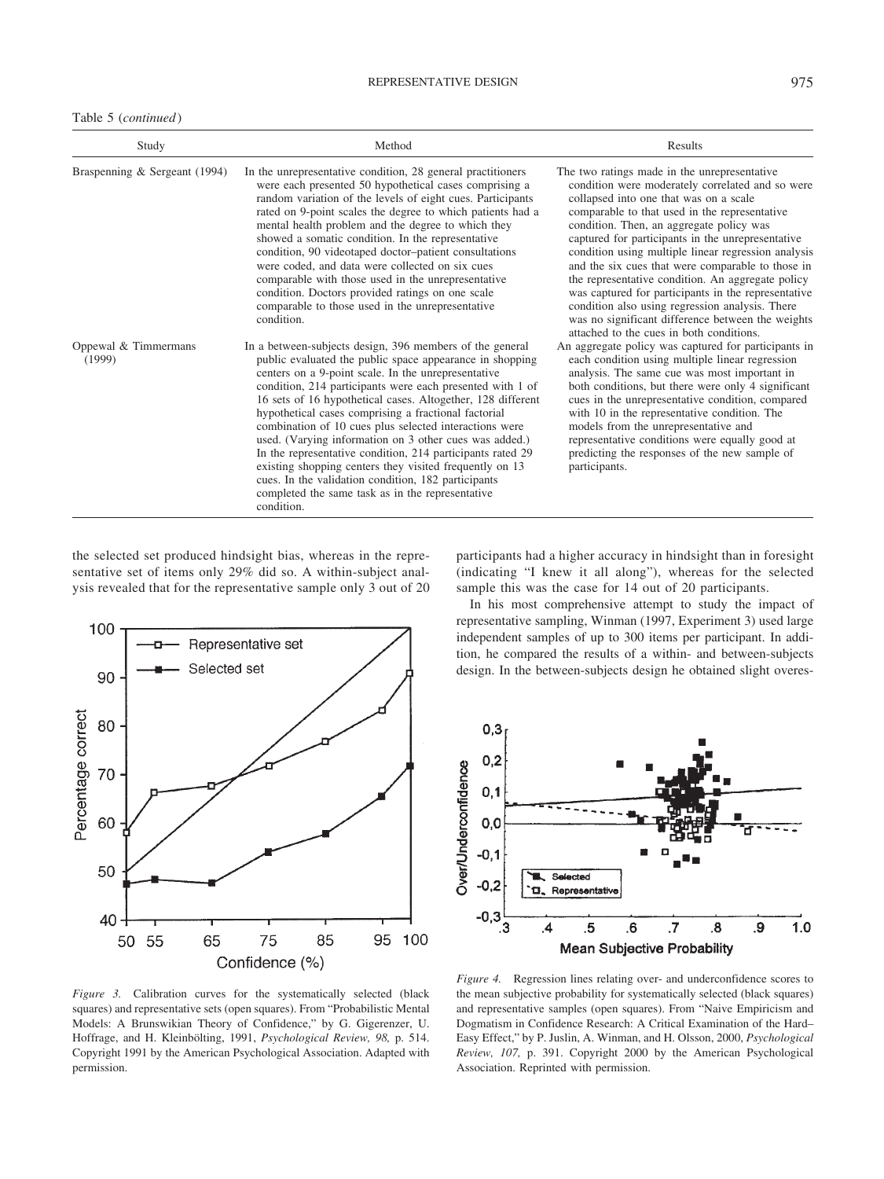Table 5 (*continued*)

| Study                          | Method                                                                                                                                                                                                                                                                                                                                                                                                                                                                                                                                                                                                                                                                                                                                | Results                                                                                                                                                                                                                                                                                                                                                                                                                                                                                                                                                                                                                                                                  |
|--------------------------------|---------------------------------------------------------------------------------------------------------------------------------------------------------------------------------------------------------------------------------------------------------------------------------------------------------------------------------------------------------------------------------------------------------------------------------------------------------------------------------------------------------------------------------------------------------------------------------------------------------------------------------------------------------------------------------------------------------------------------------------|--------------------------------------------------------------------------------------------------------------------------------------------------------------------------------------------------------------------------------------------------------------------------------------------------------------------------------------------------------------------------------------------------------------------------------------------------------------------------------------------------------------------------------------------------------------------------------------------------------------------------------------------------------------------------|
| Braspenning & Sergeant (1994)  | In the unrepresentative condition, 28 general practitioners<br>were each presented 50 hypothetical cases comprising a<br>random variation of the levels of eight cues. Participants<br>rated on 9-point scales the degree to which patients had a<br>mental health problem and the degree to which they<br>showed a somatic condition. In the representative<br>condition, 90 videotaped doctor-patient consultations<br>were coded, and data were collected on six cues<br>comparable with those used in the unrepresentative<br>condition. Doctors provided ratings on one scale<br>comparable to those used in the unrepresentative<br>condition.                                                                                  | The two ratings made in the unrepresentative<br>condition were moderately correlated and so were<br>collapsed into one that was on a scale<br>comparable to that used in the representative<br>condition. Then, an aggregate policy was<br>captured for participants in the unrepresentative<br>condition using multiple linear regression analysis<br>and the six cues that were comparable to those in<br>the representative condition. An aggregate policy<br>was captured for participants in the representative<br>condition also using regression analysis. There<br>was no significant difference between the weights<br>attached to the cues in both conditions. |
| Oppewal & Timmermans<br>(1999) | In a between-subjects design, 396 members of the general<br>public evaluated the public space appearance in shopping<br>centers on a 9-point scale. In the unrepresentative<br>condition, 214 participants were each presented with 1 of<br>16 sets of 16 hypothetical cases. Altogether, 128 different<br>hypothetical cases comprising a fractional factorial<br>combination of 10 cues plus selected interactions were<br>used. (Varying information on 3 other cues was added.)<br>In the representative condition, 214 participants rated 29<br>existing shopping centers they visited frequently on 13<br>cues. In the validation condition, 182 participants<br>completed the same task as in the representative<br>condition. | An aggregate policy was captured for participants in<br>each condition using multiple linear regression<br>analysis. The same cue was most important in<br>both conditions, but there were only 4 significant<br>cues in the unrepresentative condition, compared<br>with 10 in the representative condition. The<br>models from the unrepresentative and<br>representative conditions were equally good at<br>predicting the responses of the new sample of<br>participants.                                                                                                                                                                                            |

the selected set produced hindsight bias, whereas in the representative set of items only 29% did so. A within-subject analysis revealed that for the representative sample only 3 out of 20



*Figure 3.* Calibration curves for the systematically selected (black squares) and representative sets (open squares). From "Probabilistic Mental Models: A Brunswikian Theory of Confidence," by G. Gigerenzer, U. Hoffrage, and H. Kleinbölting, 1991, *Psychological Review, 98*, p. 514. Copyright 1991 by the American Psychological Association. Adapted with permission.

participants had a higher accuracy in hindsight than in foresight (indicating "I knew it all along"), whereas for the selected sample this was the case for 14 out of 20 participants.

In his most comprehensive attempt to study the impact of representative sampling, Winman (1997, Experiment 3) used large independent samples of up to 300 items per participant. In addition, he compared the results of a within- and between-subjects design. In the between-subjects design he obtained slight overes-



*Figure 4.* Regression lines relating over- and underconfidence scores to the mean subjective probability for systematically selected (black squares) and representative samples (open squares). From "Naive Empiricism and Dogmatism in Confidence Research: A Critical Examination of the Hard– Easy Effect," by P. Juslin, A. Winman, and H. Olsson, 2000, *Psychological Review, 107,* p. 391. Copyright 2000 by the American Psychological Association. Reprinted with permission.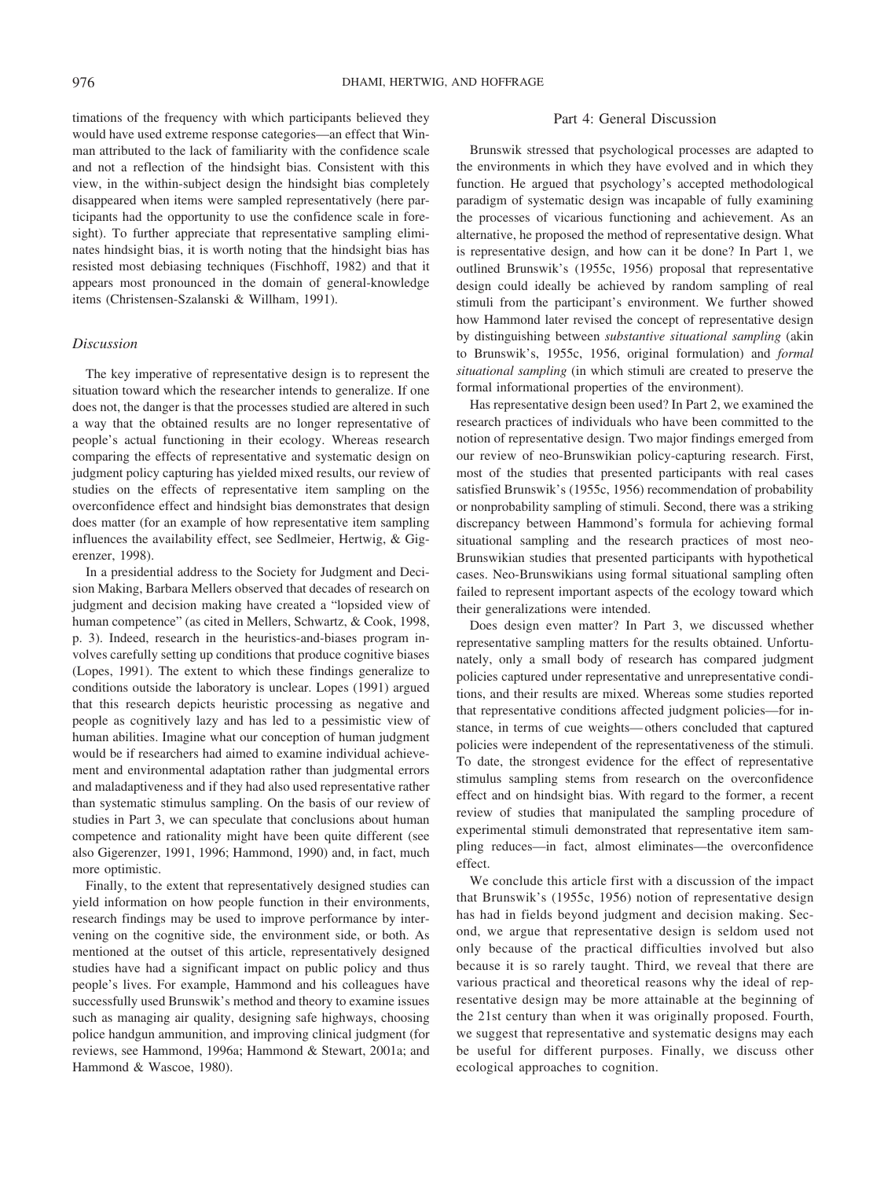timations of the frequency with which participants believed they would have used extreme response categories—an effect that Winman attributed to the lack of familiarity with the confidence scale and not a reflection of the hindsight bias. Consistent with this view, in the within-subject design the hindsight bias completely disappeared when items were sampled representatively (here participants had the opportunity to use the confidence scale in foresight). To further appreciate that representative sampling eliminates hindsight bias, it is worth noting that the hindsight bias has resisted most debiasing techniques (Fischhoff, 1982) and that it appears most pronounced in the domain of general-knowledge items (Christensen-Szalanski & Willham, 1991).

#### *Discussion*

The key imperative of representative design is to represent the situation toward which the researcher intends to generalize. If one does not, the danger is that the processes studied are altered in such a way that the obtained results are no longer representative of people's actual functioning in their ecology. Whereas research comparing the effects of representative and systematic design on judgment policy capturing has yielded mixed results, our review of studies on the effects of representative item sampling on the overconfidence effect and hindsight bias demonstrates that design does matter (for an example of how representative item sampling influences the availability effect, see Sedlmeier, Hertwig, & Gigerenzer, 1998).

In a presidential address to the Society for Judgment and Decision Making, Barbara Mellers observed that decades of research on judgment and decision making have created a "lopsided view of human competence" (as cited in Mellers, Schwartz, & Cook, 1998, p. 3). Indeed, research in the heuristics-and-biases program involves carefully setting up conditions that produce cognitive biases (Lopes, 1991). The extent to which these findings generalize to conditions outside the laboratory is unclear. Lopes (1991) argued that this research depicts heuristic processing as negative and people as cognitively lazy and has led to a pessimistic view of human abilities. Imagine what our conception of human judgment would be if researchers had aimed to examine individual achievement and environmental adaptation rather than judgmental errors and maladaptiveness and if they had also used representative rather than systematic stimulus sampling. On the basis of our review of studies in Part 3, we can speculate that conclusions about human competence and rationality might have been quite different (see also Gigerenzer, 1991, 1996; Hammond, 1990) and, in fact, much more optimistic.

Finally, to the extent that representatively designed studies can yield information on how people function in their environments, research findings may be used to improve performance by intervening on the cognitive side, the environment side, or both. As mentioned at the outset of this article, representatively designed studies have had a significant impact on public policy and thus people's lives. For example, Hammond and his colleagues have successfully used Brunswik's method and theory to examine issues such as managing air quality, designing safe highways, choosing police handgun ammunition, and improving clinical judgment (for reviews, see Hammond, 1996a; Hammond & Stewart, 2001a; and Hammond & Wascoe, 1980).

#### Part 4: General Discussion

Brunswik stressed that psychological processes are adapted to the environments in which they have evolved and in which they function. He argued that psychology's accepted methodological paradigm of systematic design was incapable of fully examining the processes of vicarious functioning and achievement. As an alternative, he proposed the method of representative design. What is representative design, and how can it be done? In Part 1, we outlined Brunswik's (1955c, 1956) proposal that representative design could ideally be achieved by random sampling of real stimuli from the participant's environment. We further showed how Hammond later revised the concept of representative design by distinguishing between *substantive situational sampling* (akin to Brunswik's, 1955c, 1956, original formulation) and *formal situational sampling* (in which stimuli are created to preserve the formal informational properties of the environment).

Has representative design been used? In Part 2, we examined the research practices of individuals who have been committed to the notion of representative design. Two major findings emerged from our review of neo-Brunswikian policy-capturing research. First, most of the studies that presented participants with real cases satisfied Brunswik's (1955c, 1956) recommendation of probability or nonprobability sampling of stimuli. Second, there was a striking discrepancy between Hammond's formula for achieving formal situational sampling and the research practices of most neo-Brunswikian studies that presented participants with hypothetical cases. Neo-Brunswikians using formal situational sampling often failed to represent important aspects of the ecology toward which their generalizations were intended.

Does design even matter? In Part 3, we discussed whether representative sampling matters for the results obtained. Unfortunately, only a small body of research has compared judgment policies captured under representative and unrepresentative conditions, and their results are mixed. Whereas some studies reported that representative conditions affected judgment policies—for instance, in terms of cue weights— others concluded that captured policies were independent of the representativeness of the stimuli. To date, the strongest evidence for the effect of representative stimulus sampling stems from research on the overconfidence effect and on hindsight bias. With regard to the former, a recent review of studies that manipulated the sampling procedure of experimental stimuli demonstrated that representative item sampling reduces—in fact, almost eliminates—the overconfidence effect.

We conclude this article first with a discussion of the impact that Brunswik's (1955c, 1956) notion of representative design has had in fields beyond judgment and decision making. Second, we argue that representative design is seldom used not only because of the practical difficulties involved but also because it is so rarely taught. Third, we reveal that there are various practical and theoretical reasons why the ideal of representative design may be more attainable at the beginning of the 21st century than when it was originally proposed. Fourth, we suggest that representative and systematic designs may each be useful for different purposes. Finally, we discuss other ecological approaches to cognition.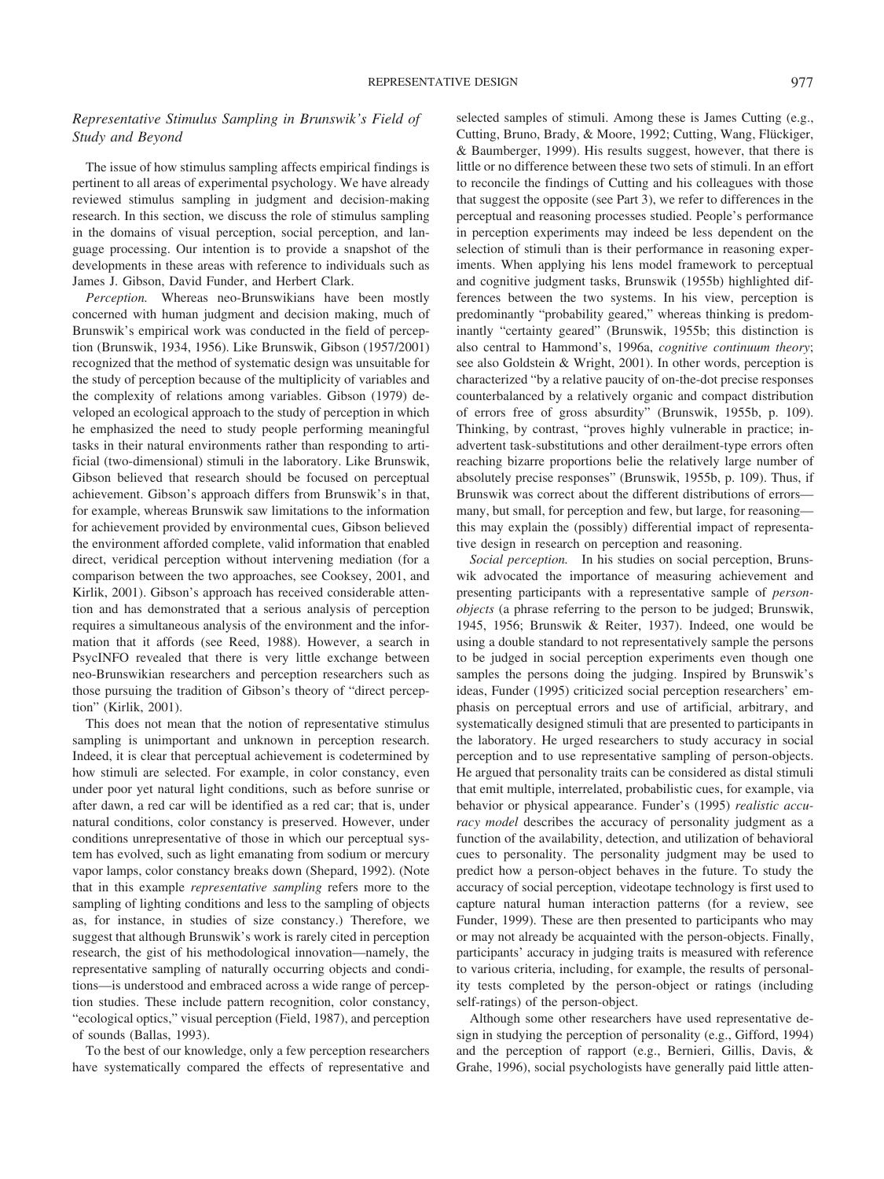### *Representative Stimulus Sampling in Brunswik's Field of Study and Beyond*

The issue of how stimulus sampling affects empirical findings is pertinent to all areas of experimental psychology. We have already reviewed stimulus sampling in judgment and decision-making research. In this section, we discuss the role of stimulus sampling in the domains of visual perception, social perception, and language processing. Our intention is to provide a snapshot of the developments in these areas with reference to individuals such as James J. Gibson, David Funder, and Herbert Clark.

*Perception.* Whereas neo-Brunswikians have been mostly concerned with human judgment and decision making, much of Brunswik's empirical work was conducted in the field of perception (Brunswik, 1934, 1956). Like Brunswik, Gibson (1957/2001) recognized that the method of systematic design was unsuitable for the study of perception because of the multiplicity of variables and the complexity of relations among variables. Gibson (1979) developed an ecological approach to the study of perception in which he emphasized the need to study people performing meaningful tasks in their natural environments rather than responding to artificial (two-dimensional) stimuli in the laboratory. Like Brunswik, Gibson believed that research should be focused on perceptual achievement. Gibson's approach differs from Brunswik's in that, for example, whereas Brunswik saw limitations to the information for achievement provided by environmental cues, Gibson believed the environment afforded complete, valid information that enabled direct, veridical perception without intervening mediation (for a comparison between the two approaches, see Cooksey, 2001, and Kirlik, 2001). Gibson's approach has received considerable attention and has demonstrated that a serious analysis of perception requires a simultaneous analysis of the environment and the information that it affords (see Reed, 1988). However, a search in PsycINFO revealed that there is very little exchange between neo-Brunswikian researchers and perception researchers such as those pursuing the tradition of Gibson's theory of "direct perception" (Kirlik, 2001).

This does not mean that the notion of representative stimulus sampling is unimportant and unknown in perception research. Indeed, it is clear that perceptual achievement is codetermined by how stimuli are selected. For example, in color constancy, even under poor yet natural light conditions, such as before sunrise or after dawn, a red car will be identified as a red car; that is, under natural conditions, color constancy is preserved. However, under conditions unrepresentative of those in which our perceptual system has evolved, such as light emanating from sodium or mercury vapor lamps, color constancy breaks down (Shepard, 1992). (Note that in this example *representative sampling* refers more to the sampling of lighting conditions and less to the sampling of objects as, for instance, in studies of size constancy.) Therefore, we suggest that although Brunswik's work is rarely cited in perception research, the gist of his methodological innovation—namely, the representative sampling of naturally occurring objects and conditions—is understood and embraced across a wide range of perception studies. These include pattern recognition, color constancy, "ecological optics," visual perception (Field, 1987), and perception of sounds (Ballas, 1993).

To the best of our knowledge, only a few perception researchers have systematically compared the effects of representative and selected samples of stimuli. Among these is James Cutting (e.g., Cutting, Bruno, Brady, & Moore, 1992; Cutting, Wang, Flückiger, & Baumberger, 1999). His results suggest, however, that there is little or no difference between these two sets of stimuli. In an effort to reconcile the findings of Cutting and his colleagues with those that suggest the opposite (see Part 3), we refer to differences in the perceptual and reasoning processes studied. People's performance in perception experiments may indeed be less dependent on the selection of stimuli than is their performance in reasoning experiments. When applying his lens model framework to perceptual and cognitive judgment tasks, Brunswik (1955b) highlighted differences between the two systems. In his view, perception is predominantly "probability geared," whereas thinking is predominantly "certainty geared" (Brunswik, 1955b; this distinction is also central to Hammond's, 1996a, *cognitive continuum theory*; see also Goldstein & Wright, 2001). In other words, perception is characterized "by a relative paucity of on-the-dot precise responses counterbalanced by a relatively organic and compact distribution of errors free of gross absurdity" (Brunswik, 1955b, p. 109). Thinking, by contrast, "proves highly vulnerable in practice; inadvertent task-substitutions and other derailment-type errors often reaching bizarre proportions belie the relatively large number of absolutely precise responses" (Brunswik, 1955b, p. 109). Thus, if Brunswik was correct about the different distributions of errors many, but small, for perception and few, but large, for reasoning this may explain the (possibly) differential impact of representative design in research on perception and reasoning.

*Social perception.* In his studies on social perception, Brunswik advocated the importance of measuring achievement and presenting participants with a representative sample of *personobjects* (a phrase referring to the person to be judged; Brunswik, 1945, 1956; Brunswik & Reiter, 1937). Indeed, one would be using a double standard to not representatively sample the persons to be judged in social perception experiments even though one samples the persons doing the judging. Inspired by Brunswik's ideas, Funder (1995) criticized social perception researchers' emphasis on perceptual errors and use of artificial, arbitrary, and systematically designed stimuli that are presented to participants in the laboratory. He urged researchers to study accuracy in social perception and to use representative sampling of person-objects. He argued that personality traits can be considered as distal stimuli that emit multiple, interrelated, probabilistic cues, for example, via behavior or physical appearance. Funder's (1995) *realistic accuracy model* describes the accuracy of personality judgment as a function of the availability, detection, and utilization of behavioral cues to personality. The personality judgment may be used to predict how a person-object behaves in the future. To study the accuracy of social perception, videotape technology is first used to capture natural human interaction patterns (for a review, see Funder, 1999). These are then presented to participants who may or may not already be acquainted with the person-objects. Finally, participants' accuracy in judging traits is measured with reference to various criteria, including, for example, the results of personality tests completed by the person-object or ratings (including self-ratings) of the person-object.

Although some other researchers have used representative design in studying the perception of personality (e.g., Gifford, 1994) and the perception of rapport (e.g., Bernieri, Gillis, Davis, & Grahe, 1996), social psychologists have generally paid little atten-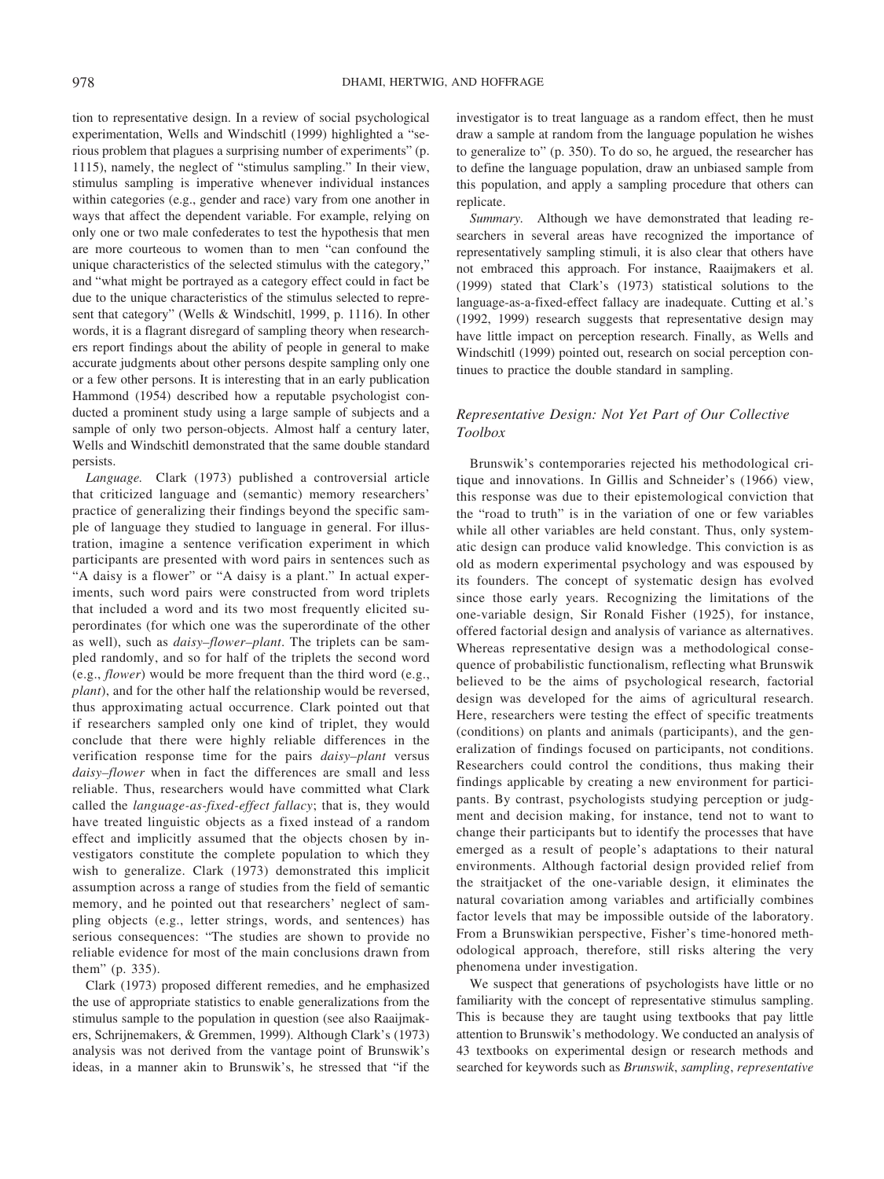tion to representative design. In a review of social psychological experimentation, Wells and Windschitl (1999) highlighted a "serious problem that plagues a surprising number of experiments" (p. 1115), namely, the neglect of "stimulus sampling." In their view, stimulus sampling is imperative whenever individual instances within categories (e.g., gender and race) vary from one another in ways that affect the dependent variable. For example, relying on only one or two male confederates to test the hypothesis that men are more courteous to women than to men "can confound the unique characteristics of the selected stimulus with the category," and "what might be portrayed as a category effect could in fact be due to the unique characteristics of the stimulus selected to represent that category" (Wells & Windschitl, 1999, p. 1116). In other words, it is a flagrant disregard of sampling theory when researchers report findings about the ability of people in general to make accurate judgments about other persons despite sampling only one or a few other persons. It is interesting that in an early publication Hammond (1954) described how a reputable psychologist conducted a prominent study using a large sample of subjects and a sample of only two person-objects. Almost half a century later, Wells and Windschitl demonstrated that the same double standard persists.

*Language.* Clark (1973) published a controversial article that criticized language and (semantic) memory researchers' practice of generalizing their findings beyond the specific sample of language they studied to language in general. For illustration, imagine a sentence verification experiment in which participants are presented with word pairs in sentences such as "A daisy is a flower" or "A daisy is a plant." In actual experiments, such word pairs were constructed from word triplets that included a word and its two most frequently elicited superordinates (for which one was the superordinate of the other as well), such as *daisy–flower–plant*. The triplets can be sampled randomly, and so for half of the triplets the second word (e.g., *flower*) would be more frequent than the third word (e.g., *plant*), and for the other half the relationship would be reversed, thus approximating actual occurrence. Clark pointed out that if researchers sampled only one kind of triplet, they would conclude that there were highly reliable differences in the verification response time for the pairs *daisy–plant* versus *daisy–flower* when in fact the differences are small and less reliable. Thus, researchers would have committed what Clark called the *language-as-fixed-effect fallacy*; that is, they would have treated linguistic objects as a fixed instead of a random effect and implicitly assumed that the objects chosen by investigators constitute the complete population to which they wish to generalize. Clark (1973) demonstrated this implicit assumption across a range of studies from the field of semantic memory, and he pointed out that researchers' neglect of sampling objects (e.g., letter strings, words, and sentences) has serious consequences: "The studies are shown to provide no reliable evidence for most of the main conclusions drawn from them" (p. 335).

Clark (1973) proposed different remedies, and he emphasized the use of appropriate statistics to enable generalizations from the stimulus sample to the population in question (see also Raaijmakers, Schrijnemakers, & Gremmen, 1999). Although Clark's (1973) analysis was not derived from the vantage point of Brunswik's ideas, in a manner akin to Brunswik's, he stressed that "if the

investigator is to treat language as a random effect, then he must draw a sample at random from the language population he wishes to generalize to" (p. 350). To do so, he argued, the researcher has to define the language population, draw an unbiased sample from this population, and apply a sampling procedure that others can replicate.

*Summary.* Although we have demonstrated that leading researchers in several areas have recognized the importance of representatively sampling stimuli, it is also clear that others have not embraced this approach. For instance, Raaijmakers et al. (1999) stated that Clark's (1973) statistical solutions to the language-as-a-fixed-effect fallacy are inadequate. Cutting et al.'s (1992, 1999) research suggests that representative design may have little impact on perception research. Finally, as Wells and Windschitl (1999) pointed out, research on social perception continues to practice the double standard in sampling.

## *Representative Design: Not Yet Part of Our Collective Toolbox*

Brunswik's contemporaries rejected his methodological critique and innovations. In Gillis and Schneider's (1966) view, this response was due to their epistemological conviction that the "road to truth" is in the variation of one or few variables while all other variables are held constant. Thus, only systematic design can produce valid knowledge. This conviction is as old as modern experimental psychology and was espoused by its founders. The concept of systematic design has evolved since those early years. Recognizing the limitations of the one-variable design, Sir Ronald Fisher (1925), for instance, offered factorial design and analysis of variance as alternatives. Whereas representative design was a methodological consequence of probabilistic functionalism, reflecting what Brunswik believed to be the aims of psychological research, factorial design was developed for the aims of agricultural research. Here, researchers were testing the effect of specific treatments (conditions) on plants and animals (participants), and the generalization of findings focused on participants, not conditions. Researchers could control the conditions, thus making their findings applicable by creating a new environment for participants. By contrast, psychologists studying perception or judgment and decision making, for instance, tend not to want to change their participants but to identify the processes that have emerged as a result of people's adaptations to their natural environments. Although factorial design provided relief from the straitjacket of the one-variable design, it eliminates the natural covariation among variables and artificially combines factor levels that may be impossible outside of the laboratory. From a Brunswikian perspective, Fisher's time-honored methodological approach, therefore, still risks altering the very phenomena under investigation.

We suspect that generations of psychologists have little or no familiarity with the concept of representative stimulus sampling. This is because they are taught using textbooks that pay little attention to Brunswik's methodology. We conducted an analysis of 43 textbooks on experimental design or research methods and searched for keywords such as *Brunswik*, *sampling*, *representative*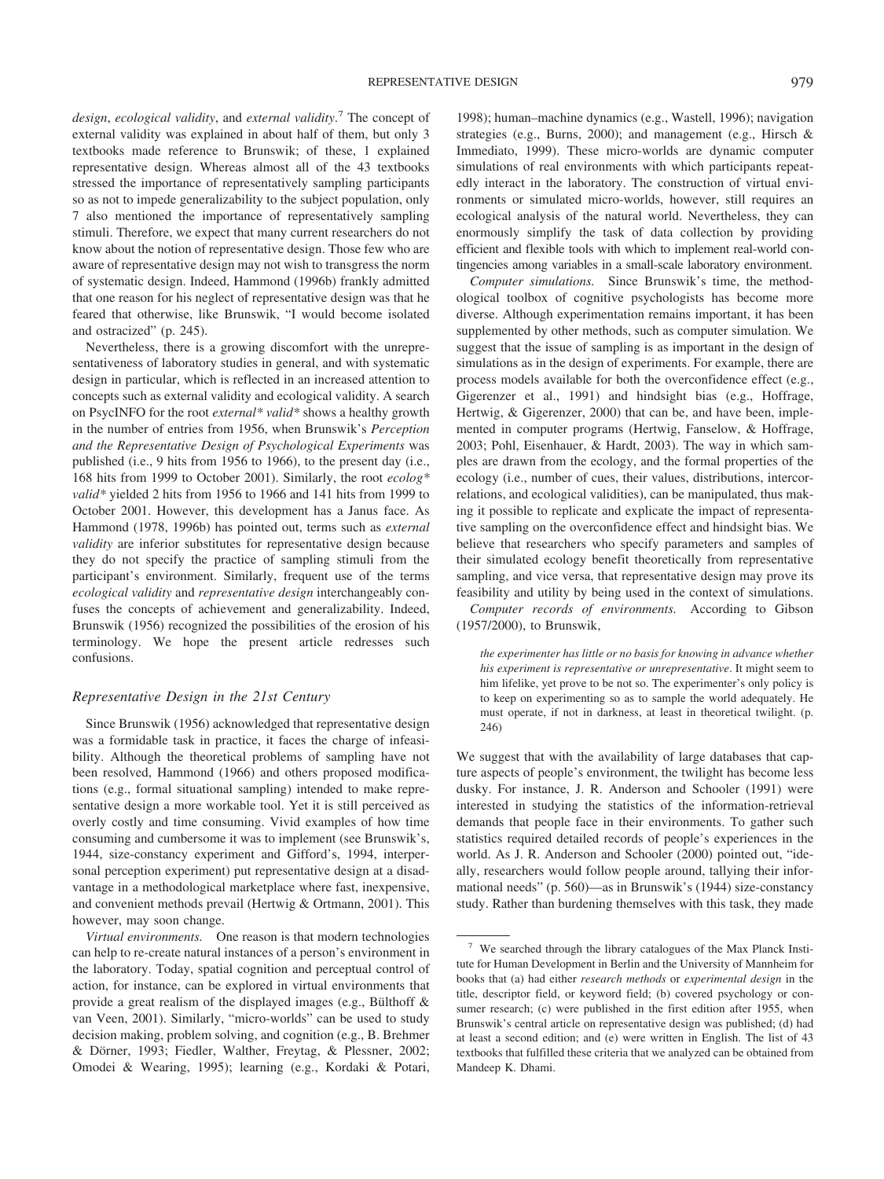*design*, *ecological validity*, and *external validity*. <sup>7</sup> The concept of external validity was explained in about half of them, but only 3 textbooks made reference to Brunswik; of these, 1 explained representative design. Whereas almost all of the 43 textbooks stressed the importance of representatively sampling participants so as not to impede generalizability to the subject population, only 7 also mentioned the importance of representatively sampling stimuli. Therefore, we expect that many current researchers do not know about the notion of representative design. Those few who are aware of representative design may not wish to transgress the norm of systematic design. Indeed, Hammond (1996b) frankly admitted that one reason for his neglect of representative design was that he feared that otherwise, like Brunswik, "I would become isolated and ostracized" (p. 245).

Nevertheless, there is a growing discomfort with the unrepresentativeness of laboratory studies in general, and with systematic design in particular, which is reflected in an increased attention to concepts such as external validity and ecological validity. A search on PsycINFO for the root *external\* valid\** shows a healthy growth in the number of entries from 1956, when Brunswik's *Perception and the Representative Design of Psychological Experiments* was published (i.e., 9 hits from 1956 to 1966), to the present day (i.e., 168 hits from 1999 to October 2001). Similarly, the root *ecolog\* valid\** yielded 2 hits from 1956 to 1966 and 141 hits from 1999 to October 2001. However, this development has a Janus face. As Hammond (1978, 1996b) has pointed out, terms such as *external validity* are inferior substitutes for representative design because they do not specify the practice of sampling stimuli from the participant's environment. Similarly, frequent use of the terms *ecological validity* and *representative design* interchangeably confuses the concepts of achievement and generalizability. Indeed, Brunswik (1956) recognized the possibilities of the erosion of his terminology. We hope the present article redresses such confusions.

#### *Representative Design in the 21st Century*

Since Brunswik (1956) acknowledged that representative design was a formidable task in practice, it faces the charge of infeasibility. Although the theoretical problems of sampling have not been resolved, Hammond (1966) and others proposed modifications (e.g., formal situational sampling) intended to make representative design a more workable tool. Yet it is still perceived as overly costly and time consuming. Vivid examples of how time consuming and cumbersome it was to implement (see Brunswik's, 1944, size-constancy experiment and Gifford's, 1994, interpersonal perception experiment) put representative design at a disadvantage in a methodological marketplace where fast, inexpensive, and convenient methods prevail (Hertwig & Ortmann, 2001). This however, may soon change.

*Virtual environments.* One reason is that modern technologies can help to re-create natural instances of a person's environment in the laboratory. Today, spatial cognition and perceptual control of action, for instance, can be explored in virtual environments that provide a great realism of the displayed images (e.g., Bülthoff  $\&$ van Veen, 2001). Similarly, "micro-worlds" can be used to study decision making, problem solving, and cognition (e.g., B. Brehmer & Dörner, 1993; Fiedler, Walther, Freytag, & Plessner, 2002; Omodei & Wearing, 1995); learning (e.g., Kordaki & Potari,

1998); human–machine dynamics (e.g., Wastell, 1996); navigation strategies (e.g., Burns, 2000); and management (e.g., Hirsch & Immediato, 1999). These micro-worlds are dynamic computer simulations of real environments with which participants repeatedly interact in the laboratory. The construction of virtual environments or simulated micro-worlds, however, still requires an ecological analysis of the natural world. Nevertheless, they can enormously simplify the task of data collection by providing efficient and flexible tools with which to implement real-world contingencies among variables in a small-scale laboratory environment.

*Computer simulations.* Since Brunswik's time, the methodological toolbox of cognitive psychologists has become more diverse. Although experimentation remains important, it has been supplemented by other methods, such as computer simulation. We suggest that the issue of sampling is as important in the design of simulations as in the design of experiments. For example, there are process models available for both the overconfidence effect (e.g., Gigerenzer et al., 1991) and hindsight bias (e.g., Hoffrage, Hertwig, & Gigerenzer, 2000) that can be, and have been, implemented in computer programs (Hertwig, Fanselow, & Hoffrage, 2003; Pohl, Eisenhauer, & Hardt, 2003). The way in which samples are drawn from the ecology, and the formal properties of the ecology (i.e., number of cues, their values, distributions, intercorrelations, and ecological validities), can be manipulated, thus making it possible to replicate and explicate the impact of representative sampling on the overconfidence effect and hindsight bias. We believe that researchers who specify parameters and samples of their simulated ecology benefit theoretically from representative sampling, and vice versa, that representative design may prove its feasibility and utility by being used in the context of simulations.

*Computer records of environments.* According to Gibson (1957/2000), to Brunswik,

*the experimenter has little or no basis for knowing in advance whether his experiment is representative or unrepresentative*. It might seem to him lifelike, yet prove to be not so. The experimenter's only policy is to keep on experimenting so as to sample the world adequately. He must operate, if not in darkness, at least in theoretical twilight. (p. 246)

We suggest that with the availability of large databases that capture aspects of people's environment, the twilight has become less dusky. For instance, J. R. Anderson and Schooler (1991) were interested in studying the statistics of the information-retrieval demands that people face in their environments. To gather such statistics required detailed records of people's experiences in the world. As J. R. Anderson and Schooler (2000) pointed out, "ideally, researchers would follow people around, tallying their informational needs" (p. 560)—as in Brunswik's (1944) size-constancy study. Rather than burdening themselves with this task, they made

<sup>7</sup> We searched through the library catalogues of the Max Planck Institute for Human Development in Berlin and the University of Mannheim for books that (a) had either *research methods* or *experimental design* in the title, descriptor field, or keyword field; (b) covered psychology or consumer research; (c) were published in the first edition after 1955, when Brunswik's central article on representative design was published; (d) had at least a second edition; and (e) were written in English. The list of 43 textbooks that fulfilled these criteria that we analyzed can be obtained from Mandeep K. Dhami.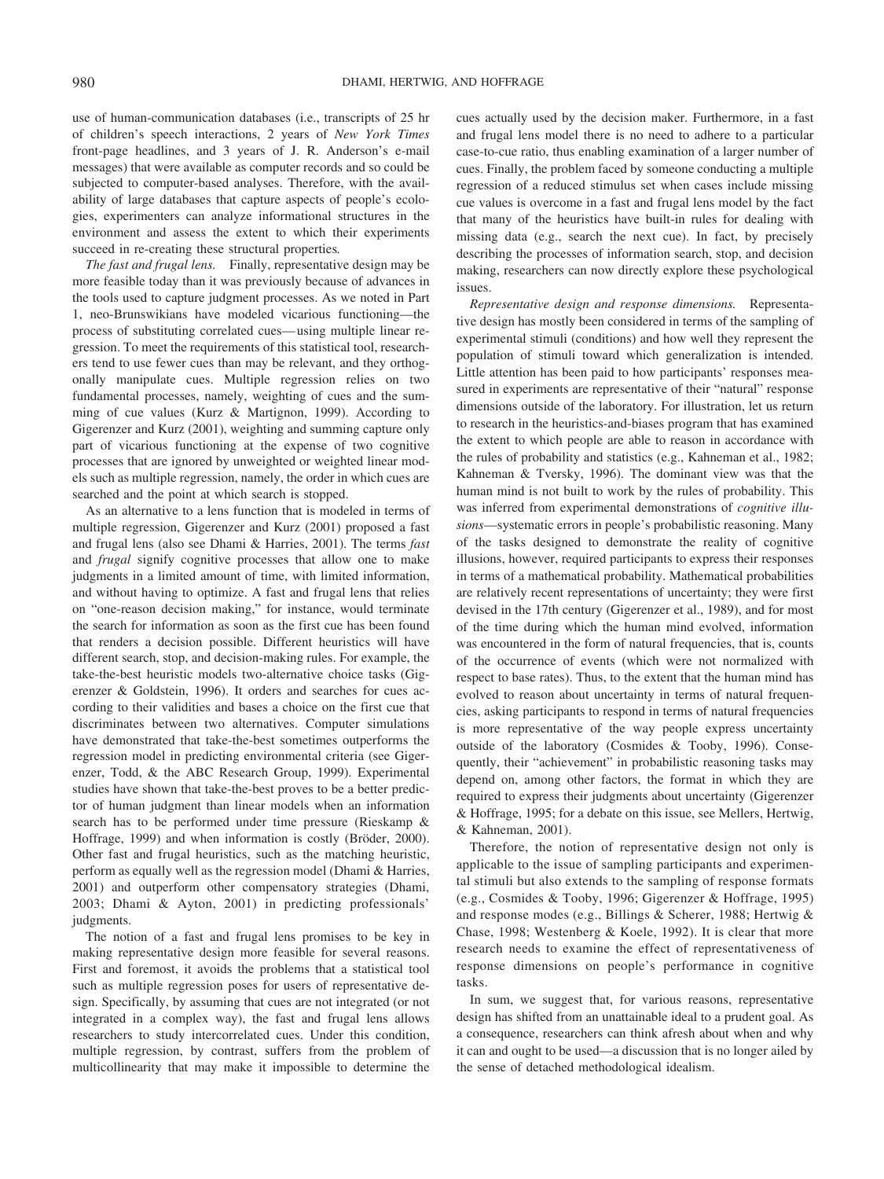use of human-communication databases (i.e., transcripts of 25 hr of children's speech interactions, 2 years of *New York Times* front-page headlines, and 3 years of J. R. Anderson's e-mail messages) that were available as computer records and so could be subjected to computer-based analyses. Therefore, with the availability of large databases that capture aspects of people's ecologies, experimenters can analyze informational structures in the environment and assess the extent to which their experiments succeed in re-creating these structural properties*.*

*The fast and frugal lens.* Finally, representative design may be more feasible today than it was previously because of advances in the tools used to capture judgment processes. As we noted in Part 1, neo-Brunswikians have modeled vicarious functioning—the process of substituting correlated cues— using multiple linear regression. To meet the requirements of this statistical tool, researchers tend to use fewer cues than may be relevant, and they orthogonally manipulate cues. Multiple regression relies on two fundamental processes, namely, weighting of cues and the summing of cue values (Kurz & Martignon, 1999). According to Gigerenzer and Kurz (2001), weighting and summing capture only part of vicarious functioning at the expense of two cognitive processes that are ignored by unweighted or weighted linear models such as multiple regression, namely, the order in which cues are searched and the point at which search is stopped.

As an alternative to a lens function that is modeled in terms of multiple regression, Gigerenzer and Kurz (2001) proposed a fast and frugal lens (also see Dhami & Harries, 2001). The terms *fast* and *frugal* signify cognitive processes that allow one to make judgments in a limited amount of time, with limited information, and without having to optimize. A fast and frugal lens that relies on "one-reason decision making," for instance, would terminate the search for information as soon as the first cue has been found that renders a decision possible. Different heuristics will have different search, stop, and decision-making rules. For example, the take-the-best heuristic models two-alternative choice tasks (Gigerenzer & Goldstein, 1996). It orders and searches for cues according to their validities and bases a choice on the first cue that discriminates between two alternatives. Computer simulations have demonstrated that take-the-best sometimes outperforms the regression model in predicting environmental criteria (see Gigerenzer, Todd, & the ABC Research Group, 1999). Experimental studies have shown that take-the-best proves to be a better predictor of human judgment than linear models when an information search has to be performed under time pressure (Rieskamp & Hoffrage, 1999) and when information is costly (Bröder, 2000). Other fast and frugal heuristics, such as the matching heuristic, perform as equally well as the regression model (Dhami & Harries, 2001) and outperform other compensatory strategies (Dhami, 2003; Dhami & Ayton, 2001) in predicting professionals' judgments.

The notion of a fast and frugal lens promises to be key in making representative design more feasible for several reasons. First and foremost, it avoids the problems that a statistical tool such as multiple regression poses for users of representative design. Specifically, by assuming that cues are not integrated (or not integrated in a complex way), the fast and frugal lens allows researchers to study intercorrelated cues. Under this condition, multiple regression, by contrast, suffers from the problem of multicollinearity that may make it impossible to determine the

cues actually used by the decision maker. Furthermore, in a fast and frugal lens model there is no need to adhere to a particular case-to-cue ratio, thus enabling examination of a larger number of cues. Finally, the problem faced by someone conducting a multiple regression of a reduced stimulus set when cases include missing cue values is overcome in a fast and frugal lens model by the fact that many of the heuristics have built-in rules for dealing with missing data (e.g., search the next cue). In fact, by precisely describing the processes of information search, stop, and decision making, researchers can now directly explore these psychological issues.

*Representative design and response dimensions.* Representative design has mostly been considered in terms of the sampling of experimental stimuli (conditions) and how well they represent the population of stimuli toward which generalization is intended. Little attention has been paid to how participants' responses measured in experiments are representative of their "natural" response dimensions outside of the laboratory. For illustration, let us return to research in the heuristics-and-biases program that has examined the extent to which people are able to reason in accordance with the rules of probability and statistics (e.g., Kahneman et al., 1982; Kahneman & Tversky, 1996). The dominant view was that the human mind is not built to work by the rules of probability. This was inferred from experimental demonstrations of *cognitive illusions*—systematic errors in people's probabilistic reasoning. Many of the tasks designed to demonstrate the reality of cognitive illusions, however, required participants to express their responses in terms of a mathematical probability. Mathematical probabilities are relatively recent representations of uncertainty; they were first devised in the 17th century (Gigerenzer et al., 1989), and for most of the time during which the human mind evolved, information was encountered in the form of natural frequencies, that is, counts of the occurrence of events (which were not normalized with respect to base rates). Thus, to the extent that the human mind has evolved to reason about uncertainty in terms of natural frequencies, asking participants to respond in terms of natural frequencies is more representative of the way people express uncertainty outside of the laboratory (Cosmides & Tooby, 1996). Consequently, their "achievement" in probabilistic reasoning tasks may depend on, among other factors, the format in which they are required to express their judgments about uncertainty (Gigerenzer & Hoffrage, 1995; for a debate on this issue, see Mellers, Hertwig, & Kahneman, 2001).

Therefore, the notion of representative design not only is applicable to the issue of sampling participants and experimental stimuli but also extends to the sampling of response formats (e.g., Cosmides & Tooby, 1996; Gigerenzer & Hoffrage, 1995) and response modes (e.g., Billings & Scherer, 1988; Hertwig & Chase, 1998; Westenberg & Koele, 1992). It is clear that more research needs to examine the effect of representativeness of response dimensions on people's performance in cognitive tasks.

In sum, we suggest that, for various reasons, representative design has shifted from an unattainable ideal to a prudent goal. As a consequence, researchers can think afresh about when and why it can and ought to be used—a discussion that is no longer ailed by the sense of detached methodological idealism.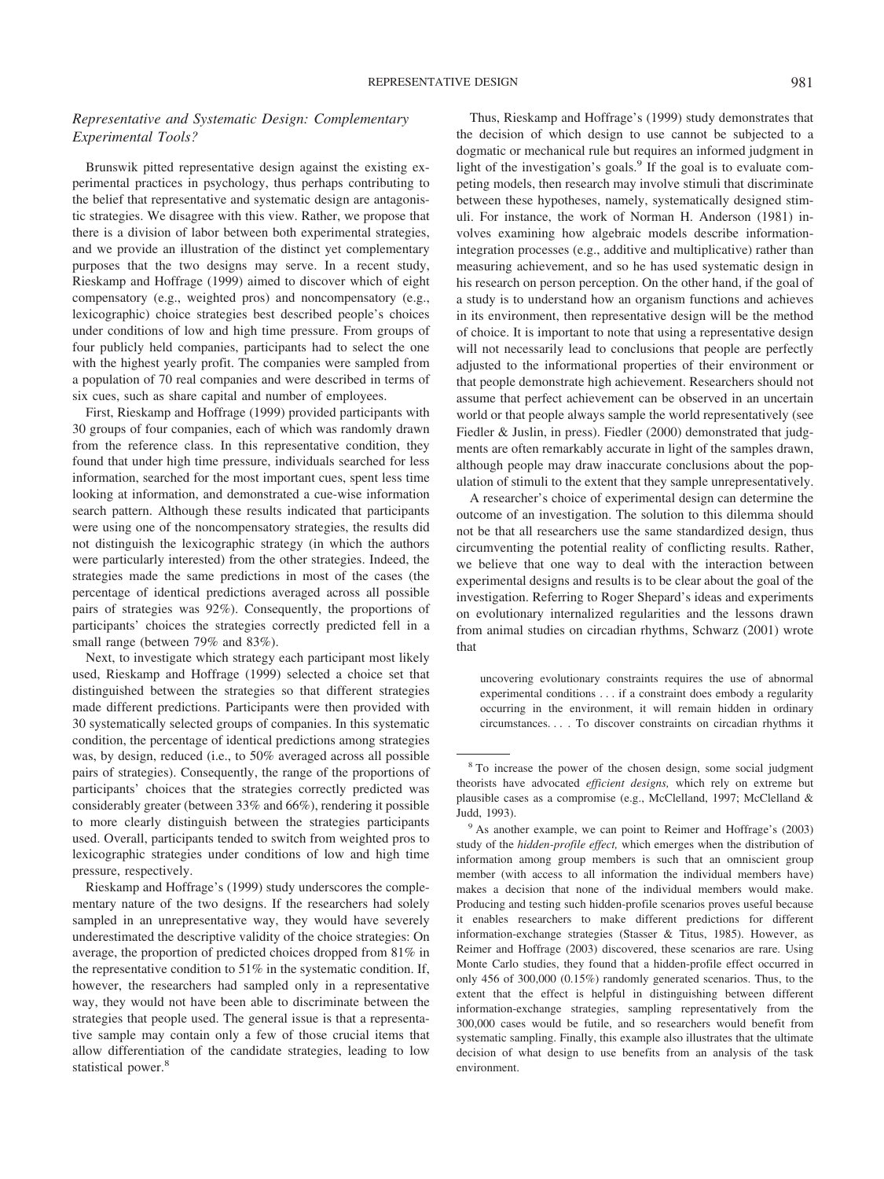### *Representative and Systematic Design: Complementary Experimental Tools?*

Brunswik pitted representative design against the existing experimental practices in psychology, thus perhaps contributing to the belief that representative and systematic design are antagonistic strategies. We disagree with this view. Rather, we propose that there is a division of labor between both experimental strategies, and we provide an illustration of the distinct yet complementary purposes that the two designs may serve. In a recent study, Rieskamp and Hoffrage (1999) aimed to discover which of eight compensatory (e.g., weighted pros) and noncompensatory (e.g., lexicographic) choice strategies best described people's choices under conditions of low and high time pressure. From groups of four publicly held companies, participants had to select the one with the highest yearly profit. The companies were sampled from a population of 70 real companies and were described in terms of six cues, such as share capital and number of employees.

First, Rieskamp and Hoffrage (1999) provided participants with 30 groups of four companies, each of which was randomly drawn from the reference class. In this representative condition, they found that under high time pressure, individuals searched for less information, searched for the most important cues, spent less time looking at information, and demonstrated a cue-wise information search pattern. Although these results indicated that participants were using one of the noncompensatory strategies, the results did not distinguish the lexicographic strategy (in which the authors were particularly interested) from the other strategies. Indeed, the strategies made the same predictions in most of the cases (the percentage of identical predictions averaged across all possible pairs of strategies was 92%). Consequently, the proportions of participants' choices the strategies correctly predicted fell in a small range (between 79% and 83%).

Next, to investigate which strategy each participant most likely used, Rieskamp and Hoffrage (1999) selected a choice set that distinguished between the strategies so that different strategies made different predictions. Participants were then provided with 30 systematically selected groups of companies. In this systematic condition, the percentage of identical predictions among strategies was, by design, reduced (i.e., to 50% averaged across all possible pairs of strategies). Consequently, the range of the proportions of participants' choices that the strategies correctly predicted was considerably greater (between 33% and 66%), rendering it possible to more clearly distinguish between the strategies participants used. Overall, participants tended to switch from weighted pros to lexicographic strategies under conditions of low and high time pressure, respectively.

Rieskamp and Hoffrage's (1999) study underscores the complementary nature of the two designs. If the researchers had solely sampled in an unrepresentative way, they would have severely underestimated the descriptive validity of the choice strategies: On average, the proportion of predicted choices dropped from 81% in the representative condition to  $51\%$  in the systematic condition. If, however, the researchers had sampled only in a representative way, they would not have been able to discriminate between the strategies that people used. The general issue is that a representative sample may contain only a few of those crucial items that allow differentiation of the candidate strategies, leading to low statistical power.<sup>8</sup>

Thus, Rieskamp and Hoffrage's (1999) study demonstrates that the decision of which design to use cannot be subjected to a dogmatic or mechanical rule but requires an informed judgment in light of the investigation's goals.<sup>9</sup> If the goal is to evaluate competing models, then research may involve stimuli that discriminate between these hypotheses, namely, systematically designed stimuli. For instance, the work of Norman H. Anderson (1981) involves examining how algebraic models describe informationintegration processes (e.g., additive and multiplicative) rather than measuring achievement, and so he has used systematic design in his research on person perception. On the other hand, if the goal of a study is to understand how an organism functions and achieves in its environment, then representative design will be the method of choice. It is important to note that using a representative design will not necessarily lead to conclusions that people are perfectly adjusted to the informational properties of their environment or that people demonstrate high achievement. Researchers should not assume that perfect achievement can be observed in an uncertain world or that people always sample the world representatively (see Fiedler & Juslin, in press). Fiedler (2000) demonstrated that judgments are often remarkably accurate in light of the samples drawn, although people may draw inaccurate conclusions about the population of stimuli to the extent that they sample unrepresentatively.

A researcher's choice of experimental design can determine the outcome of an investigation. The solution to this dilemma should not be that all researchers use the same standardized design, thus circumventing the potential reality of conflicting results. Rather, we believe that one way to deal with the interaction between experimental designs and results is to be clear about the goal of the investigation. Referring to Roger Shepard's ideas and experiments on evolutionary internalized regularities and the lessons drawn from animal studies on circadian rhythms, Schwarz (2001) wrote that

uncovering evolutionary constraints requires the use of abnormal experimental conditions . . . if a constraint does embody a regularity occurring in the environment, it will remain hidden in ordinary circumstances. . . . To discover constraints on circadian rhythms it

<sup>8</sup> To increase the power of the chosen design, some social judgment theorists have advocated *efficient designs,* which rely on extreme but plausible cases as a compromise (e.g., McClelland, 1997; McClelland & Judd, 1993).

<sup>&</sup>lt;sup>9</sup> As another example, we can point to Reimer and Hoffrage's (2003) study of the *hidden-profile effect,* which emerges when the distribution of information among group members is such that an omniscient group member (with access to all information the individual members have) makes a decision that none of the individual members would make. Producing and testing such hidden-profile scenarios proves useful because it enables researchers to make different predictions for different information-exchange strategies (Stasser & Titus, 1985). However, as Reimer and Hoffrage (2003) discovered, these scenarios are rare. Using Monte Carlo studies, they found that a hidden-profile effect occurred in only 456 of 300,000 (0.15%) randomly generated scenarios. Thus, to the extent that the effect is helpful in distinguishing between different information-exchange strategies, sampling representatively from the 300,000 cases would be futile, and so researchers would benefit from systematic sampling. Finally, this example also illustrates that the ultimate decision of what design to use benefits from an analysis of the task environment.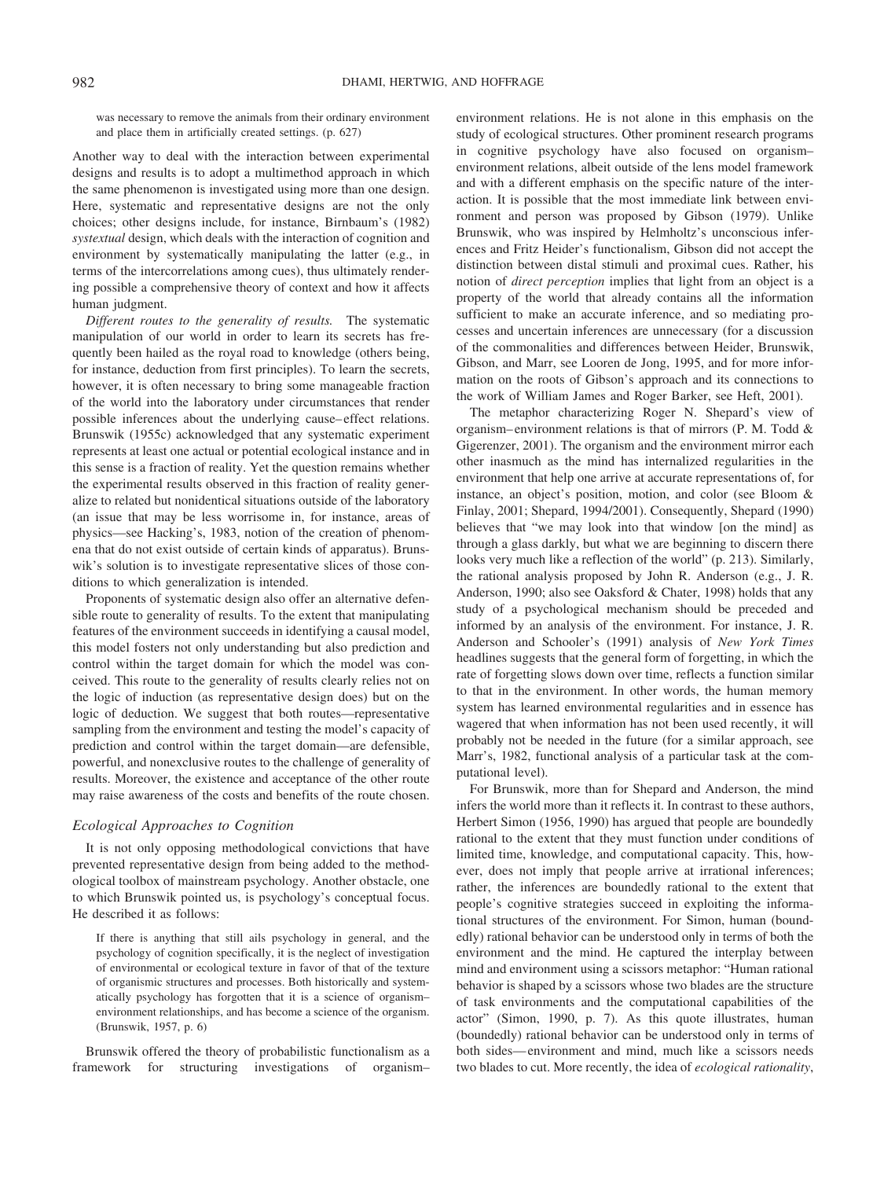was necessary to remove the animals from their ordinary environment and place them in artificially created settings. (p. 627)

Another way to deal with the interaction between experimental designs and results is to adopt a multimethod approach in which the same phenomenon is investigated using more than one design. Here, systematic and representative designs are not the only choices; other designs include, for instance, Birnbaum's (1982) *systextual* design, which deals with the interaction of cognition and environment by systematically manipulating the latter (e.g., in terms of the intercorrelations among cues), thus ultimately rendering possible a comprehensive theory of context and how it affects human judgment.

*Different routes to the generality of results.* The systematic manipulation of our world in order to learn its secrets has frequently been hailed as the royal road to knowledge (others being, for instance, deduction from first principles). To learn the secrets, however, it is often necessary to bring some manageable fraction of the world into the laboratory under circumstances that render possible inferences about the underlying cause– effect relations. Brunswik (1955c) acknowledged that any systematic experiment represents at least one actual or potential ecological instance and in this sense is a fraction of reality. Yet the question remains whether the experimental results observed in this fraction of reality generalize to related but nonidentical situations outside of the laboratory (an issue that may be less worrisome in, for instance, areas of physics—see Hacking's, 1983, notion of the creation of phenomena that do not exist outside of certain kinds of apparatus). Brunswik's solution is to investigate representative slices of those conditions to which generalization is intended.

Proponents of systematic design also offer an alternative defensible route to generality of results. To the extent that manipulating features of the environment succeeds in identifying a causal model, this model fosters not only understanding but also prediction and control within the target domain for which the model was conceived. This route to the generality of results clearly relies not on the logic of induction (as representative design does) but on the logic of deduction. We suggest that both routes—representative sampling from the environment and testing the model's capacity of prediction and control within the target domain—are defensible, powerful, and nonexclusive routes to the challenge of generality of results. Moreover, the existence and acceptance of the other route may raise awareness of the costs and benefits of the route chosen.

### *Ecological Approaches to Cognition*

It is not only opposing methodological convictions that have prevented representative design from being added to the methodological toolbox of mainstream psychology. Another obstacle, one to which Brunswik pointed us, is psychology's conceptual focus. He described it as follows:

If there is anything that still ails psychology in general, and the psychology of cognition specifically, it is the neglect of investigation of environmental or ecological texture in favor of that of the texture of organismic structures and processes. Both historically and systematically psychology has forgotten that it is a science of organism– environment relationships, and has become a science of the organism. (Brunswik, 1957, p. 6)

Brunswik offered the theory of probabilistic functionalism as a framework for structuring investigations of organism– environment relations. He is not alone in this emphasis on the study of ecological structures. Other prominent research programs in cognitive psychology have also focused on organism– environment relations, albeit outside of the lens model framework and with a different emphasis on the specific nature of the interaction. It is possible that the most immediate link between environment and person was proposed by Gibson (1979). Unlike Brunswik, who was inspired by Helmholtz's unconscious inferences and Fritz Heider's functionalism, Gibson did not accept the distinction between distal stimuli and proximal cues. Rather, his notion of *direct perception* implies that light from an object is a property of the world that already contains all the information sufficient to make an accurate inference, and so mediating processes and uncertain inferences are unnecessary (for a discussion of the commonalities and differences between Heider, Brunswik, Gibson, and Marr, see Looren de Jong, 1995, and for more information on the roots of Gibson's approach and its connections to the work of William James and Roger Barker, see Heft, 2001).

The metaphor characterizing Roger N. Shepard's view of organism– environment relations is that of mirrors (P. M. Todd & Gigerenzer, 2001). The organism and the environment mirror each other inasmuch as the mind has internalized regularities in the environment that help one arrive at accurate representations of, for instance, an object's position, motion, and color (see Bloom & Finlay, 2001; Shepard, 1994/2001). Consequently, Shepard (1990) believes that "we may look into that window [on the mind] as through a glass darkly, but what we are beginning to discern there looks very much like a reflection of the world" (p. 213). Similarly, the rational analysis proposed by John R. Anderson (e.g., J. R. Anderson, 1990; also see Oaksford & Chater, 1998) holds that any study of a psychological mechanism should be preceded and informed by an analysis of the environment. For instance, J. R. Anderson and Schooler's (1991) analysis of *New York Times* headlines suggests that the general form of forgetting, in which the rate of forgetting slows down over time, reflects a function similar to that in the environment. In other words, the human memory system has learned environmental regularities and in essence has wagered that when information has not been used recently, it will probably not be needed in the future (for a similar approach, see Marr's, 1982, functional analysis of a particular task at the computational level).

For Brunswik, more than for Shepard and Anderson, the mind infers the world more than it reflects it. In contrast to these authors, Herbert Simon (1956, 1990) has argued that people are boundedly rational to the extent that they must function under conditions of limited time, knowledge, and computational capacity. This, however, does not imply that people arrive at irrational inferences; rather, the inferences are boundedly rational to the extent that people's cognitive strategies succeed in exploiting the informational structures of the environment. For Simon, human (boundedly) rational behavior can be understood only in terms of both the environment and the mind. He captured the interplay between mind and environment using a scissors metaphor: "Human rational behavior is shaped by a scissors whose two blades are the structure of task environments and the computational capabilities of the actor" (Simon, 1990, p. 7). As this quote illustrates, human (boundedly) rational behavior can be understood only in terms of both sides— environment and mind, much like a scissors needs two blades to cut. More recently, the idea of *ecological rationality*,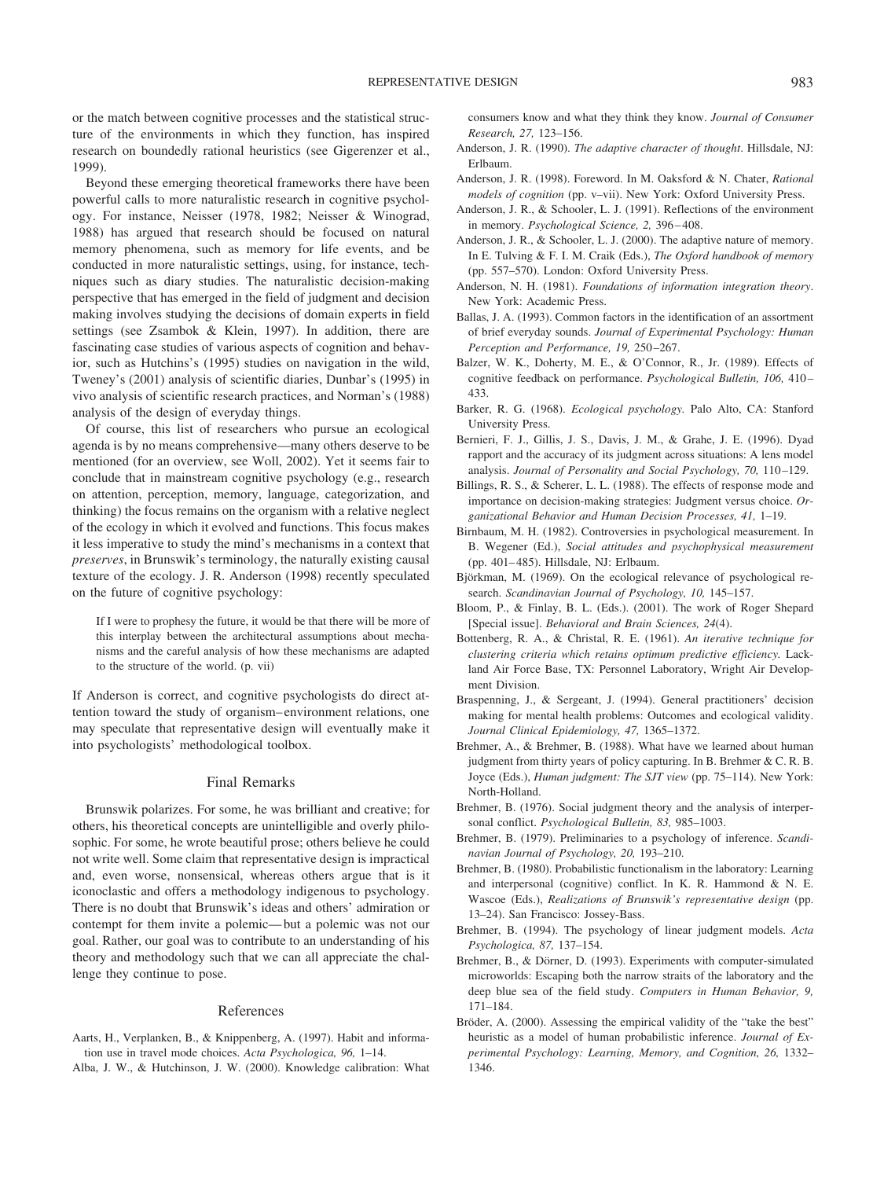or the match between cognitive processes and the statistical structure of the environments in which they function, has inspired research on boundedly rational heuristics (see Gigerenzer et al., 1999).

Beyond these emerging theoretical frameworks there have been powerful calls to more naturalistic research in cognitive psychology. For instance, Neisser (1978, 1982; Neisser & Winograd, 1988) has argued that research should be focused on natural memory phenomena, such as memory for life events, and be conducted in more naturalistic settings, using, for instance, techniques such as diary studies. The naturalistic decision-making perspective that has emerged in the field of judgment and decision making involves studying the decisions of domain experts in field settings (see Zsambok & Klein, 1997). In addition, there are fascinating case studies of various aspects of cognition and behavior, such as Hutchins's (1995) studies on navigation in the wild, Tweney's (2001) analysis of scientific diaries, Dunbar's (1995) in vivo analysis of scientific research practices, and Norman's (1988) analysis of the design of everyday things.

Of course, this list of researchers who pursue an ecological agenda is by no means comprehensive—many others deserve to be mentioned (for an overview, see Woll, 2002). Yet it seems fair to conclude that in mainstream cognitive psychology (e.g., research on attention, perception, memory, language, categorization, and thinking) the focus remains on the organism with a relative neglect of the ecology in which it evolved and functions. This focus makes it less imperative to study the mind's mechanisms in a context that *preserves*, in Brunswik's terminology, the naturally existing causal texture of the ecology. J. R. Anderson (1998) recently speculated on the future of cognitive psychology:

If I were to prophesy the future, it would be that there will be more of this interplay between the architectural assumptions about mechanisms and the careful analysis of how these mechanisms are adapted to the structure of the world. (p. vii)

If Anderson is correct, and cognitive psychologists do direct attention toward the study of organism– environment relations, one may speculate that representative design will eventually make it into psychologists' methodological toolbox.

#### Final Remarks

Brunswik polarizes. For some, he was brilliant and creative; for others, his theoretical concepts are unintelligible and overly philosophic. For some, he wrote beautiful prose; others believe he could not write well. Some claim that representative design is impractical and, even worse, nonsensical, whereas others argue that is it iconoclastic and offers a methodology indigenous to psychology. There is no doubt that Brunswik's ideas and others' admiration or contempt for them invite a polemic— but a polemic was not our goal. Rather, our goal was to contribute to an understanding of his theory and methodology such that we can all appreciate the challenge they continue to pose.

#### References

Aarts, H., Verplanken, B., & Knippenberg, A. (1997). Habit and information use in travel mode choices. *Acta Psychologica, 96,* 1–14. Alba, J. W., & Hutchinson, J. W. (2000). Knowledge calibration: What consumers know and what they think they know. *Journal of Consumer Research, 27,* 123–156.

- Anderson, J. R. (1990). *The adaptive character of thought*. Hillsdale, NJ: Erlbaum.
- Anderson, J. R. (1998). Foreword. In M. Oaksford & N. Chater, *Rational models of cognition* (pp. v–vii). New York: Oxford University Press.
- Anderson, J. R., & Schooler, L. J. (1991). Reflections of the environment in memory. *Psychological Science, 2,* 396 – 408.
- Anderson, J. R., & Schooler, L. J. (2000). The adaptive nature of memory. In E. Tulving & F. I. M. Craik (Eds.), *The Oxford handbook of memory* (pp. 557–570). London: Oxford University Press.
- Anderson, N. H. (1981). *Foundations of information integration theory*. New York: Academic Press.
- Ballas, J. A. (1993). Common factors in the identification of an assortment of brief everyday sounds. *Journal of Experimental Psychology: Human Perception and Performance, 19,* 250 –267.
- Balzer, W. K., Doherty, M. E., & O'Connor, R., Jr. (1989). Effects of cognitive feedback on performance. *Psychological Bulletin, 106,* 410 – 433.
- Barker, R. G. (1968). *Ecological psychology.* Palo Alto, CA: Stanford University Press.
- Bernieri, F. J., Gillis, J. S., Davis, J. M., & Grahe, J. E. (1996). Dyad rapport and the accuracy of its judgment across situations: A lens model analysis. *Journal of Personality and Social Psychology, 70, 110–129.*
- Billings, R. S., & Scherer, L. L. (1988). The effects of response mode and importance on decision-making strategies: Judgment versus choice. *Organizational Behavior and Human Decision Processes, 41,* 1–19.
- Birnbaum, M. H. (1982). Controversies in psychological measurement. In B. Wegener (Ed.), *Social attitudes and psychophysical measurement* (pp. 401– 485). Hillsdale, NJ: Erlbaum.
- Björkman, M. (1969). On the ecological relevance of psychological research. *Scandinavian Journal of Psychology, 10,* 145–157.
- Bloom, P., & Finlay, B. L. (Eds.). (2001). The work of Roger Shepard [Special issue]. *Behavioral and Brain Sciences, 24*(4).
- Bottenberg, R. A., & Christal, R. E. (1961). *An iterative technique for clustering criteria which retains optimum predictive efficiency.* Lackland Air Force Base, TX: Personnel Laboratory, Wright Air Development Division.
- Braspenning, J., & Sergeant, J. (1994). General practitioners' decision making for mental health problems: Outcomes and ecological validity. *Journal Clinical Epidemiology, 47,* 1365–1372.
- Brehmer, A., & Brehmer, B. (1988). What have we learned about human judgment from thirty years of policy capturing. In B. Brehmer & C. R. B. Joyce (Eds.), *Human judgment: The SJT view* (pp. 75–114). New York: North-Holland.
- Brehmer, B. (1976). Social judgment theory and the analysis of interpersonal conflict. *Psychological Bulletin, 83,* 985–1003.
- Brehmer, B. (1979). Preliminaries to a psychology of inference. *Scandinavian Journal of Psychology, 20,* 193–210.
- Brehmer, B. (1980). Probabilistic functionalism in the laboratory: Learning and interpersonal (cognitive) conflict. In K. R. Hammond & N. E. Wascoe (Eds.), *Realizations of Brunswik's representative design* (pp. 13–24). San Francisco: Jossey-Bass.
- Brehmer, B. (1994). The psychology of linear judgment models. *Acta Psychologica, 87,* 137–154.
- Brehmer, B., & Dörner, D. (1993). Experiments with computer-simulated microworlds: Escaping both the narrow straits of the laboratory and the deep blue sea of the field study. *Computers in Human Behavior, 9,* 171–184.
- Bröder, A. (2000). Assessing the empirical validity of the "take the best" heuristic as a model of human probabilistic inference. *Journal of Experimental Psychology: Learning, Memory, and Cognition, 26,* 1332– 1346.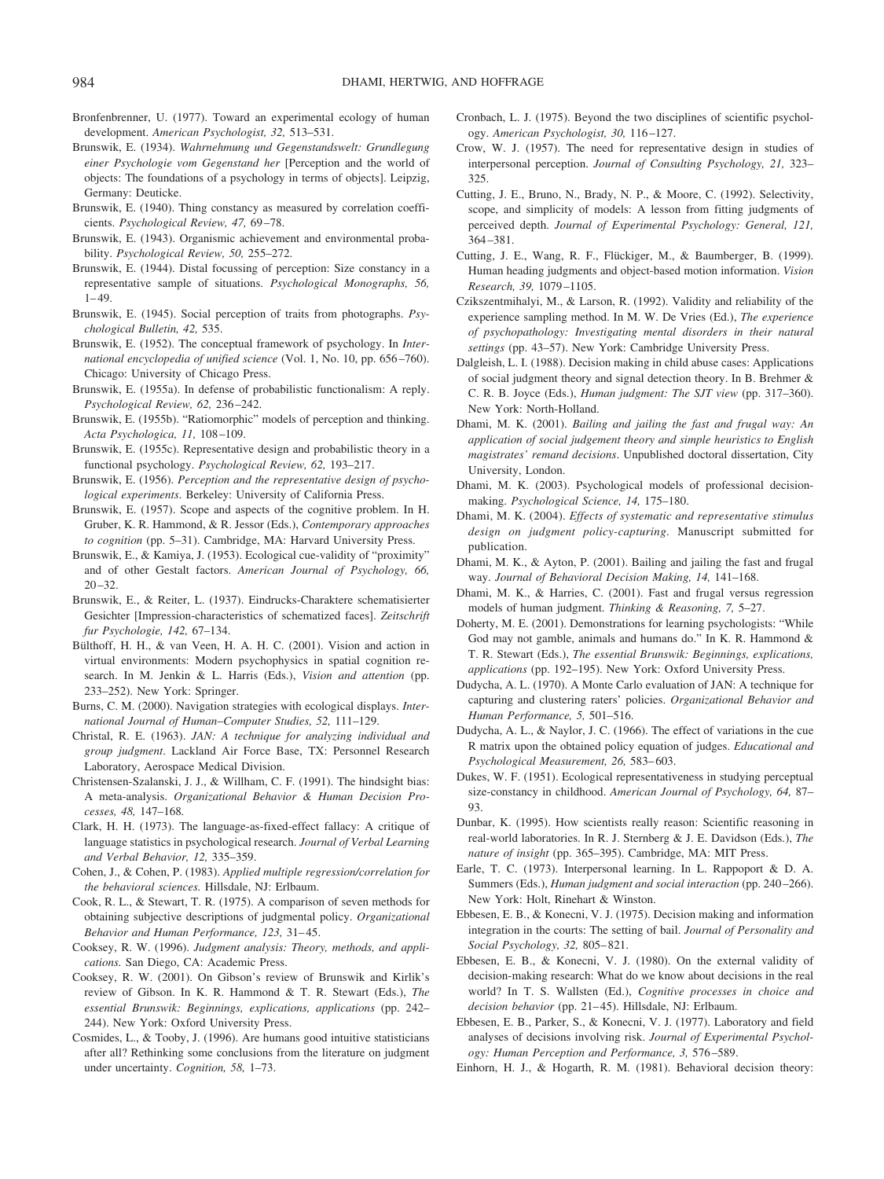- Bronfenbrenner, U. (1977). Toward an experimental ecology of human development. *American Psychologist, 32,* 513–531.
- Brunswik, E. (1934). *Wahrnehmung und Gegenstandswelt: Grundlegung einer Psychologie vom Gegenstand her* [Perception and the world of objects: The foundations of a psychology in terms of objects]. Leipzig, Germany: Deuticke.
- Brunswik, E. (1940). Thing constancy as measured by correlation coefficients. *Psychological Review, 47,* 69 –78.
- Brunswik, E. (1943). Organismic achievement and environmental probability. *Psychological Review, 50,* 255–272.
- Brunswik, E. (1944). Distal focussing of perception: Size constancy in a representative sample of situations. *Psychological Monographs, 56,*  $1 - 49.$
- Brunswik, E. (1945). Social perception of traits from photographs. *Psychological Bulletin, 42,* 535.
- Brunswik, E. (1952). The conceptual framework of psychology. In *International encyclopedia of unified science* (Vol. 1, No. 10, pp. 656 –760). Chicago: University of Chicago Press.
- Brunswik, E. (1955a). In defense of probabilistic functionalism: A reply. *Psychological Review, 62,* 236 –242.
- Brunswik, E. (1955b). "Ratiomorphic" models of perception and thinking. *Acta Psychologica, 11,* 108 –109.
- Brunswik, E. (1955c). Representative design and probabilistic theory in a functional psychology. *Psychological Review, 62,* 193–217.
- Brunswik, E. (1956). *Perception and the representative design of psychological experiments*. Berkeley: University of California Press.
- Brunswik, E. (1957). Scope and aspects of the cognitive problem. In H. Gruber, K. R. Hammond, & R. Jessor (Eds.), *Contemporary approaches to cognition* (pp. 5–31). Cambridge, MA: Harvard University Press.
- Brunswik, E., & Kamiya, J. (1953). Ecological cue-validity of "proximity" and of other Gestalt factors. *American Journal of Psychology, 66,*  $20 - 32.$
- Brunswik, E., & Reiter, L. (1937). Eindrucks-Charaktere schematisierter Gesichter [Impression-characteristics of schematized faces]. *Zeitschrift fur Psychologie, 142,* 67–134.
- Bülthoff, H. H., & van Veen, H. A. H. C. (2001). Vision and action in virtual environments: Modern psychophysics in spatial cognition research. In M. Jenkin & L. Harris (Eds.), *Vision and attention* (pp. 233–252). New York: Springer.
- Burns, C. M. (2000). Navigation strategies with ecological displays. *International Journal of Human*–*Computer Studies, 52,* 111–129.
- Christal, R. E. (1963). *JAN: A technique for analyzing individual and group judgment*. Lackland Air Force Base, TX: Personnel Research Laboratory, Aerospace Medical Division.
- Christensen-Szalanski, J. J., & Willham, C. F. (1991). The hindsight bias: A meta-analysis. *Organizational Behavior & Human Decision Processes, 48,* 147–168*.*
- Clark, H. H. (1973). The language-as-fixed-effect fallacy: A critique of language statistics in psychological research. *Journal of Verbal Learning and Verbal Behavior, 12,* 335–359.
- Cohen, J., & Cohen, P. (1983). *Applied multiple regression/correlation for the behavioral sciences.* Hillsdale, NJ: Erlbaum.
- Cook, R. L., & Stewart, T. R. (1975). A comparison of seven methods for obtaining subjective descriptions of judgmental policy. *Organizational Behavior and Human Performance, 123,* 31– 45.
- Cooksey, R. W. (1996). *Judgment analysis: Theory, methods, and applications.* San Diego, CA: Academic Press.
- Cooksey, R. W. (2001). On Gibson's review of Brunswik and Kirlik's review of Gibson. In K. R. Hammond & T. R. Stewart (Eds.), *The essential Brunswik: Beginnings, explications, applications* (pp. 242– 244). New York: Oxford University Press.
- Cosmides, L., & Tooby, J. (1996). Are humans good intuitive statisticians after all? Rethinking some conclusions from the literature on judgment under uncertainty. *Cognition, 58,* 1–73.
- Cronbach, L. J. (1975). Beyond the two disciplines of scientific psychology. *American Psychologist, 30,* 116 –127.
- Crow, W. J. (1957). The need for representative design in studies of interpersonal perception. *Journal of Consulting Psychology, 21,* 323– 325.
- Cutting, J. E., Bruno, N., Brady, N. P., & Moore, C. (1992). Selectivity, scope, and simplicity of models: A lesson from fitting judgments of perceived depth. *Journal of Experimental Psychology: General, 121,* 364 –381.
- Cutting, J. E., Wang, R. F., Flückiger, M., & Baumberger, B. (1999). Human heading judgments and object-based motion information. *Vision Research, 39,* 1079 –1105.
- Czikszentmihalyi, M., & Larson, R. (1992). Validity and reliability of the experience sampling method. In M. W. De Vries (Ed.), *The experience of psychopathology: Investigating mental disorders in their natural settings* (pp. 43–57). New York: Cambridge University Press.
- Dalgleish, L. I. (1988). Decision making in child abuse cases: Applications of social judgment theory and signal detection theory. In B. Brehmer & C. R. B. Joyce (Eds.), *Human judgment: The SJT view* (pp. 317–360). New York: North-Holland.
- Dhami, M. K. (2001). *Bailing and jailing the fast and frugal way: An application of social judgement theory and simple heuristics to English magistrates' remand decisions*. Unpublished doctoral dissertation, City University, London.
- Dhami, M. K. (2003). Psychological models of professional decisionmaking. *Psychological Science, 14,* 175–180.
- Dhami, M. K. (2004). *Effects of systematic and representative stimulus design on judgment policy-capturing*. Manuscript submitted for publication.
- Dhami, M. K., & Ayton, P. (2001). Bailing and jailing the fast and frugal way. *Journal of Behavioral Decision Making, 14,* 141–168.
- Dhami, M. K., & Harries, C. (2001). Fast and frugal versus regression models of human judgment. *Thinking & Reasoning, 7,* 5–27.
- Doherty, M. E. (2001). Demonstrations for learning psychologists: "While God may not gamble, animals and humans do." In K. R. Hammond & T. R. Stewart (Eds.), *The essential Brunswik: Beginnings, explications, applications* (pp. 192–195). New York: Oxford University Press.
- Dudycha, A. L. (1970). A Monte Carlo evaluation of JAN: A technique for capturing and clustering raters' policies. *Organizational Behavior and Human Performance, 5,* 501–516.
- Dudycha, A. L., & Naylor, J. C. (1966). The effect of variations in the cue R matrix upon the obtained policy equation of judges. *Educational and Psychological Measurement, 26,* 583– 603.
- Dukes, W. F. (1951). Ecological representativeness in studying perceptual size-constancy in childhood. *American Journal of Psychology, 64,* 87– 93.
- Dunbar, K. (1995). How scientists really reason: Scientific reasoning in real-world laboratories. In R. J. Sternberg & J. E. Davidson (Eds.), *The nature of insight* (pp. 365–395). Cambridge, MA: MIT Press.
- Earle, T. C. (1973). Interpersonal learning. In L. Rappoport & D. A. Summers (Eds.), *Human judgment and social interaction* (pp. 240-266). New York: Holt, Rinehart & Winston.
- Ebbesen, E. B., & Konecni, V. J. (1975). Decision making and information integration in the courts: The setting of bail. *Journal of Personality and Social Psychology, 32,* 805– 821.
- Ebbesen, E. B., & Konecni, V. J. (1980). On the external validity of decision-making research: What do we know about decisions in the real world? In T. S. Wallsten (Ed.), *Cognitive processes in choice and* decision behavior (pp. 21-45). Hillsdale, NJ: Erlbaum.
- Ebbesen, E. B., Parker, S., & Konecni, V. J. (1977). Laboratory and field analyses of decisions involving risk. *Journal of Experimental Psychology: Human Perception and Performance, 3,* 576 –589.
- Einhorn, H. J., & Hogarth, R. M. (1981). Behavioral decision theory: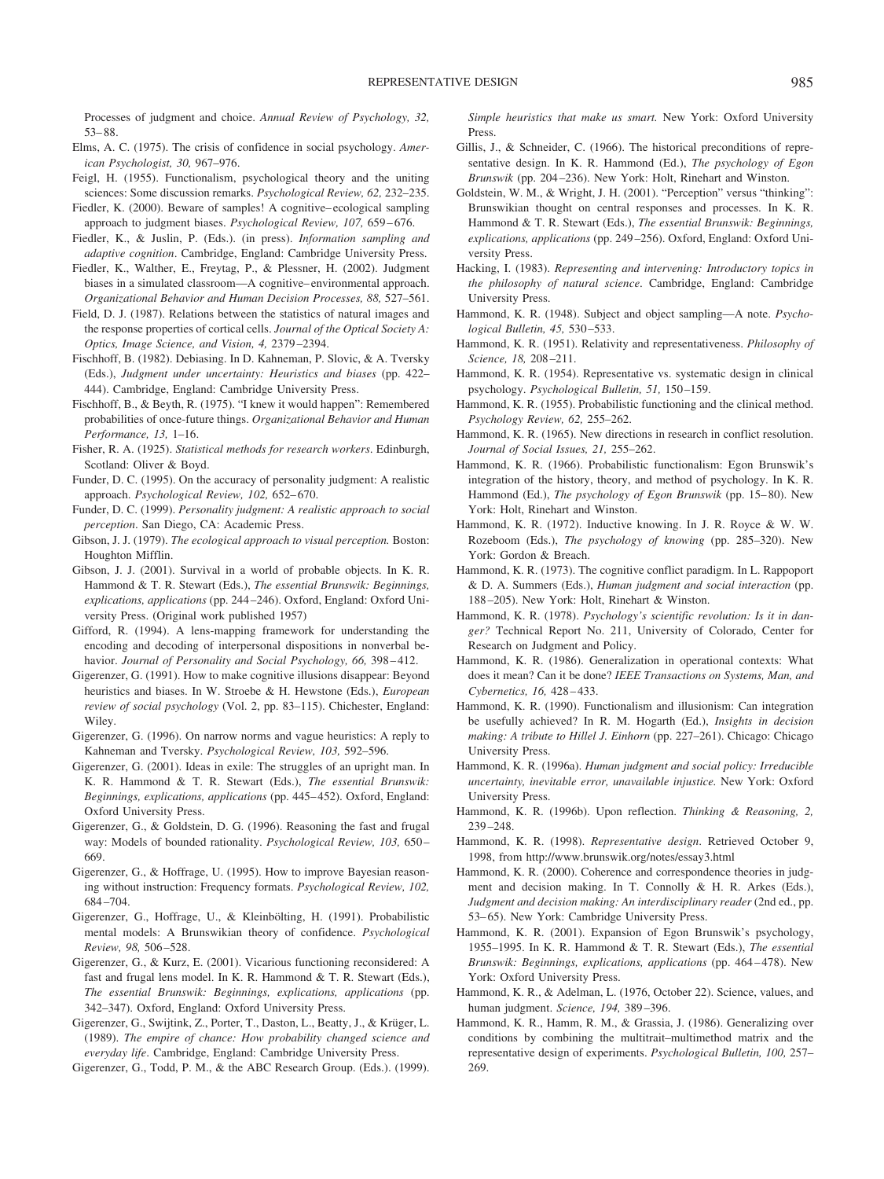Processes of judgment and choice. *Annual Review of Psychology, 32,* 53– 88.

- Elms, A. C. (1975). The crisis of confidence in social psychology. *American Psychologist, 30,* 967–976.
- Feigl, H. (1955). Functionalism, psychological theory and the uniting sciences: Some discussion remarks. *Psychological Review, 62,* 232–235.
- Fiedler, K. (2000). Beware of samples! A cognitive– ecological sampling approach to judgment biases. *Psychological Review, 107, 659-676*.
- Fiedler, K., & Juslin, P. (Eds.). (in press). *Information sampling and adaptive cognition*. Cambridge, England: Cambridge University Press.
- Fiedler, K., Walther, E., Freytag, P., & Plessner, H. (2002). Judgment biases in a simulated classroom—A cognitive– environmental approach. *Organizational Behavior and Human Decision Processes, 88,* 527–561.
- Field, D. J. (1987). Relations between the statistics of natural images and the response properties of cortical cells. *Journal of the Optical Society A: Optics, Image Science, and Vision, 4,* 2379 –2394.
- Fischhoff, B. (1982). Debiasing. In D. Kahneman, P. Slovic, & A. Tversky (Eds.), *Judgment under uncertainty: Heuristics and biases* (pp. 422– 444). Cambridge, England: Cambridge University Press.
- Fischhoff, B., & Beyth, R. (1975). "I knew it would happen": Remembered probabilities of once-future things. *Organizational Behavior and Human Performance, 13,* 1–16.
- Fisher, R. A. (1925). *Statistical methods for research workers*. Edinburgh, Scotland: Oliver & Boyd.
- Funder, D. C. (1995). On the accuracy of personality judgment: A realistic approach. *Psychological Review, 102,* 652– 670.
- Funder, D. C. (1999). *Personality judgment: A realistic approach to social perception*. San Diego, CA: Academic Press.
- Gibson, J. J. (1979). *The ecological approach to visual perception.* Boston: Houghton Mifflin.
- Gibson, J. J. (2001). Survival in a world of probable objects. In K. R. Hammond & T. R. Stewart (Eds.), *The essential Brunswik: Beginnings, explications, applications* (pp. 244 –246). Oxford, England: Oxford University Press. (Original work published 1957)
- Gifford, R. (1994). A lens-mapping framework for understanding the encoding and decoding of interpersonal dispositions in nonverbal behavior. *Journal of Personality and Social Psychology, 66, 398-412.*
- Gigerenzer, G. (1991). How to make cognitive illusions disappear: Beyond heuristics and biases. In W. Stroebe & H. Hewstone (Eds.), *European review of social psychology* (Vol. 2, pp. 83–115). Chichester, England: Wiley.
- Gigerenzer, G. (1996). On narrow norms and vague heuristics: A reply to Kahneman and Tversky. *Psychological Review, 103,* 592–596.
- Gigerenzer, G. (2001). Ideas in exile: The struggles of an upright man. In K. R. Hammond & T. R. Stewart (Eds.), *The essential Brunswik: Beginnings, explications, applications* (pp. 445– 452). Oxford, England: Oxford University Press.
- Gigerenzer, G., & Goldstein, D. G. (1996). Reasoning the fast and frugal way: Models of bounded rationality. *Psychological Review, 103,* 650 – 669.
- Gigerenzer, G., & Hoffrage, U. (1995). How to improve Bayesian reasoning without instruction: Frequency formats. *Psychological Review, 102,* 684 –704.
- Gigerenzer, G., Hoffrage, U., & Kleinbölting, H. (1991). Probabilistic mental models: A Brunswikian theory of confidence. *Psychological Review, 98,* 506 –528.
- Gigerenzer, G., & Kurz, E. (2001). Vicarious functioning reconsidered: A fast and frugal lens model. In K. R. Hammond & T. R. Stewart (Eds.), *The essential Brunswik: Beginnings, explications, applications* (pp. 342–347). Oxford, England: Oxford University Press.
- Gigerenzer, G., Swijtink, Z., Porter, T., Daston, L., Beatty, J., & Krüger, L. (1989). *The empire of chance: How probability changed science and everyday life*. Cambridge, England: Cambridge University Press.
- Gigerenzer, G., Todd, P. M., & the ABC Research Group. (Eds.). (1999).

*Simple heuristics that make us smart.* New York: Oxford University Press.

- Gillis, J., & Schneider, C. (1966). The historical preconditions of representative design. In K. R. Hammond (Ed.), *The psychology of Egon Brunswik* (pp. 204 –236). New York: Holt, Rinehart and Winston.
- Goldstein, W. M., & Wright, J. H. (2001). "Perception" versus "thinking": Brunswikian thought on central responses and processes. In K. R. Hammond & T. R. Stewart (Eds.), *The essential Brunswik: Beginnings, explications, applications* (pp. 249 –256). Oxford, England: Oxford University Press.
- Hacking, I. (1983). *Representing and intervening: Introductory topics in the philosophy of natural science*. Cambridge, England: Cambridge University Press.
- Hammond, K. R. (1948). Subject and object sampling—A note. *Psychological Bulletin, 45,* 530 –533.
- Hammond, K. R. (1951). Relativity and representativeness. *Philosophy of Science, 18,* 208 –211.
- Hammond, K. R. (1954). Representative vs. systematic design in clinical psychology. *Psychological Bulletin, 51,* 150 –159.
- Hammond, K. R. (1955). Probabilistic functioning and the clinical method. *Psychology Review, 62,* 255–262.
- Hammond, K. R. (1965). New directions in research in conflict resolution. *Journal of Social Issues, 21,* 255–262.
- Hammond, K. R. (1966). Probabilistic functionalism: Egon Brunswik's integration of the history, theory, and method of psychology. In K. R. Hammond (Ed.), *The psychology of Egon Brunswik* (pp. 15–80). New York: Holt, Rinehart and Winston.
- Hammond, K. R. (1972). Inductive knowing. In J. R. Royce & W. W. Rozeboom (Eds.), *The psychology of knowing* (pp. 285–320). New York: Gordon & Breach.
- Hammond, K. R. (1973). The cognitive conflict paradigm. In L. Rappoport & D. A. Summers (Eds.), *Human judgment and social interaction* (pp. 188 –205). New York: Holt, Rinehart & Winston.
- Hammond, K. R. (1978). *Psychology's scientific revolution: Is it in danger?* Technical Report No. 211, University of Colorado, Center for Research on Judgment and Policy.
- Hammond, K. R. (1986). Generalization in operational contexts: What does it mean? Can it be done? *IEEE Transactions on Systems, Man, and Cybernetics, 16,* 428 – 433.
- Hammond, K. R. (1990). Functionalism and illusionism: Can integration be usefully achieved? In R. M. Hogarth (Ed.), *Insights in decision making: A tribute to Hillel J. Einhorn* (pp. 227–261). Chicago: Chicago University Press.
- Hammond, K. R. (1996a). *Human judgment and social policy: Irreducible uncertainty, inevitable error, unavailable injustice.* New York: Oxford University Press.
- Hammond, K. R. (1996b). Upon reflection. *Thinking & Reasoning, 2,* 239 –248.
- Hammond, K. R. (1998). *Representative design*. Retrieved October 9, 1998, from http://www.brunswik.org/notes/essay3.html
- Hammond, K. R. (2000). Coherence and correspondence theories in judgment and decision making. In T. Connolly & H. R. Arkes (Eds.), *Judgment and decision making: An interdisciplinary reader* (2nd ed., pp. 53– 65). New York: Cambridge University Press.
- Hammond, K. R. (2001). Expansion of Egon Brunswik's psychology, 1955–1995. In K. R. Hammond & T. R. Stewart (Eds.), *The essential Brunswik: Beginnings, explications, applications* (pp. 464 – 478). New York: Oxford University Press.
- Hammond, K. R., & Adelman, L. (1976, October 22). Science, values, and human judgment. *Science, 194,* 389 –396.
- Hammond, K. R., Hamm, R. M., & Grassia, J. (1986). Generalizing over conditions by combining the multitrait–multimethod matrix and the representative design of experiments. *Psychological Bulletin, 100,* 257– 269.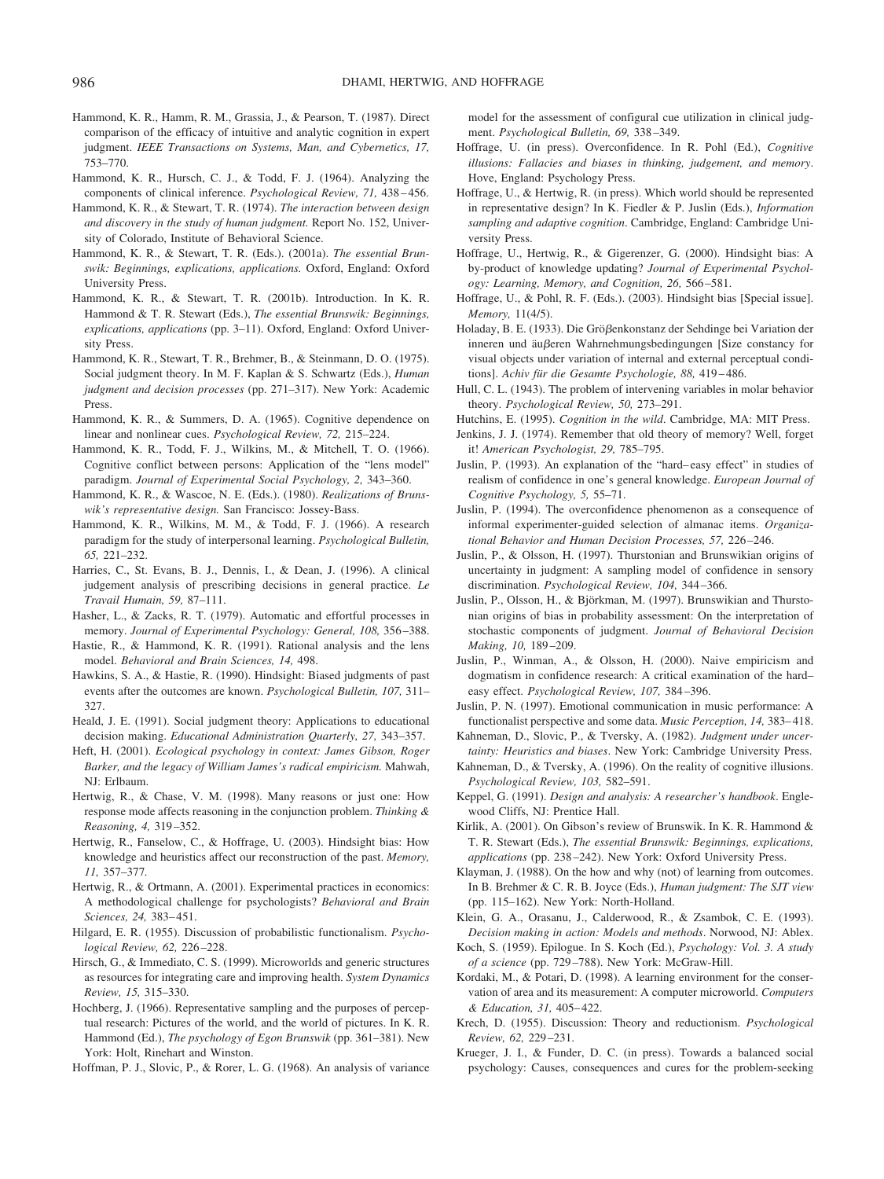- Hammond, K. R., Hamm, R. M., Grassia, J., & Pearson, T. (1987). Direct comparison of the efficacy of intuitive and analytic cognition in expert judgment. *IEEE Transactions on Systems, Man, and Cybernetics, 17,* 753–770.
- Hammond, K. R., Hursch, C. J., & Todd, F. J. (1964). Analyzing the components of clinical inference. *Psychological Review, 71,* 438 – 456.
- Hammond, K. R., & Stewart, T. R. (1974). *The interaction between design and discovery in the study of human judgment.* Report No. 152, University of Colorado, Institute of Behavioral Science.
- Hammond, K. R., & Stewart, T. R. (Eds.). (2001a). *The essential Brunswik: Beginnings, explications, applications.* Oxford, England: Oxford University Press.
- Hammond, K. R., & Stewart, T. R. (2001b). Introduction. In K. R. Hammond & T. R. Stewart (Eds.), *The essential Brunswik: Beginnings, explications, applications* (pp. 3–11). Oxford, England: Oxford University Press.
- Hammond, K. R., Stewart, T. R., Brehmer, B., & Steinmann, D. O. (1975). Social judgment theory. In M. F. Kaplan & S. Schwartz (Eds.), *Human judgment and decision processes* (pp. 271–317). New York: Academic Press.
- Hammond, K. R., & Summers, D. A. (1965). Cognitive dependence on linear and nonlinear cues. *Psychological Review, 72,* 215–224.
- Hammond, K. R., Todd, F. J., Wilkins, M., & Mitchell, T. O. (1966). Cognitive conflict between persons: Application of the "lens model" paradigm. *Journal of Experimental Social Psychology, 2,* 343–360.
- Hammond, K. R., & Wascoe, N. E. (Eds.). (1980). *Realizations of Brunswik's representative design.* San Francisco: Jossey-Bass.
- Hammond, K. R., Wilkins, M. M., & Todd, F. J. (1966). A research paradigm for the study of interpersonal learning. *Psychological Bulletin, 65,* 221–232.
- Harries, C., St. Evans, B. J., Dennis, I., & Dean, J. (1996). A clinical judgement analysis of prescribing decisions in general practice. *Le Travail Humain, 59,* 87–111.
- Hasher, L., & Zacks, R. T. (1979). Automatic and effortful processes in memory. *Journal of Experimental Psychology: General, 108,* 356 –388.
- Hastie, R., & Hammond, K. R. (1991). Rational analysis and the lens model. *Behavioral and Brain Sciences, 14,* 498.
- Hawkins, S. A., & Hastie, R. (1990). Hindsight: Biased judgments of past events after the outcomes are known. *Psychological Bulletin, 107,* 311– 327.
- Heald, J. E. (1991). Social judgment theory: Applications to educational decision making. *Educational Administration Quarterly, 27,* 343–357.
- Heft, H. (2001). *Ecological psychology in context: James Gibson, Roger Barker, and the legacy of William James's radical empiricism.* Mahwah, NJ: Erlbaum.
- Hertwig, R., & Chase, V. M. (1998). Many reasons or just one: How response mode affects reasoning in the conjunction problem. *Thinking & Reasoning, 4,* 319 –352.
- Hertwig, R., Fanselow, C., & Hoffrage, U. (2003). Hindsight bias: How knowledge and heuristics affect our reconstruction of the past. *Memory, 11,* 357–377*.*
- Hertwig, R., & Ortmann, A. (2001). Experimental practices in economics: A methodological challenge for psychologists? *Behavioral and Brain Sciences, 24,* 383– 451.
- Hilgard, E. R. (1955). Discussion of probabilistic functionalism. *Psychological Review, 62,* 226 –228.
- Hirsch, G., & Immediato, C. S. (1999). Microworlds and generic structures as resources for integrating care and improving health. *System Dynamics Review, 15,* 315–330.
- Hochberg, J. (1966). Representative sampling and the purposes of perceptual research: Pictures of the world, and the world of pictures. In K. R. Hammond (Ed.), *The psychology of Egon Brunswik* (pp. 361–381). New York: Holt, Rinehart and Winston.

Hoffman, P. J., Slovic, P., & Rorer, L. G. (1968). An analysis of variance

model for the assessment of configural cue utilization in clinical judgment. *Psychological Bulletin, 69,* 338 –349.

- Hoffrage, U. (in press). Overconfidence. In R. Pohl (Ed.), *Cognitive illusions: Fallacies and biases in thinking, judgement, and memory*. Hove, England: Psychology Press.
- Hoffrage, U., & Hertwig, R. (in press). Which world should be represented in representative design? In K. Fiedler & P. Juslin (Eds.), *Information sampling and adaptive cognition*. Cambridge, England: Cambridge University Press.
- Hoffrage, U., Hertwig, R., & Gigerenzer, G. (2000). Hindsight bias: A by-product of knowledge updating? *Journal of Experimental Psychology: Learning, Memory, and Cognition, 26,* 566 –581.
- Hoffrage, U., & Pohl, R. F. (Eds.). (2003). Hindsight bias [Special issue]. *Memory,* 11(4/5).
- Holaday, B. E. (1933). Die Größenkonstanz der Sehdinge bei Variation der inneren und äußeren Wahrnehmungsbedingungen [Size constancy for visual objects under variation of internal and external perceptual conditions]. *Achiv für die Gesamte Psychologie, 88, 419-486*.
- Hull, C. L. (1943). The problem of intervening variables in molar behavior theory. *Psychological Review, 50,* 273–291.
- Hutchins, E. (1995). *Cognition in the wild*. Cambridge, MA: MIT Press.
- Jenkins, J. J. (1974). Remember that old theory of memory? Well, forget it! *American Psychologist, 29,* 785–795.
- Juslin, P. (1993). An explanation of the "hard– easy effect" in studies of realism of confidence in one's general knowledge. *European Journal of Cognitive Psychology, 5,* 55–71.
- Juslin, P. (1994). The overconfidence phenomenon as a consequence of informal experimenter-guided selection of almanac items. *Organizational Behavior and Human Decision Processes, 57,* 226 –246.
- Juslin, P., & Olsson, H. (1997). Thurstonian and Brunswikian origins of uncertainty in judgment: A sampling model of confidence in sensory discrimination. *Psychological Review, 104,* 344 –366.
- Juslin, P., Olsson, H., & Björkman, M. (1997). Brunswikian and Thurstonian origins of bias in probability assessment: On the interpretation of stochastic components of judgment. *Journal of Behavioral Decision Making, 10,* 189 –209.
- Juslin, P., Winman, A., & Olsson, H. (2000). Naive empiricism and dogmatism in confidence research: A critical examination of the hard– easy effect. *Psychological Review, 107,* 384 –396.
- Juslin, P. N. (1997). Emotional communication in music performance: A functionalist perspective and some data. *Music Perception, 14,* 383– 418.
- Kahneman, D., Slovic, P., & Tversky, A. (1982). *Judgment under uncertainty: Heuristics and biases*. New York: Cambridge University Press.
- Kahneman, D., & Tversky, A. (1996). On the reality of cognitive illusions. *Psychological Review, 103,* 582–591.
- Keppel, G. (1991). *Design and analysis: A researcher's handbook*. Englewood Cliffs, NJ: Prentice Hall.
- Kirlik, A. (2001). On Gibson's review of Brunswik. In K. R. Hammond & T. R. Stewart (Eds.), *The essential Brunswik: Beginnings, explications, applications* (pp. 238 –242). New York: Oxford University Press.
- Klayman, J. (1988). On the how and why (not) of learning from outcomes. In B. Brehmer & C. R. B. Joyce (Eds.), *Human judgment: The SJT view* (pp. 115–162). New York: North-Holland.
- Klein, G. A., Orasanu, J., Calderwood, R., & Zsambok, C. E. (1993). *Decision making in action: Models and methods*. Norwood, NJ: Ablex.
- Koch, S. (1959). Epilogue. In S. Koch (Ed.), *Psychology: Vol. 3. A study of a science* (pp. 729 –788). New York: McGraw-Hill.
- Kordaki, M., & Potari, D. (1998). A learning environment for the conservation of area and its measurement: A computer microworld. *Computers & Education, 31,* 405– 422.
- Krech, D. (1955). Discussion: Theory and reductionism. *Psychological Review, 62,* 229 –231.
- Krueger, J. I., & Funder, D. C. (in press). Towards a balanced social psychology: Causes, consequences and cures for the problem-seeking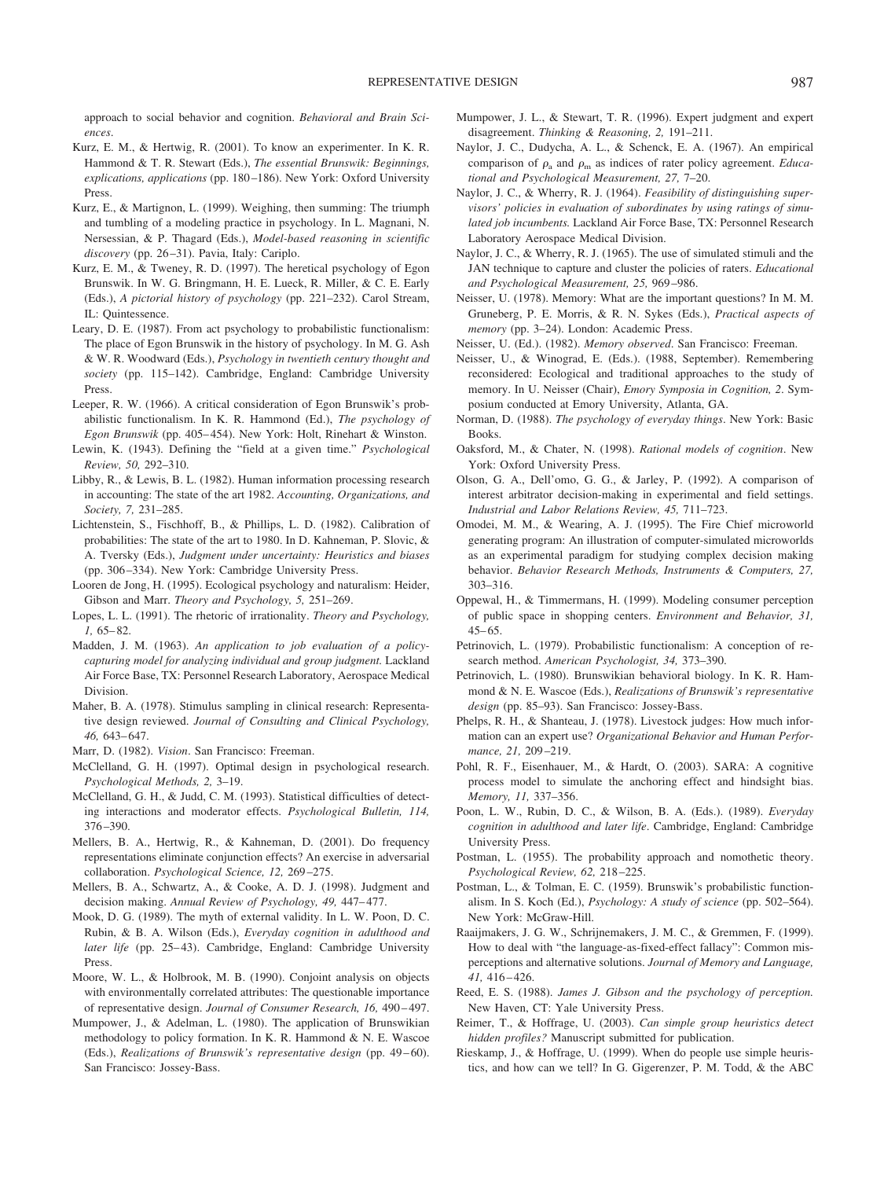approach to social behavior and cognition. *Behavioral and Brain Sciences*.

- Kurz, E. M., & Hertwig, R. (2001). To know an experimenter. In K. R. Hammond & T. R. Stewart (Eds.), *The essential Brunswik: Beginnings, explications, applications* (pp. 180 –186). New York: Oxford University Press.
- Kurz, E., & Martignon, L. (1999). Weighing, then summing: The triumph and tumbling of a modeling practice in psychology. In L. Magnani, N. Nersessian, & P. Thagard (Eds.), *Model-based reasoning in scientific discovery* (pp. 26 –31). Pavia, Italy: Cariplo.
- Kurz, E. M., & Tweney, R. D. (1997). The heretical psychology of Egon Brunswik. In W. G. Bringmann, H. E. Lueck, R. Miller, & C. E. Early (Eds.), *A pictorial history of psychology* (pp. 221–232). Carol Stream, IL: Quintessence.
- Leary, D. E. (1987). From act psychology to probabilistic functionalism: The place of Egon Brunswik in the history of psychology. In M. G. Ash & W. R. Woodward (Eds.), *Psychology in twentieth century thought and society* (pp. 115–142). Cambridge, England: Cambridge University Press.
- Leeper, R. W. (1966). A critical consideration of Egon Brunswik's probabilistic functionalism. In K. R. Hammond (Ed.), *The psychology of Egon Brunswik* (pp. 405– 454). New York: Holt, Rinehart & Winston.
- Lewin, K. (1943). Defining the "field at a given time." *Psychological Review, 50,* 292–310.
- Libby, R., & Lewis, B. L. (1982). Human information processing research in accounting: The state of the art 1982. *Accounting, Organizations, and Society, 7,* 231–285.
- Lichtenstein, S., Fischhoff, B., & Phillips, L. D. (1982). Calibration of probabilities: The state of the art to 1980. In D. Kahneman, P. Slovic, & A. Tversky (Eds.), *Judgment under uncertainty: Heuristics and biases* (pp. 306 –334). New York: Cambridge University Press.
- Looren de Jong, H. (1995). Ecological psychology and naturalism: Heider, Gibson and Marr. *Theory and Psychology, 5,* 251–269.
- Lopes, L. L. (1991). The rhetoric of irrationality. *Theory and Psychology, 1,* 65– 82.
- Madden, J. M. (1963). *An application to job evaluation of a policycapturing model for analyzing individual and group judgment.* Lackland Air Force Base, TX: Personnel Research Laboratory, Aerospace Medical Division.
- Maher, B. A. (1978). Stimulus sampling in clinical research: Representative design reviewed. *Journal of Consulting and Clinical Psychology, 46,* 643– 647.
- Marr, D. (1982). *Vision*. San Francisco: Freeman.
- McClelland, G. H. (1997). Optimal design in psychological research. *Psychological Methods, 2,* 3–19.
- McClelland, G. H., & Judd, C. M. (1993). Statistical difficulties of detecting interactions and moderator effects. *Psychological Bulletin, 114,* 376 –390.
- Mellers, B. A., Hertwig, R., & Kahneman, D. (2001). Do frequency representations eliminate conjunction effects? An exercise in adversarial collaboration. *Psychological Science, 12,* 269 –275.
- Mellers, B. A., Schwartz, A., & Cooke, A. D. J. (1998). Judgment and decision making. *Annual Review of Psychology, 49,* 447– 477.
- Mook, D. G. (1989). The myth of external validity. In L. W. Poon, D. C. Rubin, & B. A. Wilson (Eds.), *Everyday cognition in adulthood and* later life (pp. 25-43). Cambridge, England: Cambridge University Press.
- Moore, W. L., & Holbrook, M. B. (1990). Conjoint analysis on objects with environmentally correlated attributes: The questionable importance of representative design. *Journal of Consumer Research, 16,* 490 – 497.
- Mumpower, J., & Adelman, L. (1980). The application of Brunswikian methodology to policy formation. In K. R. Hammond & N. E. Wascoe (Eds.), *Realizations of Brunswik's representative design* (pp. 49-60). San Francisco: Jossey-Bass.
- Mumpower, J. L., & Stewart, T. R. (1996). Expert judgment and expert disagreement. *Thinking & Reasoning, 2,* 191–211.
- Naylor, J. C., Dudycha, A. L., & Schenck, E. A. (1967). An empirical comparison of  $\rho_a$  and  $\rho_m$  as indices of rater policy agreement. *Educational and Psychological Measurement, 27,* 7–20.
- Naylor, J. C., & Wherry, R. J. (1964). *Feasibility of distinguishing supervisors' policies in evaluation of subordinates by using ratings of simulated job incumbents.* Lackland Air Force Base, TX: Personnel Research Laboratory Aerospace Medical Division.
- Naylor, J. C., & Wherry, R. J. (1965). The use of simulated stimuli and the JAN technique to capture and cluster the policies of raters. *Educational and Psychological Measurement, 25,* 969 –986.
- Neisser, U. (1978). Memory: What are the important questions? In M. M. Gruneberg, P. E. Morris, & R. N. Sykes (Eds.), *Practical aspects of memory* (pp. 3–24). London: Academic Press.
- Neisser, U. (Ed.). (1982). *Memory observed*. San Francisco: Freeman.
- Neisser, U., & Winograd, E. (Eds.). (1988, September). Remembering reconsidered: Ecological and traditional approaches to the study of memory. In U. Neisser (Chair), *Emory Symposia in Cognition, 2*. Symposium conducted at Emory University, Atlanta, GA.
- Norman, D. (1988). *The psychology of everyday things*. New York: Basic Books.
- Oaksford, M., & Chater, N. (1998). *Rational models of cognition*. New York: Oxford University Press.
- Olson, G. A., Dell'omo, G. G., & Jarley, P. (1992). A comparison of interest arbitrator decision-making in experimental and field settings. *Industrial and Labor Relations Review, 45,* 711–723.
- Omodei, M. M., & Wearing, A. J. (1995). The Fire Chief microworld generating program: An illustration of computer-simulated microworlds as an experimental paradigm for studying complex decision making behavior. *Behavior Research Methods, Instruments & Computers, 27,* 303–316.
- Oppewal, H., & Timmermans, H. (1999). Modeling consumer perception of public space in shopping centers. *Environment and Behavior, 31,*  $45 - 65$ .
- Petrinovich, L. (1979). Probabilistic functionalism: A conception of research method. *American Psychologist, 34,* 373–390.
- Petrinovich, L. (1980). Brunswikian behavioral biology. In K. R. Hammond & N. E. Wascoe (Eds.), *Realizations of Brunswik's representative design* (pp. 85–93). San Francisco: Jossey-Bass.
- Phelps, R. H., & Shanteau, J. (1978). Livestock judges: How much information can an expert use? *Organizational Behavior and Human Performance, 21,* 209 –219.
- Pohl, R. F., Eisenhauer, M., & Hardt, O. (2003). SARA: A cognitive process model to simulate the anchoring effect and hindsight bias. *Memory, 11,* 337–356.
- Poon, L. W., Rubin, D. C., & Wilson, B. A. (Eds.). (1989). *Everyday cognition in adulthood and later life*. Cambridge, England: Cambridge University Press.
- Postman, L. (1955). The probability approach and nomothetic theory. *Psychological Review, 62,* 218 –225.
- Postman, L., & Tolman, E. C. (1959). Brunswik's probabilistic functionalism. In S. Koch (Ed.), *Psychology: A study of science* (pp. 502–564). New York: McGraw-Hill.
- Raaijmakers, J. G. W., Schrijnemakers, J. M. C., & Gremmen, F. (1999). How to deal with "the language-as-fixed-effect fallacy": Common misperceptions and alternative solutions. *Journal of Memory and Language, 41,* 416 – 426.
- Reed, E. S. (1988). *James J. Gibson and the psychology of perception.* New Haven, CT: Yale University Press.
- Reimer, T., & Hoffrage, U. (2003). *Can simple group heuristics detect hidden profiles?* Manuscript submitted for publication.
- Rieskamp, J., & Hoffrage, U. (1999). When do people use simple heuristics, and how can we tell? In G. Gigerenzer, P. M. Todd, & the ABC